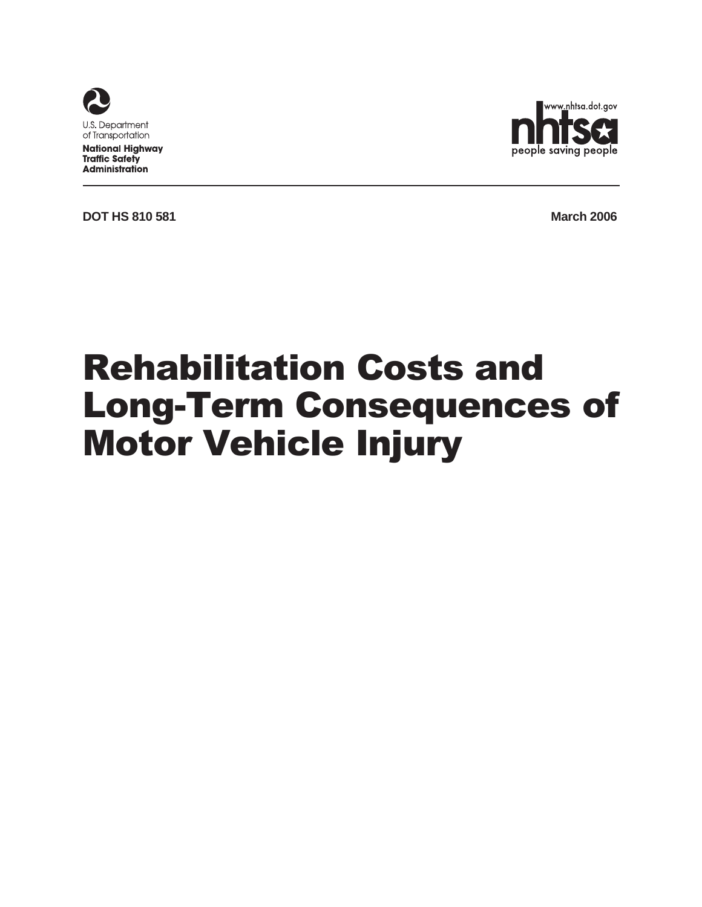

**National Highway Traffic Safety Administration** 



**DOT HS 810 581 March 2006** 

# Rehabilitation Costs and Long-Term Consequences of Motor Vehicle Injury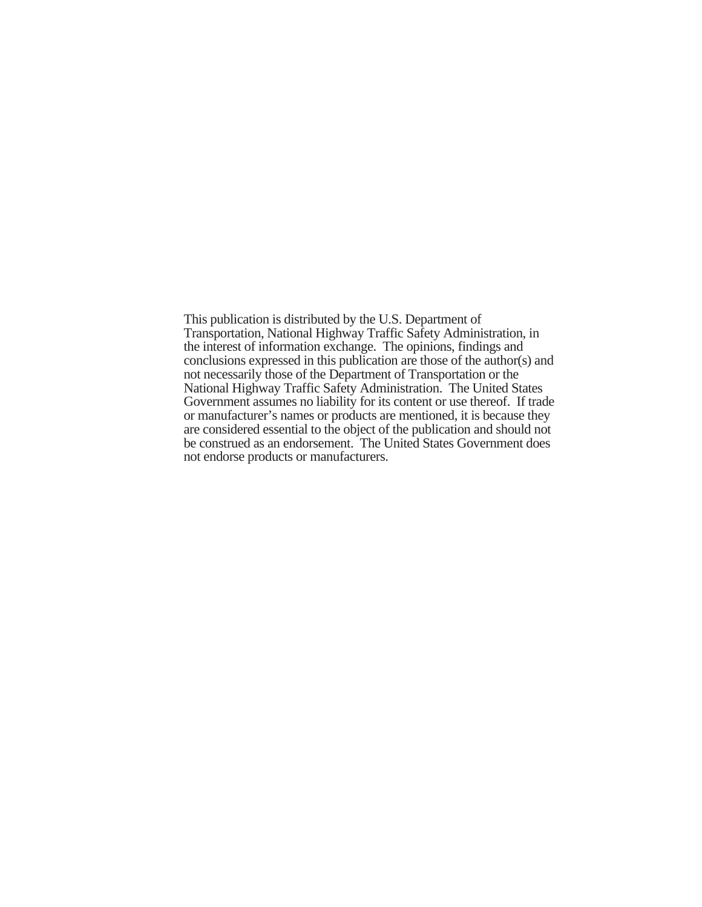This publication is distributed by the U.S. Department of Transportation, National Highway Traffic Safety Administration, in the interest of information exchange. The opinions, findings and conclusions expressed in this publication are those of the author(s) and not necessarily those of the Department of Transportation or the National Highway Traffic Safety Administration. The United States Government assumes no liability for its content or use thereof. If trade or manufacturer's names or products are mentioned, it is because they are considered essential to the object of the publication and should not be construed as an endorsement. The United States Government does not endorse products or manufacturers.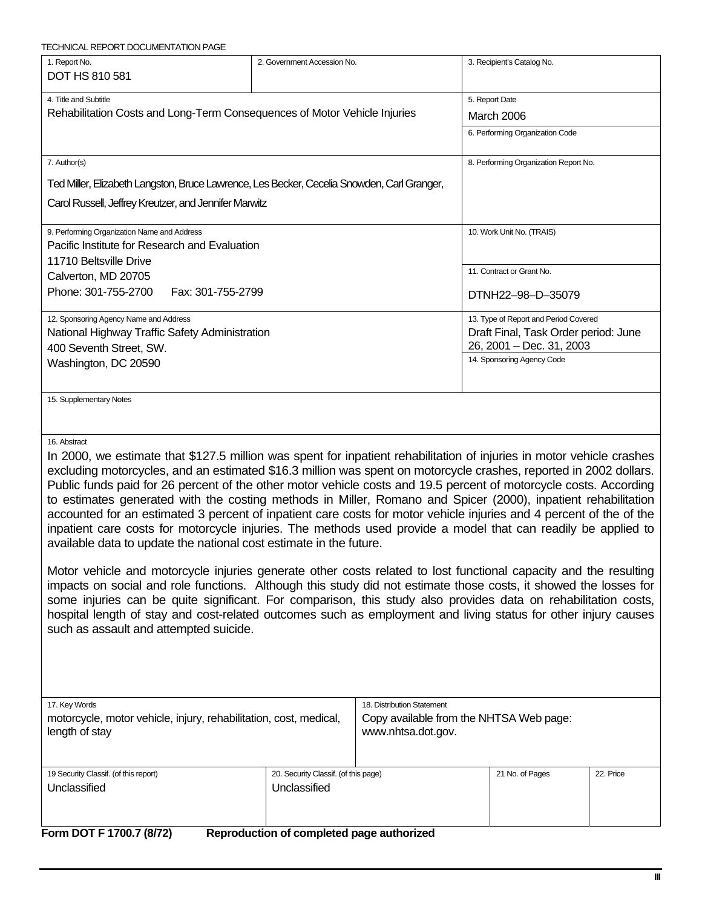| 1. Report No.<br>DOT HS 810 581                                                                                                                                                                                                                                                                                                                                                                                                                                                                                                                                                                                                                                                                                                                                                                                                                                                                                                                                                                                                                                                                                                                                                                                                                                                                                                                       | 2. Government Accession No.                          |                                         | 3. Recipient's Catalog No.                             |           |
|-------------------------------------------------------------------------------------------------------------------------------------------------------------------------------------------------------------------------------------------------------------------------------------------------------------------------------------------------------------------------------------------------------------------------------------------------------------------------------------------------------------------------------------------------------------------------------------------------------------------------------------------------------------------------------------------------------------------------------------------------------------------------------------------------------------------------------------------------------------------------------------------------------------------------------------------------------------------------------------------------------------------------------------------------------------------------------------------------------------------------------------------------------------------------------------------------------------------------------------------------------------------------------------------------------------------------------------------------------|------------------------------------------------------|-----------------------------------------|--------------------------------------------------------|-----------|
| 4. Title and Subtitle<br>Rehabilitation Costs and Long-Term Consequences of Motor Vehicle Injuries                                                                                                                                                                                                                                                                                                                                                                                                                                                                                                                                                                                                                                                                                                                                                                                                                                                                                                                                                                                                                                                                                                                                                                                                                                                    |                                                      |                                         | 5. Report Date<br>March 2006                           |           |
|                                                                                                                                                                                                                                                                                                                                                                                                                                                                                                                                                                                                                                                                                                                                                                                                                                                                                                                                                                                                                                                                                                                                                                                                                                                                                                                                                       |                                                      | 6. Performing Organization Code         |                                                        |           |
| 7. Author(s)                                                                                                                                                                                                                                                                                                                                                                                                                                                                                                                                                                                                                                                                                                                                                                                                                                                                                                                                                                                                                                                                                                                                                                                                                                                                                                                                          |                                                      |                                         | 8. Performing Organization Report No.                  |           |
| Ted Miller, Elizabeth Langston, Bruce Lawrence, Les Becker, Cecelia Snowden, Carl Granger,                                                                                                                                                                                                                                                                                                                                                                                                                                                                                                                                                                                                                                                                                                                                                                                                                                                                                                                                                                                                                                                                                                                                                                                                                                                            |                                                      |                                         |                                                        |           |
| Carol Russell, Jeffrey Kreutzer, and Jennifer Marwitz                                                                                                                                                                                                                                                                                                                                                                                                                                                                                                                                                                                                                                                                                                                                                                                                                                                                                                                                                                                                                                                                                                                                                                                                                                                                                                 |                                                      |                                         |                                                        |           |
| 9. Performing Organization Name and Address<br>Pacific Institute for Research and Evaluation                                                                                                                                                                                                                                                                                                                                                                                                                                                                                                                                                                                                                                                                                                                                                                                                                                                                                                                                                                                                                                                                                                                                                                                                                                                          |                                                      |                                         | 10. Work Unit No. (TRAIS)                              |           |
| 11710 Beltsville Drive                                                                                                                                                                                                                                                                                                                                                                                                                                                                                                                                                                                                                                                                                                                                                                                                                                                                                                                                                                                                                                                                                                                                                                                                                                                                                                                                |                                                      |                                         |                                                        |           |
| Calverton, MD 20705                                                                                                                                                                                                                                                                                                                                                                                                                                                                                                                                                                                                                                                                                                                                                                                                                                                                                                                                                                                                                                                                                                                                                                                                                                                                                                                                   |                                                      |                                         | 11. Contract or Grant No.                              |           |
| Phone: 301-755-2700<br>Fax: 301-755-2799                                                                                                                                                                                                                                                                                                                                                                                                                                                                                                                                                                                                                                                                                                                                                                                                                                                                                                                                                                                                                                                                                                                                                                                                                                                                                                              |                                                      |                                         | DTNH22-98-D-35079                                      |           |
| 12. Sponsoring Agency Name and Address                                                                                                                                                                                                                                                                                                                                                                                                                                                                                                                                                                                                                                                                                                                                                                                                                                                                                                                                                                                                                                                                                                                                                                                                                                                                                                                |                                                      |                                         | 13. Type of Report and Period Covered                  |           |
| National Highway Traffic Safety Administration                                                                                                                                                                                                                                                                                                                                                                                                                                                                                                                                                                                                                                                                                                                                                                                                                                                                                                                                                                                                                                                                                                                                                                                                                                                                                                        |                                                      |                                         | Draft Final, Task Order period: June                   |           |
| 400 Seventh Street, SW.                                                                                                                                                                                                                                                                                                                                                                                                                                                                                                                                                                                                                                                                                                                                                                                                                                                                                                                                                                                                                                                                                                                                                                                                                                                                                                                               |                                                      |                                         | 26, 2001 - Dec. 31, 2003<br>14. Sponsoring Agency Code |           |
| Washington, DC 20590                                                                                                                                                                                                                                                                                                                                                                                                                                                                                                                                                                                                                                                                                                                                                                                                                                                                                                                                                                                                                                                                                                                                                                                                                                                                                                                                  |                                                      |                                         |                                                        |           |
| 15. Supplementary Notes                                                                                                                                                                                                                                                                                                                                                                                                                                                                                                                                                                                                                                                                                                                                                                                                                                                                                                                                                                                                                                                                                                                                                                                                                                                                                                                               |                                                      |                                         |                                                        |           |
| 16. Abstract<br>In 2000, we estimate that \$127.5 million was spent for inpatient rehabilitation of injuries in motor vehicle crashes<br>excluding motorcycles, and an estimated \$16.3 million was spent on motorcycle crashes, reported in 2002 dollars.<br>Public funds paid for 26 percent of the other motor vehicle costs and 19.5 percent of motorcycle costs. According<br>to estimates generated with the costing methods in Miller, Romano and Spicer (2000), inpatient rehabilitation<br>accounted for an estimated 3 percent of inpatient care costs for motor vehicle injuries and 4 percent of the of the<br>inpatient care costs for motorcycle injuries. The methods used provide a model that can readily be applied to<br>available data to update the national cost estimate in the future.<br>Motor vehicle and motorcycle injuries generate other costs related to lost functional capacity and the resulting<br>impacts on social and role functions. Although this study did not estimate those costs, it showed the losses for<br>some injuries can be quite significant. For comparison, this study also provides data on rehabilitation costs,<br>hospital length of stay and cost-related outcomes such as employment and living status for other injury causes<br>such as assault and attempted suicide.<br>17. Key Words |                                                      | 18. Distribution Statement              |                                                        |           |
| motorcycle, motor vehicle, injury, rehabilitation, cost, medical,<br>length of stay                                                                                                                                                                                                                                                                                                                                                                                                                                                                                                                                                                                                                                                                                                                                                                                                                                                                                                                                                                                                                                                                                                                                                                                                                                                                   | www.nhtsa.dot.gov.                                   | Copy available from the NHTSA Web page: |                                                        |           |
| 19 Security Classif. (of this report)<br>Unclassified                                                                                                                                                                                                                                                                                                                                                                                                                                                                                                                                                                                                                                                                                                                                                                                                                                                                                                                                                                                                                                                                                                                                                                                                                                                                                                 | 20. Security Classif. (of this page)<br>Unclassified |                                         | 21 No. of Pages                                        | 22. Price |
| Form DOT F 1700.7 (8/72)                                                                                                                                                                                                                                                                                                                                                                                                                                                                                                                                                                                                                                                                                                                                                                                                                                                                                                                                                                                                                                                                                                                                                                                                                                                                                                                              | Reproduction of completed page authorized            |                                         |                                                        |           |

<span id="page-2-0"></span>TECHNICAL REPORT DOCUMENTATION PAGE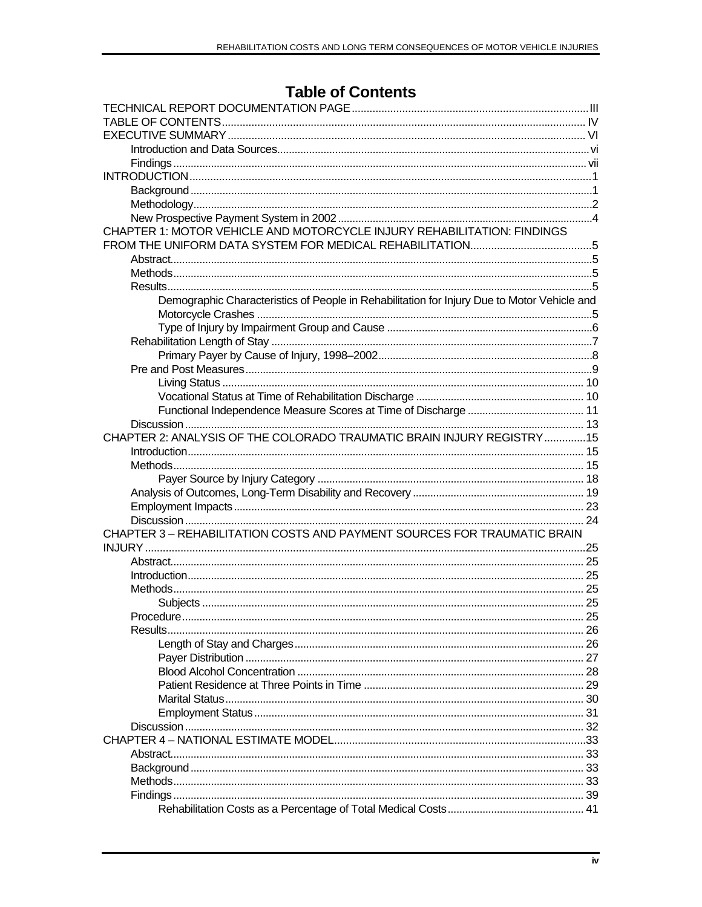# **Table of Contents**

<span id="page-3-0"></span>

| CHAPTER 1: MOTOR VEHICLE AND MOTORCYCLE INJURY REHABILITATION: FINDINGS                     |  |
|---------------------------------------------------------------------------------------------|--|
|                                                                                             |  |
|                                                                                             |  |
|                                                                                             |  |
|                                                                                             |  |
| Demographic Characteristics of People in Rehabilitation for Injury Due to Motor Vehicle and |  |
|                                                                                             |  |
|                                                                                             |  |
|                                                                                             |  |
|                                                                                             |  |
|                                                                                             |  |
|                                                                                             |  |
|                                                                                             |  |
|                                                                                             |  |
|                                                                                             |  |
| CHAPTER 2: ANALYSIS OF THE COLORADO TRAUMATIC BRAIN INJURY REGISTRY15                       |  |
|                                                                                             |  |
|                                                                                             |  |
|                                                                                             |  |
|                                                                                             |  |
|                                                                                             |  |
|                                                                                             |  |
| CHAPTER 3 - REHABILITATION COSTS AND PAYMENT SOURCES FOR TRAUMATIC BRAIN                    |  |
|                                                                                             |  |
|                                                                                             |  |
|                                                                                             |  |
|                                                                                             |  |
|                                                                                             |  |
|                                                                                             |  |
| Results.                                                                                    |  |
|                                                                                             |  |
|                                                                                             |  |
|                                                                                             |  |
|                                                                                             |  |
|                                                                                             |  |
|                                                                                             |  |
|                                                                                             |  |
|                                                                                             |  |
|                                                                                             |  |
|                                                                                             |  |
|                                                                                             |  |
|                                                                                             |  |
|                                                                                             |  |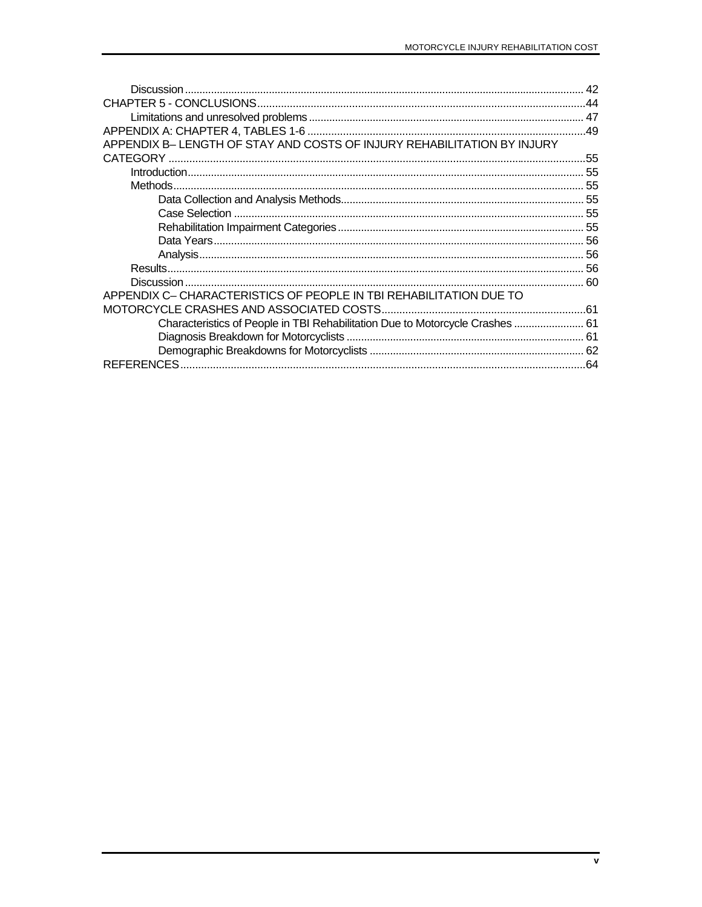|                                                                               | 44  |
|-------------------------------------------------------------------------------|-----|
|                                                                               |     |
|                                                                               |     |
| APPENDIX B- LENGTH OF STAY AND COSTS OF INJURY REHABILITATION BY INJURY       |     |
|                                                                               | .55 |
|                                                                               |     |
|                                                                               |     |
|                                                                               |     |
|                                                                               |     |
|                                                                               |     |
|                                                                               |     |
|                                                                               |     |
|                                                                               |     |
|                                                                               |     |
| APPENDIX C- CHARACTERISTICS OF PEOPLE IN TBI REHABILITATION DUE TO            |     |
|                                                                               |     |
| Characteristics of People in TBI Rehabilitation Due to Motorcycle Crashes  61 |     |
|                                                                               |     |
|                                                                               |     |
|                                                                               |     |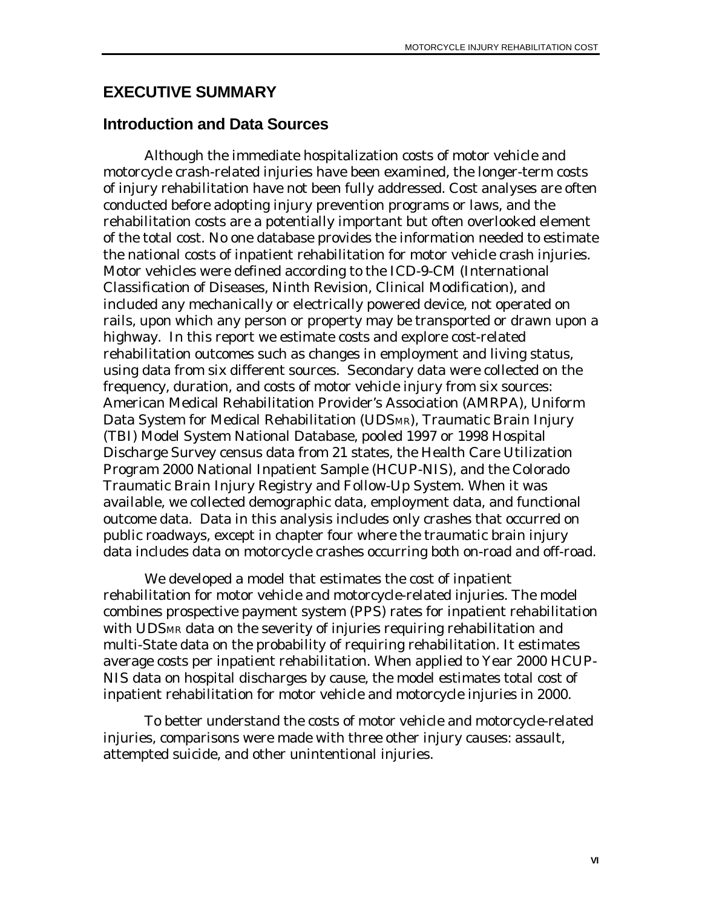#### <span id="page-5-0"></span>**EXECUTIVE SUMMARY**

#### **Introduction and Data Sources**

Although the immediate hospitalization costs of motor vehicle and motorcycle crash-related injuries have been examined, the longer-term costs of injury rehabilitation have not been fully addressed. Cost analyses are often conducted before adopting injury prevention programs or laws, and the rehabilitation costs are a potentially important but often overlooked element of the total cost. No one database provides the information needed to estimate the national costs of inpatient rehabilitation for motor vehicle crash injuries. Motor vehicles were defined according to the ICD-9-CM (International Classification of Diseases, Ninth Revision, Clinical Modification), and included any mechanically or electrically powered device, not operated on rails, upon which any person or property may be transported or drawn upon a highway. In this report we estimate costs and explore cost-related rehabilitation outcomes such as changes in employment and living status, using data from six different sources. Secondary data were collected on the frequency, duration, and costs of motor vehicle injury from six sources: American Medical Rehabilitation Provider's Association (AMRPA), Uniform Data System for Medical Rehabilitation (UDSMR), Traumatic Brain Injury (TBI) Model System National Database, pooled 1997 or 1998 Hospital Discharge Survey census data from 21 states, the Health Care Utilization Program 2000 National Inpatient Sample (HCUP-NIS), and the Colorado Traumatic Brain Injury Registry and Follow-Up System. When it was available, we collected demographic data, employment data, and functional outcome data. Data in this analysis includes only crashes that occurred on public roadways, except in chapter four where the traumatic brain injury data includes data on motorcycle crashes occurring both on-road and off-road.

We developed a model that estimates the cost of inpatient rehabilitation for motor vehicle and motorcycle-related injuries. The model combines prospective payment system (PPS) rates for inpatient rehabilitation with UDSMR data on the severity of injuries requiring rehabilitation and multi-State data on the probability of requiring rehabilitation. It estimates average costs per inpatient rehabilitation. When applied to Year 2000 HCUP-NIS data on hospital discharges by cause, the model estimates total cost of inpatient rehabilitation for motor vehicle and motorcycle injuries in 2000.

To better understand the costs of motor vehicle and motorcycle-related injuries, comparisons were made with three other injury causes: assault, attempted suicide, and other unintentional injuries.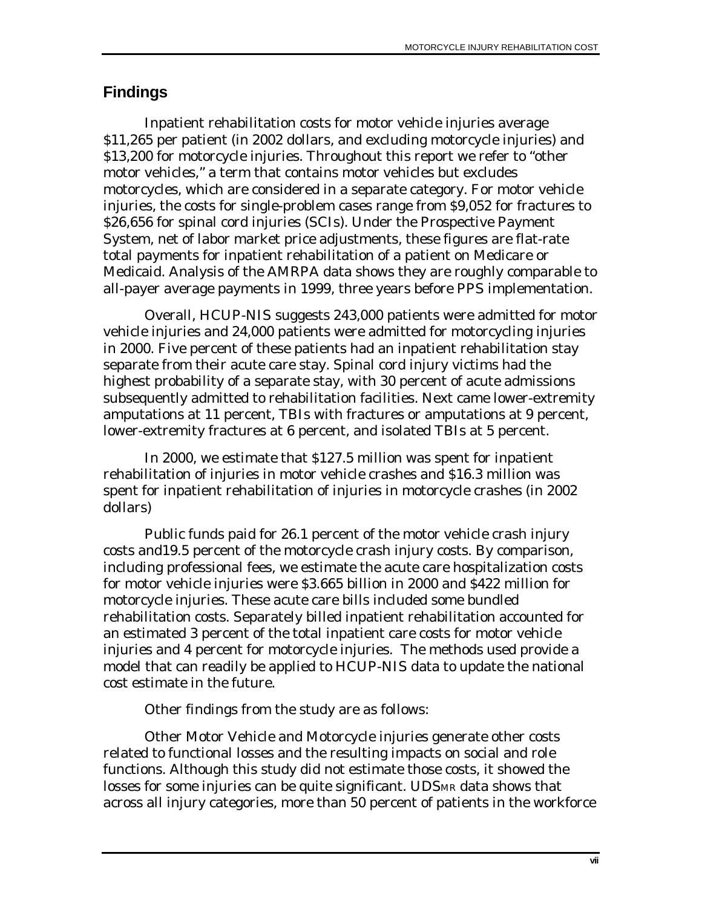# <span id="page-6-0"></span>**Findings**

Inpatient rehabilitation costs for motor vehicle injuries average \$11,265 per patient (in 2002 dollars, and excluding motorcycle injuries) and \$13,200 for motorcycle injuries. Throughout this report we refer to "other motor vehicles," a term that contains motor vehicles but excludes motorcycles, which are considered in a separate category. For motor vehicle injuries, the costs for single-problem cases range from \$9,052 for fractures to \$26,656 for spinal cord injuries (SCIs). Under the Prospective Payment System, net of labor market price adjustments, these figures are flat-rate total payments for inpatient rehabilitation of a patient on Medicare or Medicaid. Analysis of the AMRPA data shows they are roughly comparable to all-payer average payments in 1999, three years before PPS implementation.

Overall, HCUP-NIS suggests 243,000 patients were admitted for motor vehicle injuries and 24,000 patients were admitted for motorcycling injuries in 2000. Five percent of these patients had an inpatient rehabilitation stay separate from their acute care stay. Spinal cord injury victims had the highest probability of a separate stay, with 30 percent of acute admissions subsequently admitted to rehabilitation facilities. Next came lower-extremity amputations at 11 percent, TBIs with fractures or amputations at 9 percent, lower-extremity fractures at 6 percent, and isolated TBIs at 5 percent.

In 2000, we estimate that \$127.5 million was spent for inpatient rehabilitation of injuries in motor vehicle crashes and \$16.3 million was spent for inpatient rehabilitation of injuries in motorcycle crashes (in 2002 dollars)

Public funds paid for 26.1 percent of the motor vehicle crash injury costs and19.5 percent of the motorcycle crash injury costs. By comparison, including professional fees, we estimate the acute care hospitalization costs for motor vehicle injuries were \$3.665 billion in 2000 and \$422 million for motorcycle injuries. These acute care bills included some bundled rehabilitation costs. Separately billed inpatient rehabilitation accounted for an estimated 3 percent of the total inpatient care costs for motor vehicle injuries and 4 percent for motorcycle injuries. The methods used provide a model that can readily be applied to HCUP-NIS data to update the national cost estimate in the future.

Other findings from the study are as follows:

Other Motor Vehicle and Motorcycle injuries generate other costs related to functional losses and the resulting impacts on social and role functions. Although this study did not estimate those costs, it showed the losses for some injuries can be quite significant. UDSMR data shows that across all injury categories, more than 50 percent of patients in the workforce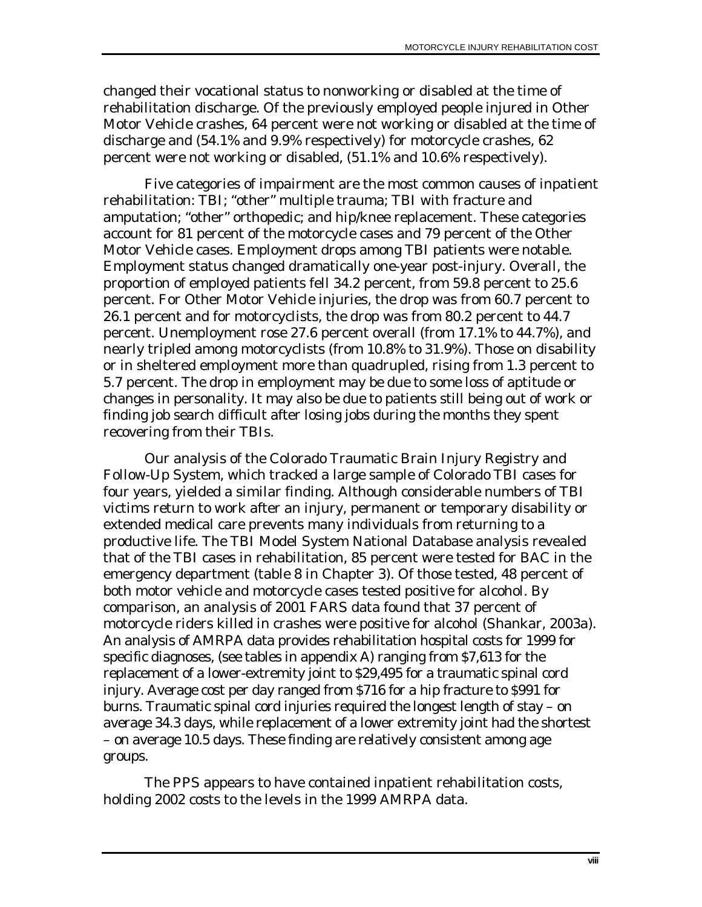changed their vocational status to nonworking or disabled at the time of rehabilitation discharge. Of the previously employed people injured in Other Motor Vehicle crashes, 64 percent were not working or disabled at the time of discharge and (54.1% and 9.9% respectively) for motorcycle crashes, 62 percent were not working or disabled, (51.1% and 10.6% respectively).

Five categories of impairment are the most common causes of inpatient rehabilitation: TBI; "other" multiple trauma; TBI with fracture and amputation; "other" orthopedic; and hip/knee replacement. These categories account for 81 percent of the motorcycle cases and 79 percent of the Other Motor Vehicle cases. Employment drops among TBI patients were notable. Employment status changed dramatically one-year post-injury. Overall, the proportion of employed patients fell 34.2 percent, from 59.8 percent to 25.6 percent. For Other Motor Vehicle injuries, the drop was from 60.7 percent to 26.1 percent and for motorcyclists, the drop was from 80.2 percent to 44.7 percent. Unemployment rose 27.6 percent overall (from 17.1% to 44.7%), and nearly tripled among motorcyclists (from 10.8% to 31.9%). Those on disability or in sheltered employment more than quadrupled, rising from 1.3 percent to 5.7 percent. The drop in employment may be due to some loss of aptitude or changes in personality. It may also be due to patients still being out of work or finding job search difficult after losing jobs during the months they spent recovering from their TBIs.

Our analysis of the Colorado Traumatic Brain Injury Registry and Follow-Up System, which tracked a large sample of Colorado TBI cases for four years, yielded a similar finding. Although considerable numbers of TBI victims return to work after an injury, permanent or temporary disability or extended medical care prevents many individuals from returning to a productive life. The TBI Model System National Database analysis revealed that of the TBI cases in rehabilitation, 85 percent were tested for BAC in the emergency department (table 8 in Chapter 3). Of those tested, 48 percent of both motor vehicle and motorcycle cases tested positive for alcohol. By comparison, an analysis of 2001 FARS data found that 37 percent of motorcycle riders killed in crashes were positive for alcohol (Shankar, 2003a). An analysis of AMRPA data provides rehabilitation hospital costs for 1999 for specific diagnoses, (see tables in appendix A) ranging from \$7,613 for the replacement of a lower-extremity joint to \$29,495 for a traumatic spinal cord injury. Average cost per day ranged from \$716 for a hip fracture to \$991 for burns. Traumatic spinal cord injuries required the longest length of stay – on average 34.3 days, while replacement of a lower extremity joint had the shortest – on average 10.5 days. These finding are relatively consistent among age groups.

The PPS appears to have contained inpatient rehabilitation costs, holding 2002 costs to the levels in the 1999 AMRPA data.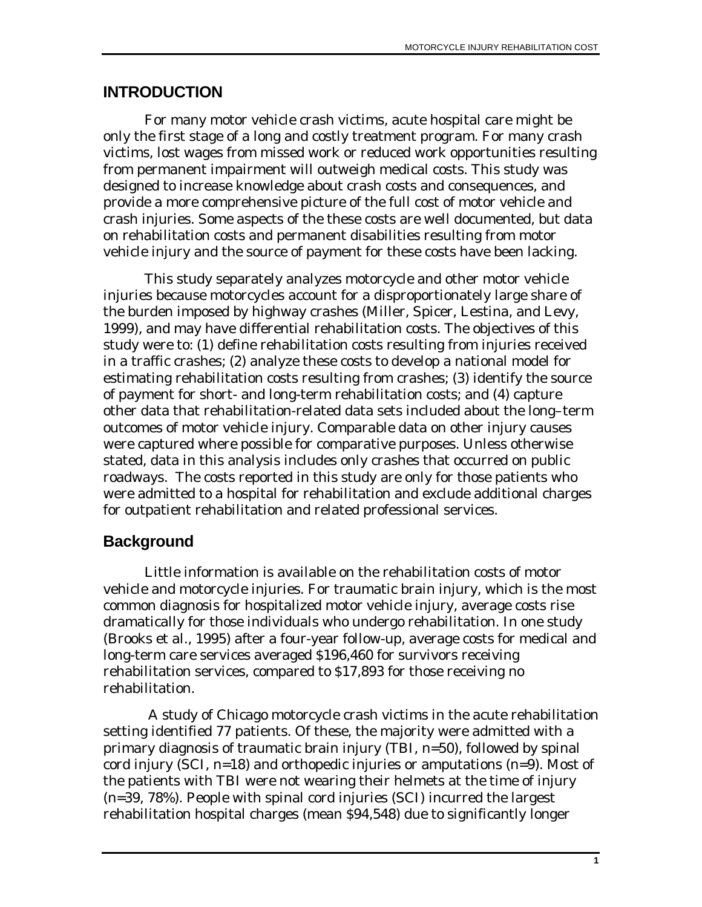### <span id="page-8-0"></span>**INTRODUCTION**

For many motor vehicle crash victims, acute hospital care might be only the first stage of a long and costly treatment program. For many crash victims, lost wages from missed work or reduced work opportunities resulting from permanent impairment will outweigh medical costs. This study was designed to increase knowledge about crash costs and consequences, and provide a more comprehensive picture of the full cost of motor vehicle and crash injuries. Some aspects of the these costs are well documented, but data on rehabilitation costs and permanent disabilities resulting from motor vehicle injury and the source of payment for these costs have been lacking.

This study separately analyzes motorcycle and other motor vehicle injuries because motorcycles account for a disproportionately large share of the burden imposed by highway crashes (Miller, Spicer, Lestina, and Levy, 1999), and may have differential rehabilitation costs. The objectives of this study were to: (1) define rehabilitation costs resulting from injuries received in a traffic crashes; (2) analyze these costs to develop a national model for estimating rehabilitation costs resulting from crashes; (3) identify the source of payment for short- and long-term rehabilitation costs; and (4) capture other data that rehabilitation-related data sets included about the long–term outcomes of motor vehicle injury. Comparable data on other injury causes were captured where possible for comparative purposes. Unless otherwise stated, data in this analysis includes only crashes that occurred on public roadways. The costs reported in this study are only for those patients who were admitted to a hospital for rehabilitation and exclude additional charges for outpatient rehabilitation and related professional services.

# **Background**

Little information is available on the rehabilitation costs of motor vehicle and motorcycle injuries. For traumatic brain injury, which is the most common diagnosis for hospitalized motor vehicle injury, average costs rise dramatically for those individuals who undergo rehabilitation. In one study (Brooks et al., 1995) after a four-year follow-up, average costs for medical and long-term care services averaged \$196,460 for survivors receiving rehabilitation services, compared to \$17,893 for those receiving no rehabilitation.

 A study of Chicago motorcycle crash victims in the acute rehabilitation setting identified 77 patients. Of these, the majority were admitted with a primary diagnosis of traumatic brain injury (TBI, n=50), followed by spinal cord injury (SCI,  $n=18$ ) and orthopedic injuries or amputations  $(n=9)$ . Most of the patients with TBI were not wearing their helmets at the time of injury (n=39, 78%). People with spinal cord injuries (SCI) incurred the largest rehabilitation hospital charges (mean \$94,548) due to significantly longer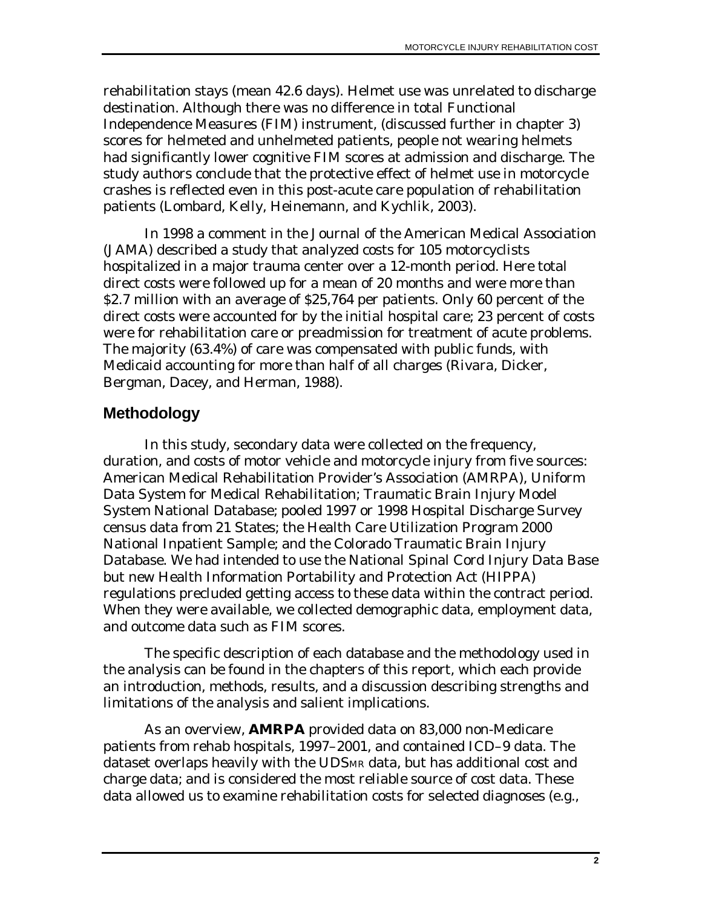<span id="page-9-0"></span>rehabilitation stays (mean 42.6 days). Helmet use was unrelated to discharge destination. Although there was no difference in total Functional Independence Measures (FIM) instrument, (discussed further in chapter 3) scores for helmeted and unhelmeted patients, people not wearing helmets had significantly lower cognitive FIM scores at admission and discharge. The study authors conclude that the protective effect of helmet use in motorcycle crashes is reflected even in this post-acute care population of rehabilitation patients (Lombard, Kelly, Heinemann, and Kychlik, 2003).

In 1998 a comment in the Journal of the American Medical Association (JAMA) described a study that analyzed costs for 105 motorcyclists hospitalized in a major trauma center over a 12-month period. Here total direct costs were followed up for a mean of 20 months and were more than \$2.7 million with an average of \$25,764 per patients. Only 60 percent of the direct costs were accounted for by the initial hospital care; 23 percent of costs were for rehabilitation care or preadmission for treatment of acute problems. The majority (63.4%) of care was compensated with public funds, with Medicaid accounting for more than half of all charges (Rivara, Dicker, Bergman, Dacey, and Herman, 1988).

# **Methodology**

In this study, secondary data were collected on the frequency, duration, and costs of motor vehicle and motorcycle injury from five sources: American Medical Rehabilitation Provider's Association (AMRPA), Uniform Data System for Medical Rehabilitation; Traumatic Brain Injury Model System National Database; pooled 1997 or 1998 Hospital Discharge Survey census data from 21 States; the Health Care Utilization Program 2000 National Inpatient Sample; and the Colorado Traumatic Brain Injury Database. We had intended to use the National Spinal Cord Injury Data Base but new Health Information Portability and Protection Act (HIPPA) regulations precluded getting access to these data within the contract period. When they were available, we collected demographic data, employment data, and outcome data such as FIM scores.

The specific description of each database and the methodology used in the analysis can be found in the chapters of this report, which each provide an introduction, methods, results, and a discussion describing strengths and limitations of the analysis and salient implications.

As an overview, **AMRPA** provided data on 83,000 non-Medicare patients from rehab hospitals, 1997–2001, and contained ICD–9 data. The dataset overlaps heavily with the UDSMR data, but has additional cost and charge data; and is considered the most reliable source of cost data. These data allowed us to examine rehabilitation costs for selected diagnoses (e.g.,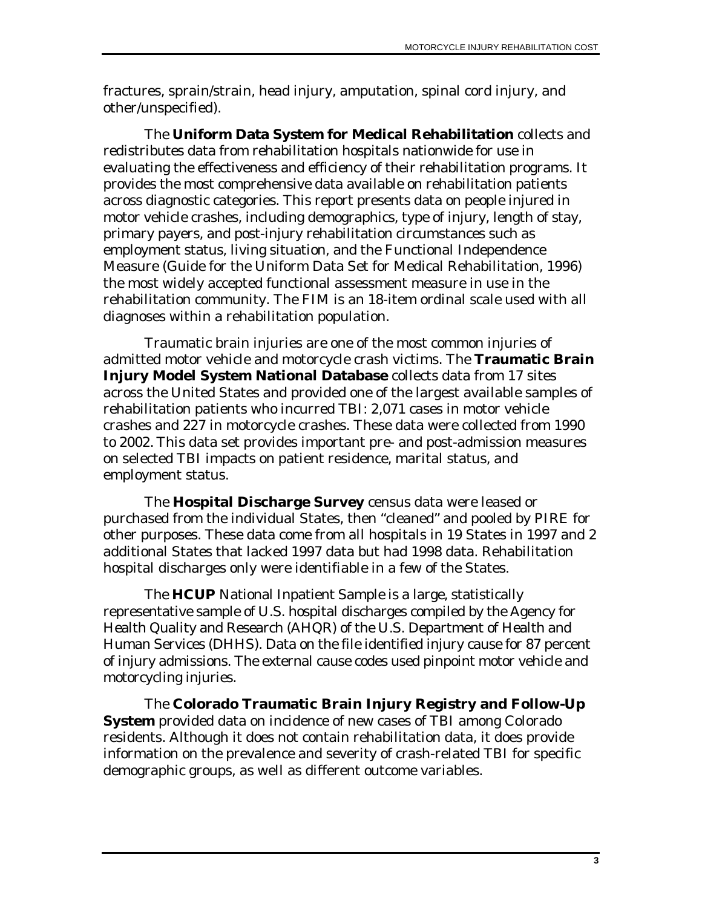fractures, sprain/strain, head injury, amputation, spinal cord injury, and other/unspecified).

The **Uniform Data System for Medical Rehabilitation** collects and redistributes data from rehabilitation hospitals nationwide for use in evaluating the effectiveness and efficiency of their rehabilitation programs. It provides the most comprehensive data available on rehabilitation patients across diagnostic categories. This report presents data on people injured in motor vehicle crashes, including demographics, type of injury, length of stay, primary payers, and post-injury rehabilitation circumstances such as employment status, living situation, and the Functional Independence Measure (Guide for the Uniform Data Set for Medical Rehabilitation, 1996) the most widely accepted functional assessment measure in use in the rehabilitation community. The FIM is an 18-item ordinal scale used with all diagnoses within a rehabilitation population.

Traumatic brain injuries are one of the most common injuries of admitted motor vehicle and motorcycle crash victims. The **Traumatic Brain Injury Model System National Database** collects data from 17 sites across the United States and provided one of the largest available samples of rehabilitation patients who incurred TBI: 2,071 cases in motor vehicle crashes and 227 in motorcycle crashes. These data were collected from 1990 to 2002. This data set provides important pre- and post-admission measures on selected TBI impacts on patient residence, marital status, and employment status.

The **Hospital Discharge Survey** census data were leased or purchased from the individual States, then "cleaned" and pooled by PIRE for other purposes. These data come from all hospitals in 19 States in 1997 and 2 additional States that lacked 1997 data but had 1998 data. Rehabilitation hospital discharges only were identifiable in a few of the States.

The **HCUP** National Inpatient Sample is a large, statistically representative sample of U.S. hospital discharges compiled by the Agency for Health Quality and Research (AHQR) of the U.S. Department of Health and Human Services (DHHS). Data on the file identified injury cause for 87 percent of injury admissions. The external cause codes used pinpoint motor vehicle and motorcycling injuries.

The **Colorado Traumatic Brain Injury Registry and Follow-Up System** provided data on incidence of new cases of TBI among Colorado residents. Although it does not contain rehabilitation data, it does provide information on the prevalence and severity of crash-related TBI for specific demographic groups, as well as different outcome variables.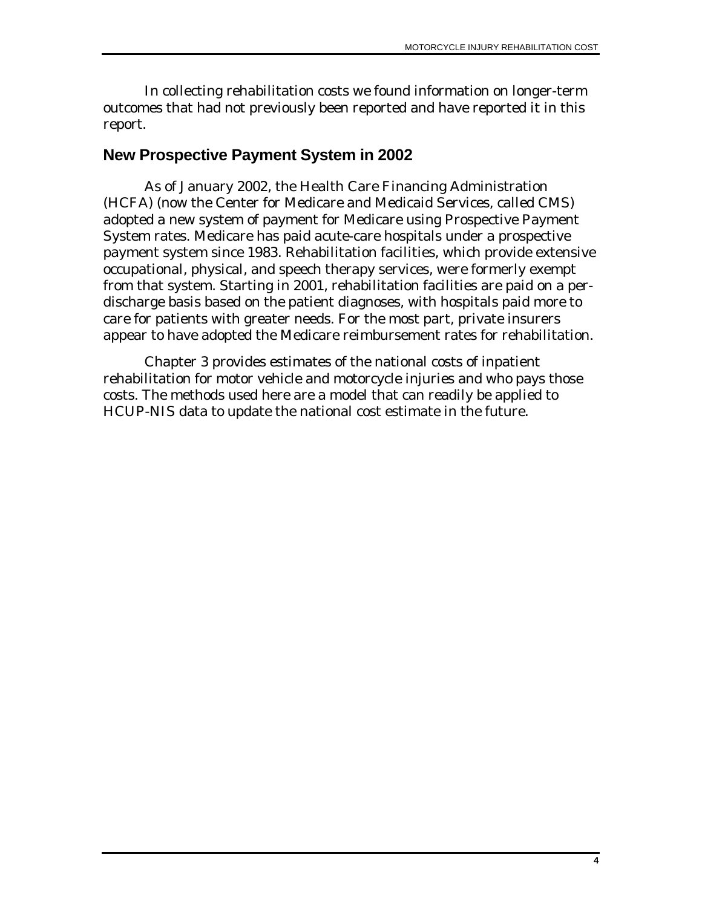<span id="page-11-0"></span>In collecting rehabilitation costs we found information on longer-term outcomes that had not previously been reported and have reported it in this report.

#### **New Prospective Payment System in 2002**

As of January 2002, the Health Care Financing Administration (HCFA) (now the Center for Medicare and Medicaid Services, called CMS) adopted a new system of payment for Medicare using Prospective Payment System rates. Medicare has paid acute-care hospitals under a prospective payment system since 1983. Rehabilitation facilities, which provide extensive occupational, physical, and speech therapy services, were formerly exempt from that system. Starting in 2001, rehabilitation facilities are paid on a perdischarge basis based on the patient diagnoses, with hospitals paid more to care for patients with greater needs. For the most part, private insurers appear to have adopted the Medicare reimbursement rates for rehabilitation.

Chapter 3 provides estimates of the national costs of inpatient rehabilitation for motor vehicle and motorcycle injuries and who pays those costs. The methods used here are a model that can readily be applied to HCUP-NIS data to update the national cost estimate in the future.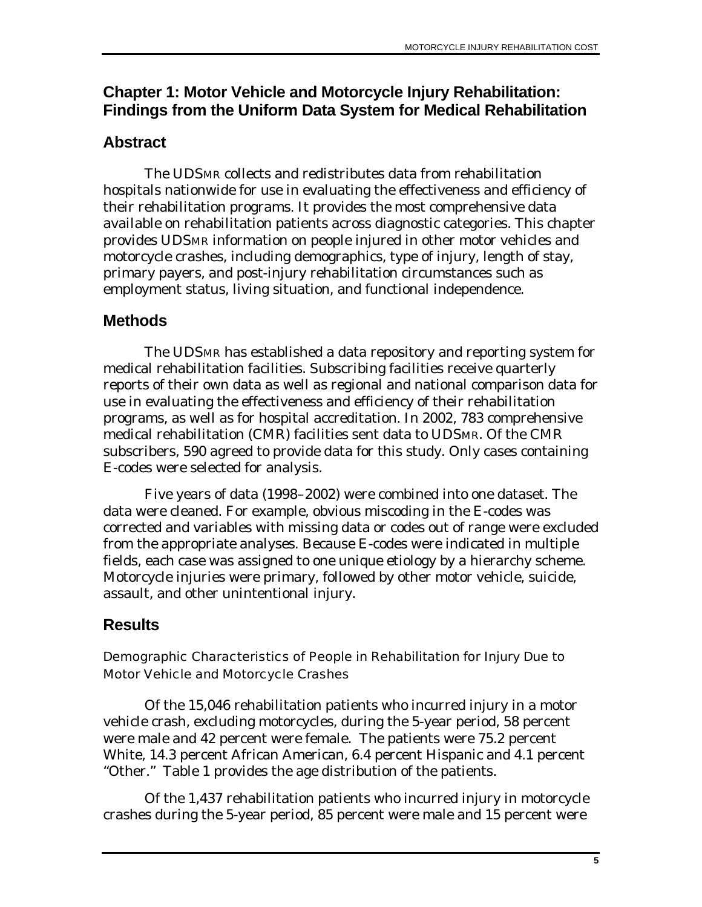# <span id="page-12-0"></span>**Chapter 1: Motor Vehicle and Motorcycle Injury Rehabilitation: Findings from the Uniform Data System for Medical Rehabilitation**

# **Abstract**

The UDSMR collects and redistributes data from rehabilitation hospitals nationwide for use in evaluating the effectiveness and efficiency of their rehabilitation programs. It provides the most comprehensive data available on rehabilitation patients across diagnostic categories. This chapter provides UDSMR information on people injured in other motor vehicles and motorcycle crashes, including demographics, type of injury, length of stay, primary payers, and post-injury rehabilitation circumstances such as employment status, living situation, and functional independence.

# **Methods**

The UDSMR has established a data repository and reporting system for medical rehabilitation facilities. Subscribing facilities receive quarterly reports of their own data as well as regional and national comparison data for use in evaluating the effectiveness and efficiency of their rehabilitation programs, as well as for hospital accreditation. In 2002, 783 comprehensive medical rehabilitation (CMR) facilities sent data to UDSMR. Of the CMR subscribers, 590 agreed to provide data for this study. Only cases containing E-codes were selected for analysis.

Five years of data (1998–2002) were combined into one dataset. The data were cleaned. For example, obvious miscoding in the E-codes was corrected and variables with missing data or codes out of range were excluded from the appropriate analyses. Because E-codes were indicated in multiple fields, each case was assigned to one unique etiology by a hierarchy scheme. Motorcycle injuries were primary, followed by other motor vehicle, suicide, assault, and other unintentional injury.

# **Results**

#### Demographic Characteristics of People in Rehabilitation for Injury Due to Motor Vehicle and Motorcycle Crashes

Of the 15,046 rehabilitation patients who incurred injury in a motor vehicle crash, excluding motorcycles, during the 5-year period, 58 percent were male and 42 percent were female. The patients were 75.2 percent White, 14.3 percent African American, 6.4 percent Hispanic and 4.1 percent "Other." Table 1 provides the age distribution of the patients.

Of the 1,437 rehabilitation patients who incurred injury in motorcycle crashes during the 5-year period, 85 percent were male and 15 percent were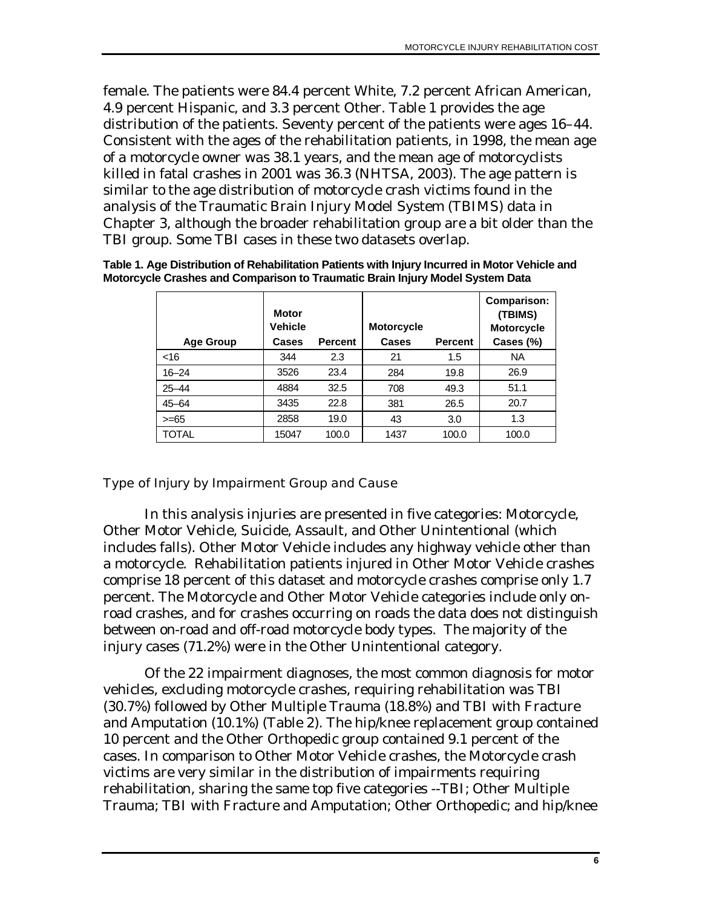<span id="page-13-0"></span>female. The patients were 84.4 percent White, 7.2 percent African American, 4.9 percent Hispanic, and 3.3 percent Other. Table 1 provides the age distribution of the patients. Seventy percent of the patients were ages 16–44. Consistent with the ages of the rehabilitation patients, in 1998, the mean age of a motorcycle owner was 38.1 years, and the mean age of motorcyclists killed in fatal crashes in 2001 was 36.3 (NHTSA, 2003). The age pattern is similar to the age distribution of motorcycle crash victims found in the analysis of the Traumatic Brain Injury Model System (TBIMS) data in Chapter 3, although the broader rehabilitation group are a bit older than the TBI group. Some TBI cases in these two datasets overlap.

| Table 1. Age Distribution of Rehabilitation Patients with Injury Incurred in Motor Vehicle and |  |
|------------------------------------------------------------------------------------------------|--|
| Motorcycle Crashes and Comparison to Traumatic Brain Injury Model System Data                  |  |

| <b>Age Group</b> | <b>Motor</b><br><b>Vehicle</b><br><b>Cases</b> | <b>Percent</b> | <b>Motorcycle</b><br>Cases | <b>Percent</b> | <b>Comparison:</b><br>(TBIMS)<br><b>Motorcycle</b><br>Cases (%) |
|------------------|------------------------------------------------|----------------|----------------------------|----------------|-----------------------------------------------------------------|
| $<$ 16           | 344                                            | 2.3            | 21                         | 1.5            | <b>NA</b>                                                       |
| $16 - 24$        | 3526                                           | 23.4           | 284                        | 19.8           | 26.9                                                            |
| $25 - 44$        | 4884                                           | 32.5           | 708                        | 49.3           | 51.1                                                            |
| $45 - 64$        | 3435                                           | 22.8           | 381                        | 26.5           | 20.7                                                            |
| $>= 65$          | 2858                                           | 19.0           | 43                         | 3.0            | 1.3                                                             |
| <b>TOTAL</b>     | 15047                                          | 100.0          | 1437                       | 100.0          | 100.0                                                           |

#### Type of Injury by Impairment Group and Cause

In this analysis injuries are presented in five categories: Motorcycle, Other Motor Vehicle, Suicide, Assault, and Other Unintentional (which includes falls). Other Motor Vehicle includes any highway vehicle other than a motorcycle. Rehabilitation patients injured in Other Motor Vehicle crashes comprise 18 percent of this dataset and motorcycle crashes comprise only 1.7 percent. The Motorcycle and Other Motor Vehicle categories include only onroad crashes, and for crashes occurring on roads the data does not distinguish between on-road and off-road motorcycle body types. The majority of the injury cases (71.2%) were in the Other Unintentional category.

Of the 22 impairment diagnoses, the most common diagnosis for motor vehicles, excluding motorcycle crashes, requiring rehabilitation was TBI (30.7%) followed by Other Multiple Trauma (18.8%) and TBI with Fracture and Amputation (10.1%) (Table 2). The hip/knee replacement group contained 10 percent and the Other Orthopedic group contained 9.1 percent of the cases. In comparison to Other Motor Vehicle crashes, the Motorcycle crash victims are very similar in the distribution of impairments requiring rehabilitation, sharing the same top five categories --TBI; Other Multiple Trauma; TBI with Fracture and Amputation; Other Orthopedic; and hip/knee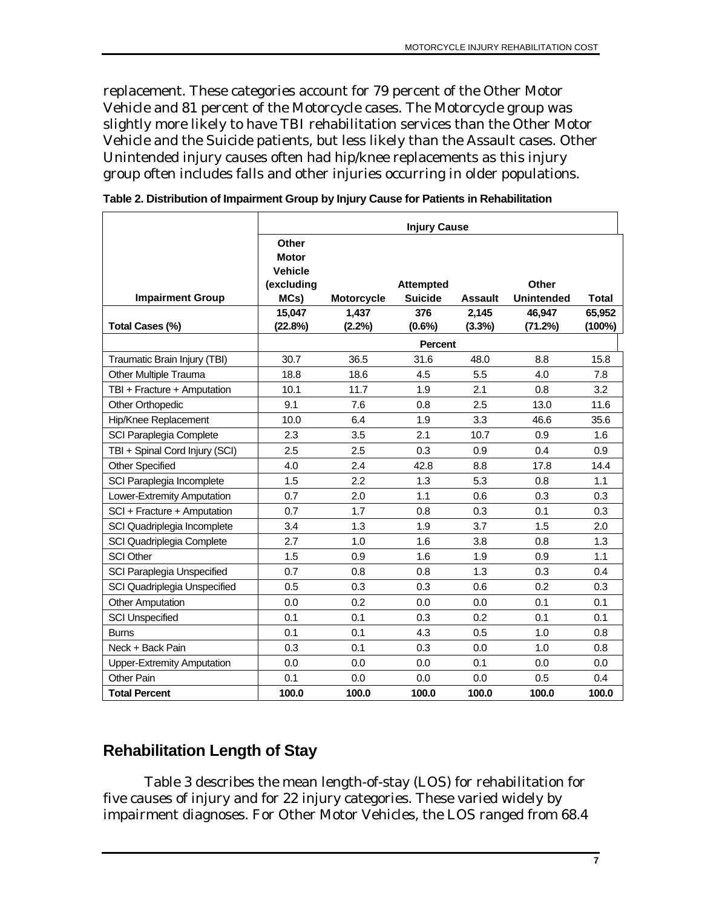<span id="page-14-0"></span>replacement. These categories account for 79 percent of the Other Motor Vehicle and 81 percent of the Motorcycle cases. The Motorcycle group was slightly more likely to have TBI rehabilitation services than the Other Motor Vehicle and the Suicide patients, but less likely than the Assault cases. Other Unintended injury causes often had hip/knee replacements as this injury group often includes falls and other injuries occurring in older populations.

|                                   | <b>Injury Cause</b>                                           |                   |                                    |                 |                            |                     |
|-----------------------------------|---------------------------------------------------------------|-------------------|------------------------------------|-----------------|----------------------------|---------------------|
| <b>Impairment Group</b>           | Other<br><b>Motor</b><br><b>Vehicle</b><br>(excluding<br>MCs) | <b>Motorcycle</b> | <b>Attempted</b><br><b>Suicide</b> | <b>Assault</b>  | Other<br><b>Unintended</b> | <b>Total</b>        |
| Total Cases (%)                   | 15,047<br>(22.8%)                                             | 1,437<br>(2.2%)   | 376<br>$(0.6\%)$                   | 2,145<br>(3.3%) | 46,947<br>(71.2%)          | 65,952<br>$(100\%)$ |
|                                   |                                                               |                   | <b>Percent</b>                     |                 |                            |                     |
| Traumatic Brain Injury (TBI)      | 30.7                                                          | 36.5              | 31.6                               | 48.0            | 8.8                        | 15.8                |
| Other Multiple Trauma             | 18.8                                                          | 18.6              | 4.5                                | 5.5             | 4.0                        | 7.8                 |
| TBI + Fracture + Amputation       | 10.1                                                          | 11.7              | 1.9                                | 2.1             | 0.8                        | 3.2                 |
| <b>Other Orthopedic</b>           | 9.1                                                           | 7.6               | 0.8                                | 2.5             | 13.0                       | 11.6                |
| Hip/Knee Replacement              | 10.0                                                          | 6.4               | 1.9                                | 3.3             | 46.6                       | 35.6                |
| SCI Paraplegia Complete           | 2.3                                                           | 3.5               | 2.1                                | 10.7            | 0.9                        | 1.6                 |
| TBI + Spinal Cord Injury (SCI)    | 2.5                                                           | 2.5               | 0.3                                | 0.9             | 0.4                        | 0.9                 |
| <b>Other Specified</b>            | 4.0                                                           | 2.4               | 42.8                               | 8.8             | 17.8                       | 14.4                |
| SCI Paraplegia Incomplete         | 1.5                                                           | 2.2               | 1.3                                | 5.3             | 0.8                        | 1.1                 |
| Lower-Extremity Amputation        | 0.7                                                           | 2.0               | 1.1                                | 0.6             | 0.3                        | 0.3                 |
| SCI + Fracture + Amputation       | 0.7                                                           | 1.7               | 0.8                                | 0.3             | 0.1                        | 0.3                 |
| SCI Quadriplegia Incomplete       | 3.4                                                           | 1.3               | 1.9                                | 3.7             | 1.5                        | 2.0                 |
| SCI Quadriplegia Complete         | 2.7                                                           | 1.0               | 1.6                                | 3.8             | 0.8                        | 1.3                 |
| <b>SCI Other</b>                  | 1.5                                                           | 0.9               | 1.6                                | 1.9             | 0.9                        | 1.1                 |
| SCI Paraplegia Unspecified        | 0.7                                                           | 0.8               | 0.8                                | 1.3             | 0.3                        | 0.4                 |
| SCI Quadriplegia Unspecified      | 0.5                                                           | 0.3               | 0.3                                | 0.6             | 0.2                        | 0.3                 |
| <b>Other Amputation</b>           | 0.0                                                           | 0.2               | 0.0                                | 0.0             | 0.1                        | 0.1                 |
| <b>SCI Unspecified</b>            | 0.1                                                           | 0.1               | 0.3                                | 0.2             | 0.1                        | 0.1                 |
| <b>Burns</b>                      | 0.1                                                           | 0.1               | 4.3                                | 0.5             | 1.0                        | 0.8                 |
| Neck + Back Pain                  | 0.3                                                           | 0.1               | 0.3                                | 0.0             | 1.0                        | 0.8                 |
| <b>Upper-Extremity Amputation</b> | 0.0                                                           | 0.0               | 0.0                                | 0.1             | 0.0                        | 0.0                 |
| Other Pain                        | 0.1                                                           | 0.0               | 0.0                                | 0.0             | 0.5                        | 0.4                 |
| <b>Total Percent</b>              | 100.0                                                         | 100.0             | 100.0                              | 100.0           | 100.0                      | 100.0               |

**Table 2. Distribution of Impairment Group by Injury Cause for Patients in Rehabilitation** 

# **Rehabilitation Length of Stay**

Table 3 describes the mean length-of-stay (LOS) for rehabilitation for five causes of injury and for 22 injury categories. These varied widely by impairment diagnoses. For Other Motor Vehicles, the LOS ranged from 68.4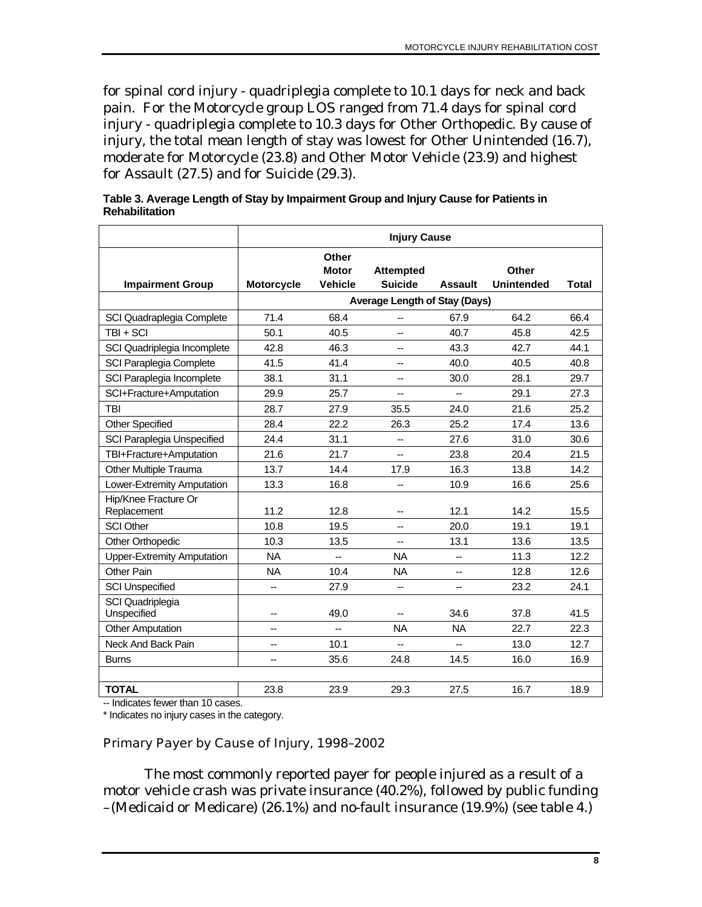<span id="page-15-0"></span>for spinal cord injury - quadriplegia complete to 10.1 days for neck and back pain. For the Motorcycle group LOS ranged from 71.4 days for spinal cord injury - quadriplegia complete to 10.3 days for Other Orthopedic. By cause of injury, the total mean length of stay was lowest for Other Unintended (16.7), moderate for Motorcycle (23.8) and Other Motor Vehicle (23.9) and highest for Assault (27.5) and for Suicide (29.3).

|                                     | <b>Injury Cause</b> |                       |                                      |                |                   |       |
|-------------------------------------|---------------------|-----------------------|--------------------------------------|----------------|-------------------|-------|
|                                     |                     | Other<br><b>Motor</b> | <b>Attempted</b>                     |                | Other             |       |
| <b>Impairment Group</b>             | <b>Motorcycle</b>   | <b>Vehicle</b>        | <b>Suicide</b>                       | <b>Assault</b> | <b>Unintended</b> | Total |
|                                     |                     |                       | <b>Average Length of Stay (Days)</b> |                |                   |       |
| SCI Quadraplegia Complete           | 71.4                | 68.4                  | --                                   | 67.9           | 64.2              | 66.4  |
| TBI + SCI                           | 50.1                | 40.5                  | $\overline{a}$                       | 40.7           | 45.8              | 42.5  |
| SCI Quadriplegia Incomplete         | 42.8                | 46.3                  | $\overline{a}$                       | 43.3           | 42.7              | 44.1  |
| SCI Paraplegia Complete             | 41.5                | 41.4                  | --                                   | 40.0           | 40.5              | 40.8  |
| SCI Paraplegia Incomplete           | 38.1                | 31.1                  | --                                   | 30.0           | 28.1              | 29.7  |
| SCI+Fracture+Amputation             | 29.9                | 25.7                  | --                                   | -−             | 29.1              | 27.3  |
| <b>TBI</b>                          | 28.7                | 27.9                  | 35.5                                 | 24.0           | 21.6              | 25.2  |
| <b>Other Specified</b>              | 28.4                | 22.2                  | 26.3                                 | 25.2           | 17.4              | 13.6  |
| SCI Paraplegia Unspecified          | 24.4                | 31.1                  | --                                   | 27.6           | 31.0              | 30.6  |
| TBI+Fracture+Amputation             | 21.6                | 21.7                  | --                                   | 23.8           | 20.4              | 21.5  |
| Other Multiple Trauma               | 13.7                | 14.4                  | 17.9                                 | 16.3           | 13.8              | 14.2  |
| Lower-Extremity Amputation          | 13.3                | 16.8                  | --                                   | 10.9           | 16.6              | 25.6  |
| Hip/Knee Fracture Or<br>Replacement | 11.2                | 12.8                  | $\overline{\phantom{a}}$             | 12.1           | 14.2              | 15.5  |
| <b>SCI Other</b>                    | 10.8                | 19.5                  | --                                   | 20.0           | 19.1              | 19.1  |
| Other Orthopedic                    | 10.3                | 13.5                  | --                                   | 13.1           | 13.6              | 13.5  |
| <b>Upper-Extremity Amputation</b>   | <b>NA</b>           | -−                    | <b>NA</b>                            | $\overline{a}$ | 11.3              | 12.2  |
| Other Pain                          | <b>NA</b>           | 10.4                  | <b>NA</b>                            | $\overline{a}$ | 12.8              | 12.6  |
| <b>SCI Unspecified</b>              | --                  | 27.9                  | --                                   | --             | 23.2              | 24.1  |
| SCI Quadriplegia<br>Unspecified     |                     | 49.0                  |                                      | 34.6           | 37.8              | 41.5  |
| <b>Other Amputation</b>             | --                  | --                    | <b>NA</b>                            | <b>NA</b>      | 22.7              | 22.3  |
| Neck And Back Pain                  | --                  | 10.1                  | $\overline{a}$                       | $\overline{a}$ | 13.0              | 12.7  |
| <b>Burns</b>                        |                     | 35.6                  | 24.8                                 | 14.5           | 16.0              | 16.9  |
|                                     |                     |                       |                                      |                |                   |       |
| <b>TOTAL</b>                        | 23.8                | 23.9                  | 29.3                                 | 27.5           | 16.7              | 18.9  |

**Table 3. Average Length of Stay by Impairment Group and Injury Cause for Patients in Rehabilitation** 

-- Indicates fewer than 10 cases.

\* Indicates no injury cases in the category.

#### Primary Payer by Cause of Injury, 1998–2002

The most commonly reported payer for people injured as a result of a motor vehicle crash was private insurance (40.2%), followed by public funding –(Medicaid or Medicare) (26.1%) and no-fault insurance (19.9%) (see table 4.)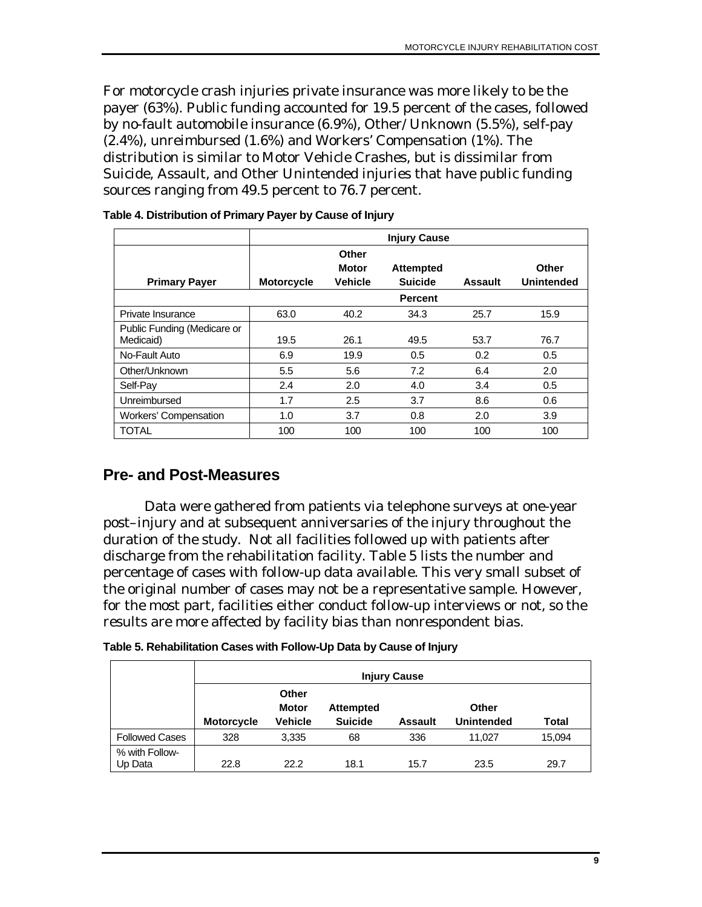<span id="page-16-0"></span>For motorcycle crash injuries private insurance was more likely to be the payer (63%). Public funding accounted for 19.5 percent of the cases, followed by no-fault automobile insurance (6.9%), Other/ Unknown (5.5%), self-pay (2.4%), unreimbursed (1.6%) and Workers' Compensation (1%). The distribution is similar to Motor Vehicle Crashes, but is dissimilar from Suicide, Assault, and Other Unintended injuries that have public funding sources ranging from 49.5 percent to 76.7 percent.

|                                          |                   |                                         | <b>Injury Cause</b>                |                |                            |
|------------------------------------------|-------------------|-----------------------------------------|------------------------------------|----------------|----------------------------|
| <b>Primary Payer</b>                     | <b>Motorcycle</b> | Other<br><b>Motor</b><br><b>Vehicle</b> | <b>Attempted</b><br><b>Suicide</b> | <b>Assault</b> | Other<br><b>Unintended</b> |
|                                          |                   |                                         | <b>Percent</b>                     |                |                            |
| Private Insurance                        | 63.0              | 40.2                                    | 34.3                               | 25.7           | 15.9                       |
| Public Funding (Medicare or<br>Medicaid) | 19.5              | 26.1                                    | 49.5                               | 53.7           | 76.7                       |
| No-Fault Auto                            | 6.9               | 19.9                                    | 0.5                                | 0.2            | 0.5                        |
| Other/Unknown                            | 5.5               | 5.6                                     | 7.2                                | 6.4            | 2.0                        |
| Self-Pay                                 | 2.4               | 2.0                                     | 4.0                                | 3.4            | 0.5                        |
| Unreimbursed                             | 1.7               | 2.5                                     | 3.7                                | 8.6            | 0.6                        |
| Workers' Compensation                    | 1.0               | 3.7                                     | 0.8                                | 2.0            | 3.9                        |
| <b>TOTAL</b>                             | 100               | 100                                     | 100                                | 100            | 100                        |

**Table 4. Distribution of Primary Payer by Cause of Injury** 

#### **Pre- and Post-Measures**

Data were gathered from patients via telephone surveys at one-year post–injury and at subsequent anniversaries of the injury throughout the duration of the study. Not all facilities followed up with patients after discharge from the rehabilitation facility. Table 5 lists the number and percentage of cases with follow-up data available. This very small subset of the original number of cases may not be a representative sample. However, for the most part, facilities either conduct follow-up interviews or not, so the results are more affected by facility bias than nonrespondent bias.

| Table 5. Rehabilitation Cases with Follow-Up Data by Cause of Injury |  |  |
|----------------------------------------------------------------------|--|--|
|----------------------------------------------------------------------|--|--|

|                           | <b>Injury Cause</b> |                                         |                                    |                |                            |        |
|---------------------------|---------------------|-----------------------------------------|------------------------------------|----------------|----------------------------|--------|
|                           | <b>Motorcycle</b>   | Other<br><b>Motor</b><br><b>Vehicle</b> | <b>Attempted</b><br><b>Suicide</b> | <b>Assault</b> | Other<br><b>Unintended</b> | Total  |
| <b>Followed Cases</b>     | 328                 | 3,335                                   | 68                                 | 336            | 11.027                     | 15,094 |
| % with Follow-<br>Up Data | 22.8                | 22.2                                    | 18.1                               | 15.7           | 23.5                       | 29.7   |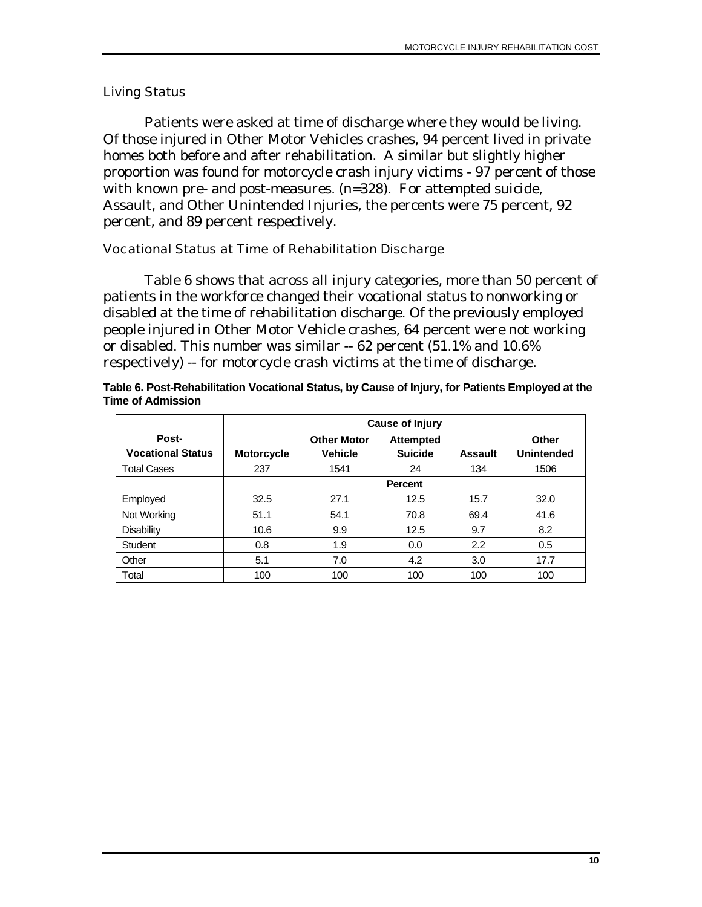#### <span id="page-17-0"></span>Living Status

Patients were asked at time of discharge where they would be living. Of those injured in Other Motor Vehicles crashes, 94 percent lived in private homes both before and after rehabilitation. A similar but slightly higher proportion was found for motorcycle crash injury victims - 97 percent of those with known pre- and post-measures. (n=328). For attempted suicide, Assault, and Other Unintended Injuries, the percents were 75 percent, 92 percent, and 89 percent respectively.

#### Vocational Status at Time of Rehabilitation Discharge

Table 6 shows that across all injury categories, more than 50 percent of patients in the workforce changed their vocational status to nonworking or disabled at the time of rehabilitation discharge. Of the previously employed people injured in Other Motor Vehicle crashes, 64 percent were not working or disabled. This number was similar -- 62 percent (51.1% and 10.6% respectively) -- for motorcycle crash victims at the time of discharge.

|                          | Cause of Injury   |                    |                  |                |                   |  |
|--------------------------|-------------------|--------------------|------------------|----------------|-------------------|--|
| Post-                    |                   | <b>Other Motor</b> | <b>Attempted</b> |                | Other             |  |
| <b>Vocational Status</b> | <b>Motorcycle</b> | <b>Vehicle</b>     | <b>Suicide</b>   | <b>Assault</b> | <b>Unintended</b> |  |
| <b>Total Cases</b>       | 237               | 1541               | 24               | 134            | 1506              |  |
|                          |                   |                    | <b>Percent</b>   |                |                   |  |
| Employed                 | 32.5              | 27.1               | 12.5             | 15.7           | 32.0              |  |
| Not Working              | 51.1              | 54.1               | 70.8             | 69.4           | 41.6              |  |
| <b>Disability</b>        | 10.6              | 9.9                | 12.5             | 9.7            | 8.2               |  |
| Student                  | 0.8               | 1.9                | 0.0              | 2.2            | 0.5               |  |
| Other                    | 5.1               | 7.0                | 4.2              | 3.0            | 17.7              |  |
| Total                    | 100               | 100                | 100              | 100            | 100               |  |

**Table 6. Post-Rehabilitation Vocational Status, by Cause of Injury, for Patients Employed at the Time of Admission**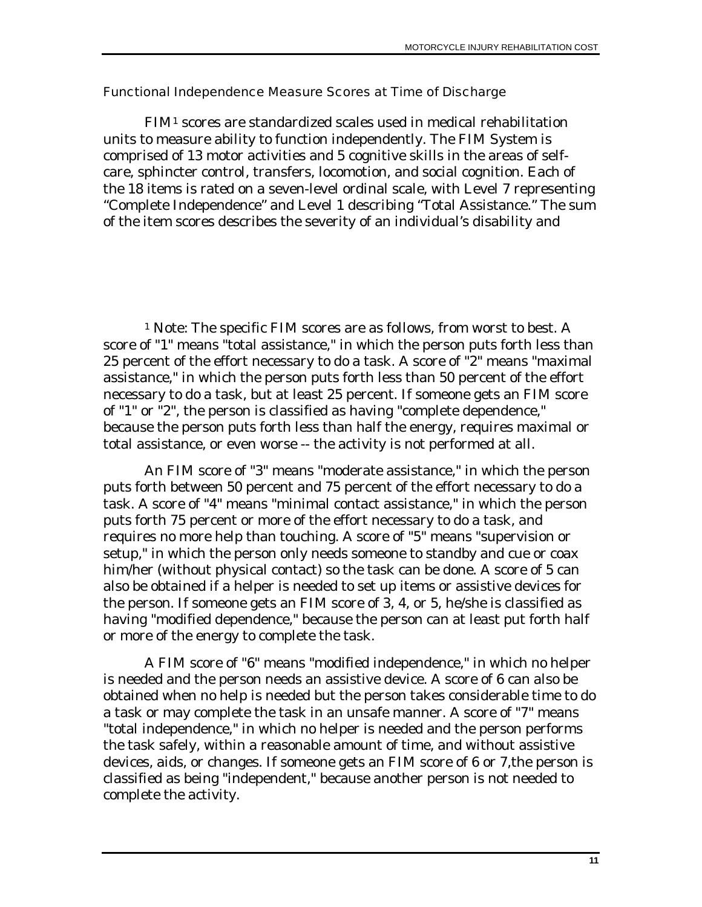#### <span id="page-18-0"></span>Functional Independence Measure Scores at Time of Discharge

FIM[1](#page-18-1) scores are standardized scales used in medical rehabilitation units to measure ability to function independently. The FIM System is comprised of 13 motor activities and 5 cognitive skills in the areas of selfcare, sphincter control, transfers, locomotion, and social cognition. Each of the 18 items is rated on a seven-level ordinal scale, with Level 7 representing "Complete Independence" and Level 1 describing "Total Assistance." The sum of the item scores describes the severity of an individual's disability and

<span id="page-18-1"></span><sup>1</sup> Note: The specific FIM scores are as follows, from worst to best. A score of "1" means "total assistance," in which the person puts forth less than 25 percent of the effort necessary to do a task. A score of "2" means "maximal assistance," in which the person puts forth less than 50 percent of the effort necessary to do a task, but at least 25 percent. If someone gets an FIM score of "1" or "2", the person is classified as having "complete dependence," because the person puts forth less than half the energy, requires maximal or total assistance, or even worse -- the activity is not performed at all.

An FIM score of "3" means "moderate assistance," in which the person puts forth between 50 percent and 75 percent of the effort necessary to do a task. A score of "4" means "minimal contact assistance," in which the person puts forth 75 percent or more of the effort necessary to do a task, and requires no more help than touching. A score of "5" means "supervision or setup," in which the person only needs someone to standby and cue or coax him/her (without physical contact) so the task can be done. A score of 5 can also be obtained if a helper is needed to set up items or assistive devices for the person. If someone gets an FIM score of 3, 4, or 5, he/she is classified as having "modified dependence," because the person can at least put forth half or more of the energy to complete the task.

A FIM score of "6" means "modified independence," in which no helper is needed and the person needs an assistive device. A score of 6 can also be obtained when no help is needed but the person takes considerable time to do a task or may complete the task in an unsafe manner. A score of "7" means "total independence," in which no helper is needed and the person performs the task safely, within a reasonable amount of time, and without assistive devices, aids, or changes. If someone gets an FIM score of 6 or 7,the person is classified as being "independent," because another person is not needed to complete the activity.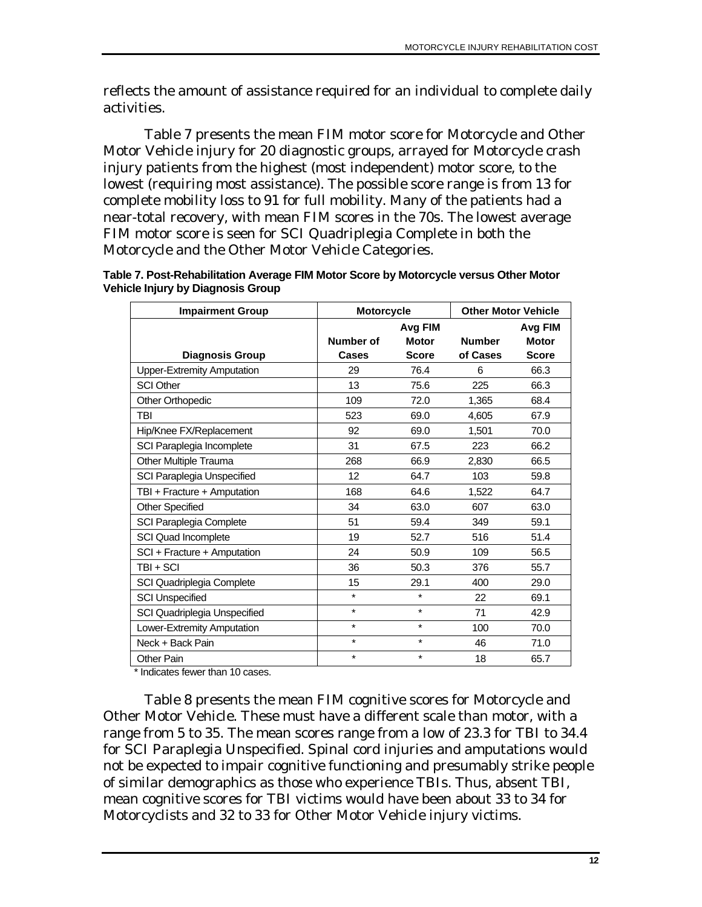reflects the amount of assistance required for an individual to complete daily activities.

Table 7 presents the mean FIM motor score for Motorcycle and Other Motor Vehicle injury for 20 diagnostic groups, arrayed for Motorcycle crash injury patients from the highest (most independent) motor score, to the lowest (requiring most assistance). The possible score range is from 13 for complete mobility loss to 91 for full mobility. Many of the patients had a near-total recovery, with mean FIM scores in the 70s. The lowest average FIM motor score is seen for SCI Quadriplegia Complete in both the Motorcycle and the Other Motor Vehicle Categories.

| Table 7. Post-Rehabilitation Average FIM Motor Score by Motorcycle versus Other Motor |
|---------------------------------------------------------------------------------------|
| <b>Vehicle Injury by Diagnosis Group</b>                                              |

| <b>Impairment Group</b>           | <b>Motorcycle</b> |              | <b>Other Motor Vehicle</b> |              |
|-----------------------------------|-------------------|--------------|----------------------------|--------------|
|                                   |                   | Avg FIM      |                            | Avg FIM      |
|                                   | Number of         | <b>Motor</b> | <b>Number</b>              | <b>Motor</b> |
| <b>Diagnosis Group</b>            | <b>Cases</b>      | <b>Score</b> | of Cases                   | <b>Score</b> |
| <b>Upper-Extremity Amputation</b> | 29                | 76.4         | 6                          | 66.3         |
| <b>SCI Other</b>                  | 13                | 75.6         | 225                        | 66.3         |
| <b>Other Orthopedic</b>           | 109               | 72.0         | 1,365                      | 68.4         |
| TBI                               | 523               | 69.0         | 4,605                      | 67.9         |
| Hip/Knee FX/Replacement           | 92                | 69.0         | 1,501                      | 70.0         |
| SCI Paraplegia Incomplete         | 31                | 67.5         | 223                        | 66.2         |
| Other Multiple Trauma             | 268               | 66.9         | 2,830                      | 66.5         |
| SCI Paraplegia Unspecified        | 12                | 64.7         | 103                        | 59.8         |
| TBI + Fracture + Amputation       | 168               | 64.6         | 1,522                      | 64.7         |
| <b>Other Specified</b>            | 34                | 63.0         | 607                        | 63.0         |
| SCI Paraplegia Complete           | 51                | 59.4         | 349                        | 59.1         |
| SCI Quad Incomplete               | 19                | 52.7         | 516                        | 51.4         |
| SCI + Fracture + Amputation       | 24                | 50.9         | 109                        | 56.5         |
| TBI+SCI                           | 36                | 50.3         | 376                        | 55.7         |
| SCI Quadriplegia Complete         | 15                | 29.1         | 400                        | 29.0         |
| <b>SCI Unspecified</b>            | $\star$           | $\star$      | 22                         | 69.1         |
| SCI Quadriplegia Unspecified      | $\star$           | $\star$      | 71                         | 42.9         |
| Lower-Extremity Amputation        | $\star$           | $\star$      | 100                        | 70.0         |
| Neck + Back Pain                  | $\star$           | $\star$      | 46                         | 71.0         |
| Other Pain                        | $\star$           | $\star$      | 18                         | 65.7         |

\* Indicates fewer than 10 cases.

Table 8 presents the mean FIM cognitive scores for Motorcycle and Other Motor Vehicle. These must have a different scale than motor, with a range from 5 to 35. The mean scores range from a low of 23.3 for TBI to 34.4 for SCI Paraplegia Unspecified. Spinal cord injuries and amputations would not be expected to impair cognitive functioning and presumably strike people of similar demographics as those who experience TBIs. Thus, absent TBI, mean cognitive scores for TBI victims would have been about 33 to 34 for Motorcyclists and 32 to 33 for Other Motor Vehicle injury victims.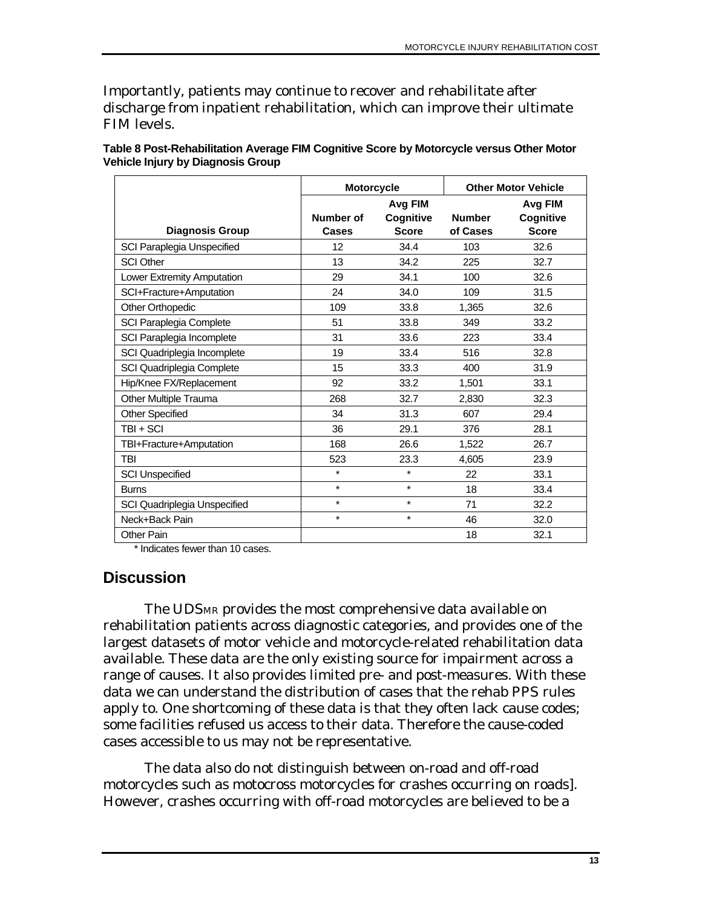<span id="page-20-0"></span>Importantly, patients may continue to recover and rehabilitate after discharge from inpatient rehabilitation, which can improve their ultimate FIM levels.

|                              |           | <b>Motorcycle</b> |               | <b>Other Motor Vehicle</b> |
|------------------------------|-----------|-------------------|---------------|----------------------------|
|                              |           | Avg FIM           |               | Avg FIM                    |
|                              | Number of | Cognitive         | <b>Number</b> | Cognitive                  |
| <b>Diagnosis Group</b>       | Cases     | <b>Score</b>      | of Cases      | <b>Score</b>               |
| SCI Paraplegia Unspecified   | 12        | 34.4              | 103           | 32.6                       |
| <b>SCI Other</b>             | 13        | 34.2              | 225           | 32.7                       |
| Lower Extremity Amputation   | 29        | 34.1              | 100           | 32.6                       |
| SCI+Fracture+Amputation      | 24        | 34.0              | 109           | 31.5                       |
| Other Orthopedic             | 109       | 33.8              | 1,365         | 32.6                       |
| SCI Paraplegia Complete      | 51        | 33.8              | 349           | 33.2                       |
| SCI Paraplegia Incomplete    | 31        | 33.6              | 223           | 33.4                       |
| SCI Quadriplegia Incomplete  | 19        | 33.4              | 516           | 32.8                       |
| SCI Quadriplegia Complete    | 15        | 33.3              | 400           | 31.9                       |
| Hip/Knee FX/Replacement      | 92        | 33.2              | 1,501         | 33.1                       |
| Other Multiple Trauma        | 268       | 32.7              | 2,830         | 32.3                       |
| <b>Other Specified</b>       | 34        | 31.3              | 607           | 29.4                       |
| $TBI + SCI$                  | 36        | 29.1              | 376           | 28.1                       |
| TBI+Fracture+Amputation      | 168       | 26.6              | 1,522         | 26.7                       |
| <b>TBI</b>                   | 523       | 23.3              | 4,605         | 23.9                       |
| <b>SCI Unspecified</b>       | $\star$   | $\star$           | 22            | 33.1                       |
| <b>Burns</b>                 | $\star$   | $\star$           | 18            | 33.4                       |
| SCI Quadriplegia Unspecified | $\star$   | $\star$           | 71            | 32.2                       |
| Neck+Back Pain               | $\star$   | $\star$           | 46            | 32.0                       |
| <b>Other Pain</b>            |           |                   | 18            | 32.1                       |

**Table 8 Post-Rehabilitation Average FIM Cognitive Score by Motorcycle versus Other Motor Vehicle Injury by Diagnosis Group** 

\* Indicates fewer than 10 cases.

#### **Discussion**

The UDSMR provides the most comprehensive data available on rehabilitation patients across diagnostic categories, and provides one of the largest datasets of motor vehicle and motorcycle-related rehabilitation data available. These data are the only existing source for impairment across a range of causes. It also provides limited pre- and post-measures. With these data we can understand the distribution of cases that the rehab PPS rules apply to. One shortcoming of these data is that they often lack cause codes; some facilities refused us access to their data. Therefore the cause-coded cases accessible to us may not be representative.

The data also do not distinguish between on-road and off-road motorcycles such as motocross motorcycles for crashes occurring on roads]. However, crashes occurring with off-road motorcycles are believed to be a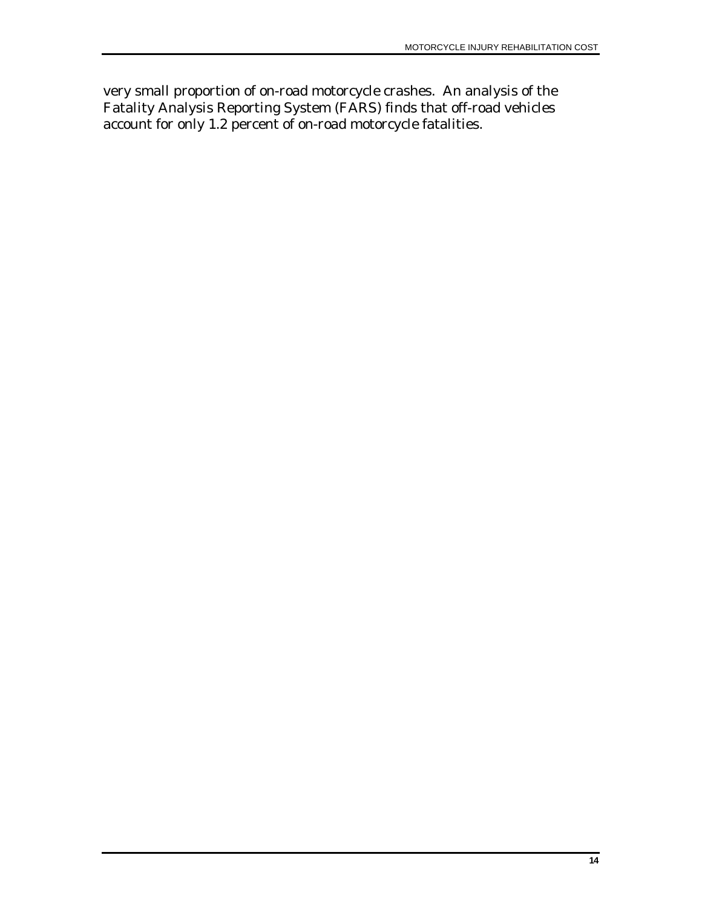very small proportion of on-road motorcycle crashes. An analysis of the Fatality Analysis Reporting System (FARS) finds that off-road vehicles account for only 1.2 percent of on-road motorcycle fatalities.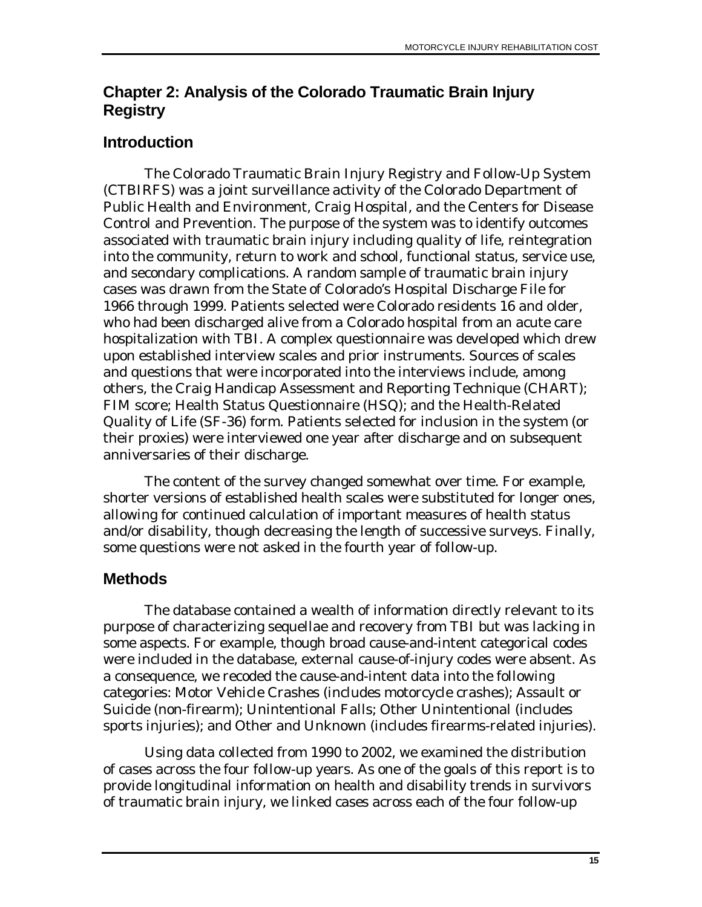# <span id="page-22-0"></span>**Chapter 2: Analysis of the Colorado Traumatic Brain Injury Registry**

# **Introduction**

The Colorado Traumatic Brain Injury Registry and Follow-Up System (CTBIRFS) was a joint surveillance activity of the Colorado Department of Public Health and Environment, Craig Hospital, and the Centers for Disease Control and Prevention. The purpose of the system was to identify outcomes associated with traumatic brain injury including quality of life, reintegration into the community, return to work and school, functional status, service use, and secondary complications. A random sample of traumatic brain injury cases was drawn from the State of Colorado's Hospital Discharge File for 1966 through 1999. Patients selected were Colorado residents 16 and older, who had been discharged alive from a Colorado hospital from an acute care hospitalization with TBI. A complex questionnaire was developed which drew upon established interview scales and prior instruments. Sources of scales and questions that were incorporated into the interviews include, among others, the Craig Handicap Assessment and Reporting Technique (CHART); FIM score; Health Status Questionnaire (HSQ); and the Health-Related Quality of Life (SF-36) form. Patients selected for inclusion in the system (or their proxies) were interviewed one year after discharge and on subsequent anniversaries of their discharge.

The content of the survey changed somewhat over time. For example, shorter versions of established health scales were substituted for longer ones, allowing for continued calculation of important measures of health status and/or disability, though decreasing the length of successive surveys. Finally, some questions were not asked in the fourth year of follow-up.

# **Methods**

The database contained a wealth of information directly relevant to its purpose of characterizing sequellae and recovery from TBI but was lacking in some aspects. For example, though broad cause-and-intent categorical codes were included in the database, external cause-of-injury codes were absent. As a consequence, we recoded the cause-and-intent data into the following categories: Motor Vehicle Crashes (includes motorcycle crashes); Assault or Suicide (non-firearm); Unintentional Falls; Other Unintentional (includes sports injuries); and Other and Unknown (includes firearms-related injuries).

Using data collected from 1990 to 2002, we examined the distribution of cases across the four follow-up years. As one of the goals of this report is to provide longitudinal information on health and disability trends in survivors of traumatic brain injury, we linked cases across each of the four follow-up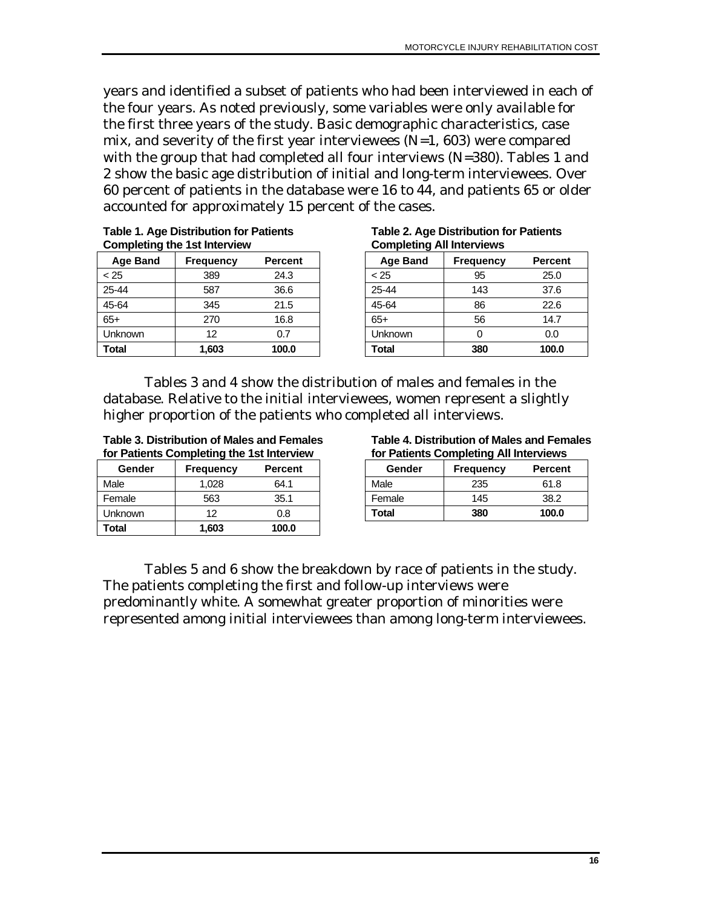years and identified a subset of patients who had been interviewed in each of the four years. As noted previously, some variables were only available for the first three years of the study. Basic demographic characteristics, case mix, and severity of the first year interviewees  $(N=1, 603)$  were compared with the group that had completed all four interviews (N=380). Tables 1 and 2 show the basic age distribution of initial and long-term interviewees. Over 60 percent of patients in the database were 16 to 44, and patients 65 or older accounted for approximately 15 percent of the cases.

**Table 1. Age Distribution for Patients Completing the 1st Interview** 

| <b>Age Band</b> | <b>Frequency</b> | <b>Percent</b> |
|-----------------|------------------|----------------|
| < 25            | 389              | 24.3           |
| 25-44           | 587              | 36.6           |
| 45-64           | 345              | 21.5           |
| $65+$           | 270              | 16.8           |
| Unknown         | 12               | 0.7            |
| <b>Total</b>    | 1,603            | 100.0          |

**Table 2. Age Distribution for Patients Completing All Interviews** 

| <b>Age Band</b> | <b>Frequency</b> | <b>Percent</b> |
|-----------------|------------------|----------------|
| < 25            | 95               | 25.0           |
| 25-44           | 143              | 37.6           |
| 45-64           | 86               | 22.6           |
| $65+$           | 56               | 14.7           |
| Unknown         |                  | 0.0            |
| Total           | 380              | 100.0          |

Tables 3 and 4 show the distribution of males and females in the database. Relative to the initial interviewees, women represent a slightly higher proportion of the patients who completed all interviews.

**Table 3. Distribution of Males and Females for Patients Completing the 1st Interview** 

| Gender  | <b>Frequency</b> | <b>Percent</b> |
|---------|------------------|----------------|
| Male    | 1,028            | 64.1           |
| Female  | 563              | 35.1           |
| Unknown | 12               | 0.8            |
| Total   | 1.603            | 100.0          |

**Table 4. Distribution of Males and Females for Patients Completing All Interviews** 

| Gender | <b>Frequency</b> | <b>Percent</b> |
|--------|------------------|----------------|
| Male   | 235              | 61.8           |
| Female | 145              | 38.2           |
| Total  | 380              | 100.0          |

Tables 5 and 6 show the breakdown by race of patients in the study. The patients completing the first and follow-up interviews were predominantly white. A somewhat greater proportion of minorities were represented among initial interviewees than among long-term interviewees.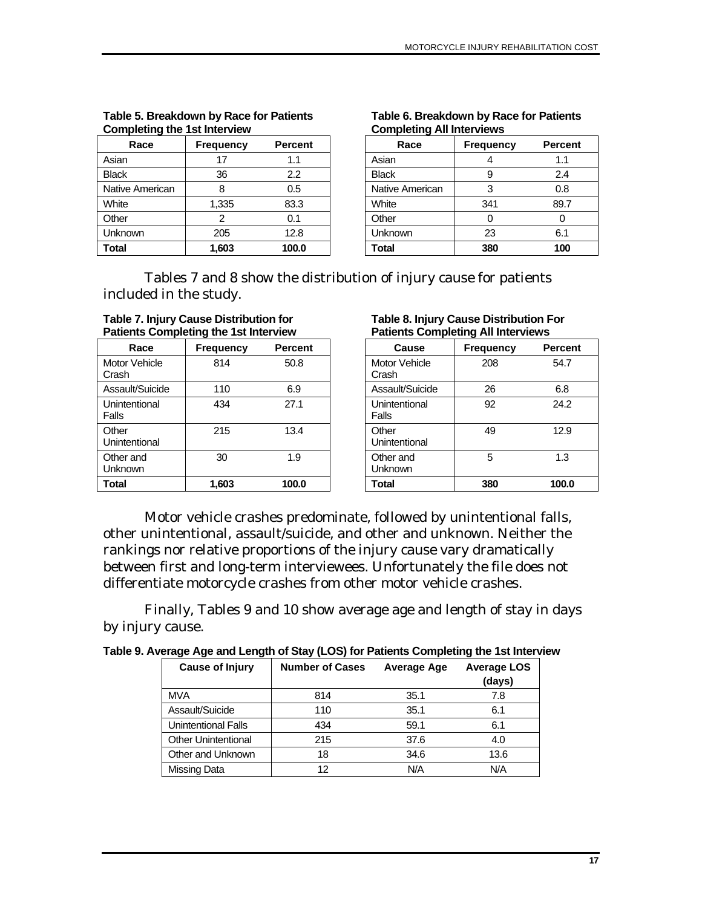| Race            | <b>Frequency</b> | <b>Percent</b> |
|-----------------|------------------|----------------|
| Asian           | 17               | 1.1            |
| <b>Black</b>    | 36               | 2.2            |
| Native American | 8                | 0.5            |
| White           | 1,335            | 83.3           |
| Other           | 2                | 0.1            |
| Unknown         | 205              | 12.8           |
| Total           | 1,603            | 100.0          |

#### **Table 5. Breakdown by Race for Patients Completing the 1st Interview**

#### **Table 6. Breakdown by Race for Patients Completing All Interviews**

| Race            | <b>Frequency</b> | <b>Percent</b> |
|-----------------|------------------|----------------|
| Asian           | 4                | 1.1            |
| <b>Black</b>    | 9                | 2.4            |
| Native American | 3                | 0.8            |
| White           | 341              | 89.7           |
| Other           | በ                |                |
| Unknown         | 23               | 6.1            |
| Total           | 380              | 100            |

Tables 7 and 8 show the distribution of injury cause for patients included in the study.

| <b>Table 7. Injury Cause Distribution for</b><br><b>Patients Completing the 1st Interview</b> |                  |               |
|-----------------------------------------------------------------------------------------------|------------------|---------------|
| Race                                                                                          | <b>Frequency</b> | <b>Percen</b> |

 $\mathbf{r}$ 

| Race                   | <b>Frequency</b> | <b>Percent</b> |
|------------------------|------------------|----------------|
| Motor Vehicle<br>Crash | 814              | 50.8           |
| Assault/Suicide        | 110              | 6.9            |
| Unintentional<br>Falls | 434              | 27.1           |
| Other<br>Unintentional | 215              | 13.4           |
| Other and<br>Unknown   | 30               | 1.9            |
| <b>Total</b>           | 1,603            | 100.0          |

| Table 8. Injury Cause Distribution For    |  |  |  |
|-------------------------------------------|--|--|--|
| <b>Patients Completing All Interviews</b> |  |  |  |

| Cause                  | <b>Frequency</b> | Percent |
|------------------------|------------------|---------|
| Motor Vehicle<br>Crash | 208              | 54.7    |
| Assault/Suicide        | 26               | 6.8     |
| Unintentional<br>Falls | 92               | 24.2    |
| Other<br>Unintentional | 49               | 12.9    |
| Other and<br>Unknown   | 5                | 1.3     |
| Total                  | 380              | 100.0   |

Motor vehicle crashes predominate, followed by unintentional falls, other unintentional, assault/suicide, and other and unknown. Neither the rankings nor relative proportions of the injury cause vary dramatically between first and long-term interviewees. Unfortunately the file does not differentiate motorcycle crashes from other motor vehicle crashes.

Finally, Tables 9 and 10 show average age and length of stay in days by injury cause.

| Table 9. Average Age and Length of Stay (LOS) for Patients Completing the 1st Interview |
|-----------------------------------------------------------------------------------------|
|-----------------------------------------------------------------------------------------|

| <b>Cause of Injury</b>     | <b>Number of Cases</b> | Average Age | <b>Average LOS</b><br>(days) |
|----------------------------|------------------------|-------------|------------------------------|
| <b>MVA</b>                 | 814                    | 35.1        | 7.8                          |
| Assault/Suicide            | 110                    | 35.1        | 6.1                          |
| <b>Unintentional Falls</b> | 434                    | 59.1        | 6.1                          |
| <b>Other Unintentional</b> | 215                    | 37.6        | 4.0                          |
| Other and Unknown          | 18                     | 34.6        | 13.6                         |
| Missing Data               | 12                     | N/A         | N/A                          |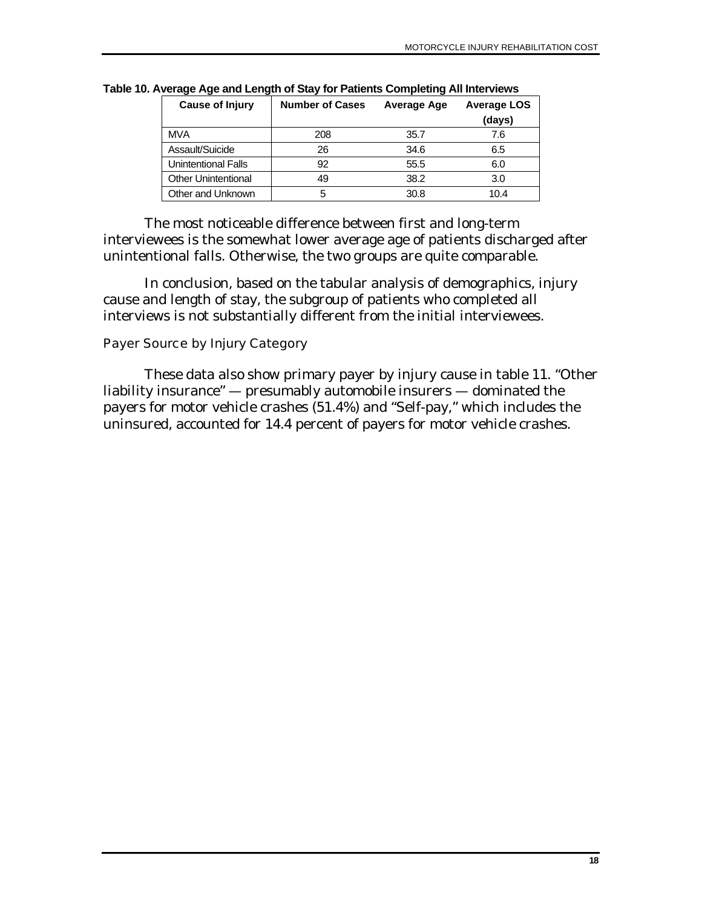| <b>Cause of Injury</b>     | <b>Number of Cases</b> | Average Age | <b>Average LOS</b><br>(days) |
|----------------------------|------------------------|-------------|------------------------------|
| <b>MVA</b>                 | 208                    | 35.7        | 7.6                          |
| Assault/Suicide            | 26                     | 34.6        | 6.5                          |
| <b>Unintentional Falls</b> | 92                     | 55.5        | 6.0                          |
| <b>Other Unintentional</b> | 49                     | 38.2        | 3.0                          |
| Other and Unknown          | 5                      | 30.8        | 10.4                         |

<span id="page-25-0"></span>**Table 10. Average Age and Length of Stay for Patients Completing All Interviews** 

The most noticeable difference between first and long-term interviewees is the somewhat lower average age of patients discharged after unintentional falls. Otherwise, the two groups are quite comparable.

In conclusion, based on the tabular analysis of demographics, injury cause and length of stay, the subgroup of patients who completed all interviews is not substantially different from the initial interviewees.

#### Payer Source by Injury Category

These data also show primary payer by injury cause in table 11. "Other liability insurance" — presumably automobile insurers — dominated the payers for motor vehicle crashes (51.4%) and "Self-pay," which includes the uninsured, accounted for 14.4 percent of payers for motor vehicle crashes.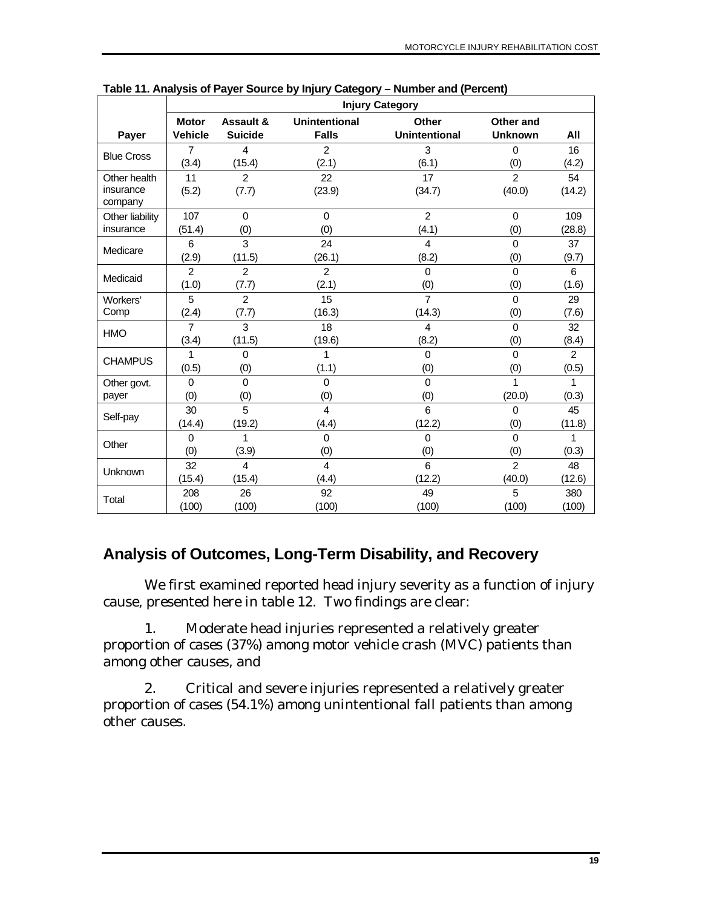|                   | <b>Injury Category</b> |                |                         |                      |                |                |
|-------------------|------------------------|----------------|-------------------------|----------------------|----------------|----------------|
|                   | <b>Motor</b>           | Assault &      | Unintentional           | <b>Other</b>         | Other and      |                |
| Payer             | <b>Vehicle</b>         | <b>Suicide</b> | <b>Falls</b>            | <b>Unintentional</b> | <b>Unknown</b> | All            |
| <b>Blue Cross</b> | $\overline{7}$         | 4              | 2                       | 3                    | $\Omega$       | 16             |
|                   | (3.4)                  | (15.4)         | (2.1)                   | (6.1)                | (0)            | (4.2)          |
| Other health      | 11                     | $\overline{2}$ | 22                      | 17                   | $\overline{2}$ | 54             |
| insurance         | (5.2)                  | (7.7)          | (23.9)                  | (34.7)               | (40.0)         | (14.2)         |
| company           |                        |                |                         |                      |                |                |
| Other liability   | 107                    | $\Omega$       | $\Omega$                | $\mathcal{P}$        | $\Omega$       | 109            |
| insurance         | (51.4)                 | (0)            | (0)                     | (4.1)                | (0)            | (28.8)         |
| Medicare          | 6                      | 3              | 24                      | 4                    | $\Omega$       | 37             |
|                   | (2.9)                  | (11.5)         | (26.1)                  | (8.2)                | (0)            | (9.7)          |
| Medicaid          | $\overline{2}$         | $\overline{2}$ | $\overline{2}$          | $\Omega$             | $\Omega$       | 6              |
|                   | (1.0)                  | (7.7)          | (2.1)                   | (0)                  | (0)            | (1.6)          |
| Workers'          | 5                      | $\overline{2}$ | 15                      | $\overline{7}$       | $\Omega$       | 29             |
| Comp              | (2.4)                  | (7.7)          | (16.3)                  | (14.3)               | (0)            | (7.6)          |
| <b>HMO</b>        | $\overline{7}$         | 3              | 18                      | 4                    | $\Omega$       | 32             |
|                   | (3.4)                  | (11.5)         | (19.6)                  | (8.2)                | (0)            | (8.4)          |
| <b>CHAMPUS</b>    | 1                      | $\Omega$       | 1                       | $\Omega$             | $\Omega$       | $\overline{2}$ |
|                   | (0.5)                  | (0)            | (1.1)                   | (0)                  | (0)            | (0.5)          |
| Other govt.       | $\Omega$               | $\Omega$       | $\Omega$                | $\overline{0}$       | 1              | 1              |
| payer             | (0)                    | (0)            | (0)                     | (0)                  | (20.0)         | (0.3)          |
|                   | 30                     | 5              | $\overline{4}$          | 6                    | $\Omega$       | 45             |
| Self-pay          | (14.4)                 | (19.2)         | (4.4)                   | (12.2)               | (0)            | (11.8)         |
|                   | $\mathbf 0$            | 1              | 0                       | $\Omega$             | $\Omega$       | 1              |
| Other             | (0)                    | (3.9)          | (0)                     | (0)                  | (0)            | (0.3)          |
|                   | 32                     | $\overline{4}$ | $\overline{\mathbf{4}}$ | 6                    | $\overline{2}$ | 48             |
| Unknown           | (15.4)                 | (15.4)         | (4.4)                   | (12.2)               | (40.0)         | (12.6)         |
| Total             | 208                    | 26             | 92                      | 49                   | 5              | 380            |
|                   | (100)                  | (100)          | (100)                   | (100)                | (100)          | (100)          |

<span id="page-26-0"></span>**Table 11. Analysis of Payer Source by Injury Category – Number and (Percent)** 

# **Analysis of Outcomes, Long-Term Disability, and Recovery**

We first examined reported head injury severity as a function of injury cause, presented here in table 12. Two findings are clear:

1. Moderate head injuries represented a relatively greater proportion of cases (37%) among motor vehicle crash (MVC) patients than among other causes, and

2. Critical and severe injuries represented a relatively greater proportion of cases (54.1%) among unintentional fall patients than among other causes.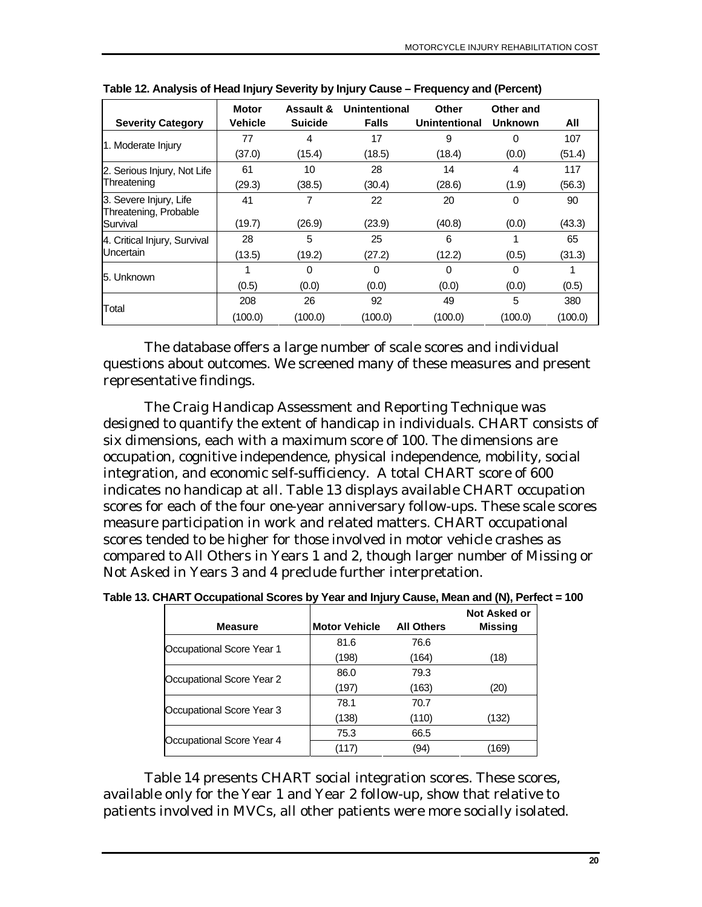| <b>Severity Category</b>                        | <b>Motor</b><br>Vehicle | Assault &<br><b>Suicide</b> | Unintentional<br><b>Falls</b> | Other<br>Unintentional | Other and<br><b>Unknown</b> | All     |
|-------------------------------------------------|-------------------------|-----------------------------|-------------------------------|------------------------|-----------------------------|---------|
|                                                 | 77                      | 4                           | 17                            | 9                      | 0                           | 107     |
| 1. Moderate Injury                              | (37.0)                  | (15.4)                      | (18.5)                        | (18.4)                 | (0.0)                       | (51.4)  |
| 2. Serious Injury, Not Life                     | 61                      | 10                          | 28                            | 14                     | 4                           | 117     |
| Threatening                                     | (29.3)                  | (38.5)                      | (30.4)                        | (28.6)                 | (1.9)                       | (56.3)  |
| 3. Severe Injury, Life<br>Threatening, Probable | 41                      |                             | 22                            | 20                     | 0                           | 90      |
| Survival                                        | (19.7)                  | (26.9)                      | (23.9)                        | (40.8)                 | (0.0)                       | (43.3)  |
| 4. Critical Injury, Survival                    | 28                      | 5                           | 25                            | 6                      |                             | 65      |
| Uncertain                                       | (13.5)                  | (19.2)                      | (27.2)                        | (12.2)                 | (0.5)                       | (31.3)  |
| 5. Unknown                                      |                         | $\Omega$                    | $\Omega$                      | 0                      | $\Omega$                    |         |
|                                                 | (0.5)                   | (0.0)                       | (0.0)                         | (0.0)                  | (0.0)                       | (0.5)   |
| Total                                           | 208                     | 26                          | 92                            | 49                     | 5                           | 380     |
|                                                 | (100.0)                 | (100.0)                     | (100.0)                       | (100.0)                | (100.0)                     | (100.0) |

**Table 12. Analysis of Head Injury Severity by Injury Cause – Frequency and (Percent)** 

The database offers a large number of scale scores and individual questions about outcomes. We screened many of these measures and present representative findings.

The Craig Handicap Assessment and Reporting Technique was designed to quantify the extent of handicap in individuals. CHART consists of six dimensions, each with a maximum score of 100. The dimensions are occupation, cognitive independence, physical independence, mobility, social integration, and economic self-sufficiency. A total CHART score of 600 indicates no handicap at all. Table 13 displays available CHART occupation scores for each of the four one-year anniversary follow-ups. These scale scores measure participation in work and related matters. CHART occupational scores tended to be higher for those involved in motor vehicle crashes as compared to All Others in Years 1 and 2, though larger number of Missing or Not Asked in Years 3 and 4 preclude further interpretation.

| Table 13. CHART Occupational Scores by Year and Injury Cause, Mean and (N), Perfect = 100 |
|-------------------------------------------------------------------------------------------|
|-------------------------------------------------------------------------------------------|

| <b>Measure</b>            | <b>Motor Vehicle</b> | <b>All Others</b> | Not Asked or<br>Missing |
|---------------------------|----------------------|-------------------|-------------------------|
|                           | 81.6                 | 76.6              |                         |
| Occupational Score Year 1 | (198)                | (164)             | (18)                    |
| Occupational Score Year 2 | 86.0                 | 79.3              |                         |
|                           | (197)                | (163)             | (20)                    |
| Occupational Score Year 3 | 78.1                 | 70.7              |                         |
|                           | (138)                | (110)             | (132)                   |
| Occupational Score Year 4 | 75.3                 | 66.5              |                         |
|                           | (117)                | (94)              | (169)                   |

Table 14 presents CHART social integration scores. These scores, available only for the Year 1 and Year 2 follow-up, show that relative to patients involved in MVCs, all other patients were more socially isolated.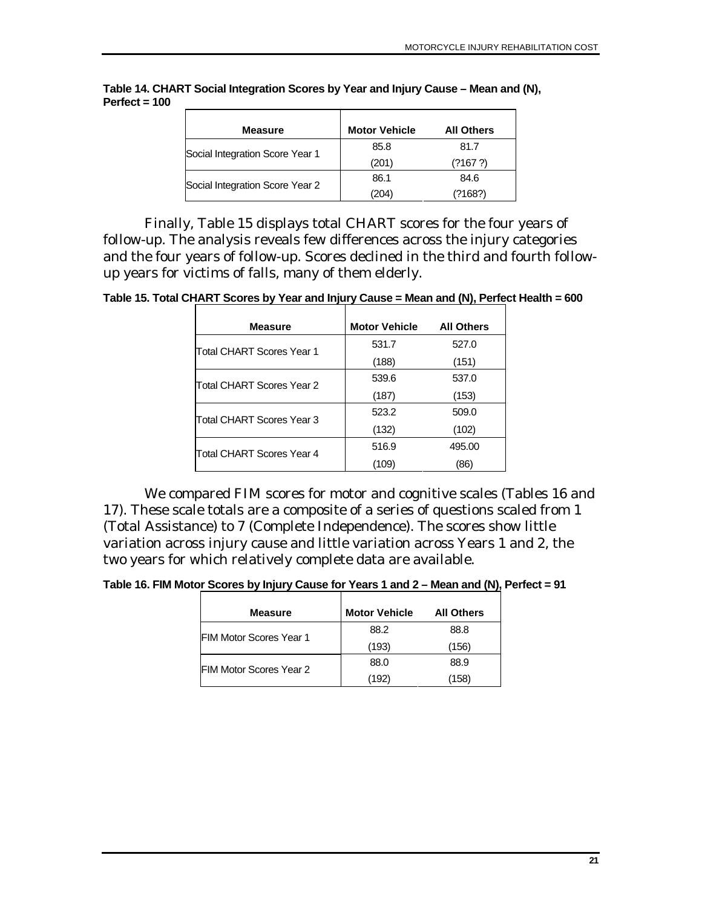| <b>Measure</b>                  | <b>Motor Vehicle</b> | <b>All Others</b> |
|---------------------------------|----------------------|-------------------|
| Social Integration Score Year 1 | 85.8                 | 81.7              |
|                                 | (201)                | (2167.2)          |
|                                 | 86.1                 | 84.6              |
| Social Integration Score Year 2 | (204)                | (?168?)           |

**Table 14. CHART Social Integration Scores by Year and Injury Cause – Mean and (N), Perfect = 100** 

Finally, Table 15 displays total CHART scores for the four years of follow-up. The analysis reveals few differences across the injury categories and the four years of follow-up. Scores declined in the third and fourth followup years for victims of falls, many of them elderly.

**Table 15. Total CHART Scores by Year and Injury Cause = Mean and (N), Perfect Health = 600** 

| <b>Measure</b>            | <b>Motor Vehicle</b> | <b>All Others</b> |
|---------------------------|----------------------|-------------------|
| Total CHART Scores Year 1 | 531.7                | 527.0             |
|                           | (188)                | (151)             |
| Total CHART Scores Year 2 | 539.6                | 537.0             |
|                           | (187)                | (153)             |
| Total CHART Scores Year 3 | 523.2                | 509.0             |
|                           | (132)                | (102)             |
| Total CHART Scores Year 4 | 516.9                | 495.00            |
|                           | (109)                | (86)              |

We compared FIM scores for motor and cognitive scales (Tables 16 and 17). These scale totals are a composite of a series of questions scaled from 1 (Total Assistance) to 7 (Complete Independence). The scores show little variation across injury cause and little variation across Years 1 and 2, the two years for which relatively complete data are available.

**Table 16. FIM Motor Scores by Injury Cause for Years 1 and 2 – Mean and (N), Perfect = 91** 

| Measure                        | <b>Motor Vehicle</b> | <b>All Others</b> |
|--------------------------------|----------------------|-------------------|
| <b>FIM Motor Scores Year 1</b> | 88.2                 | 88.8              |
|                                | (193)                | (156)             |
| <b>FIM Motor Scores Year 2</b> | 88.0                 | 88.9              |
|                                | (192)                | (158)             |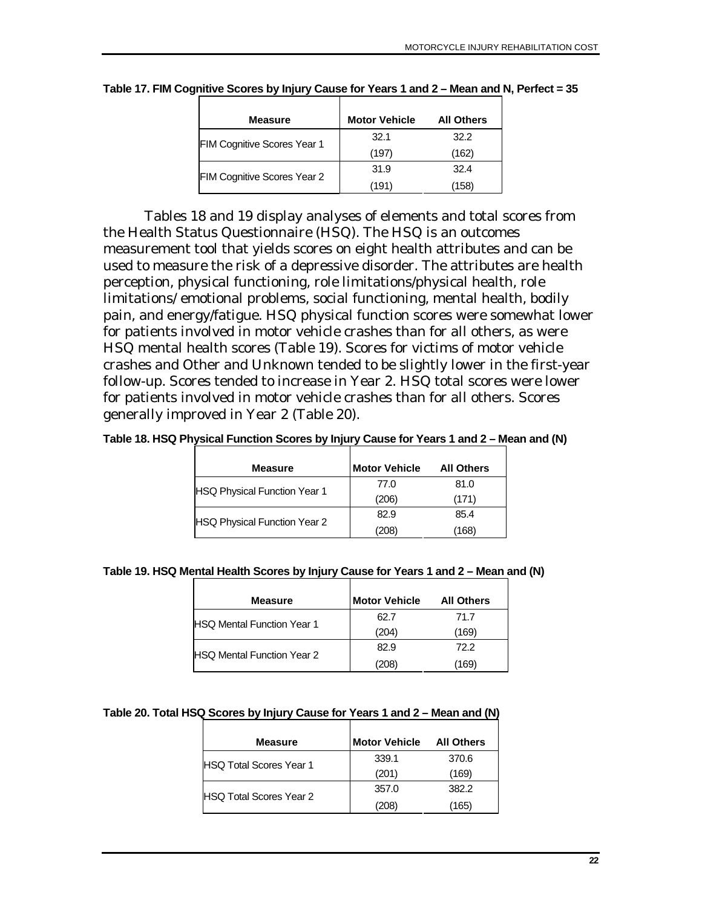| Measure                     | <b>Motor Vehicle</b> | <b>All Others</b> |
|-----------------------------|----------------------|-------------------|
| FIM Cognitive Scores Year 1 | 32.1                 | 32.2              |
|                             | (197)                | (162)             |
|                             | 31.9                 | 32.4              |
| FIM Cognitive Scores Year 2 | (191)                | (158)             |

**Table 17. FIM Cognitive Scores by Injury Cause for Years 1 and 2 – Mean and N, Perfect = 35** 

Tables 18 and 19 display analyses of elements and total scores from the Health Status Questionnaire (HSQ). The HSQ is an outcomes measurement tool that yields scores on eight health attributes and can be used to measure the risk of a depressive disorder. The attributes are health perception, physical functioning, role limitations/physical health, role limitations/ emotional problems, social functioning, mental health, bodily pain, and energy/fatigue. HSQ physical function scores were somewhat lower for patients involved in motor vehicle crashes than for all others, as were HSQ mental health scores (Table 19). Scores for victims of motor vehicle crashes and Other and Unknown tended to be slightly lower in the first-year follow-up. Scores tended to increase in Year 2. HSQ total scores were lower for patients involved in motor vehicle crashes than for all others. Scores generally improved in Year 2 (Table 20).

**Table 18. HSQ Physical Function Scores by Injury Cause for Years 1 and 2 – Mean and (N)** 

| <b>Measure</b>                      | <b>Motor Vehicle</b> | <b>All Others</b> |
|-------------------------------------|----------------------|-------------------|
| <b>HSQ Physical Function Year 1</b> | 77.0                 | 81.0              |
|                                     | (206)                | (171)             |
| <b>HSQ Physical Function Year 2</b> | 82.9                 | 85.4              |
|                                     | (208)                | (168)             |

| <b>Measure</b>                    | <b>Motor Vehicle</b> | <b>All Others</b> |
|-----------------------------------|----------------------|-------------------|
| <b>HSQ Mental Function Year 1</b> | 62.7                 | 71.7              |
|                                   | (204)                | (169)             |
| <b>HSQ Mental Function Year 2</b> | 82.9                 | 72.2              |
|                                   | (208)                | 169)              |

#### **Table 20. Total HSQ Scores by Injury Cause for Years 1 and 2 – Mean and (N)**

| <b>Measure</b>                  | <b>Motor Vehicle</b> | <b>All Others</b> |
|---------------------------------|----------------------|-------------------|
| <b>IHSO Total Scores Year 1</b> | 339.1                | 370.6             |
|                                 | (201)                | (169)             |
| <b>HSO Total Scores Year 2</b>  | 357.0                | 382.2             |
|                                 | $^{\prime}208)$      | (165)             |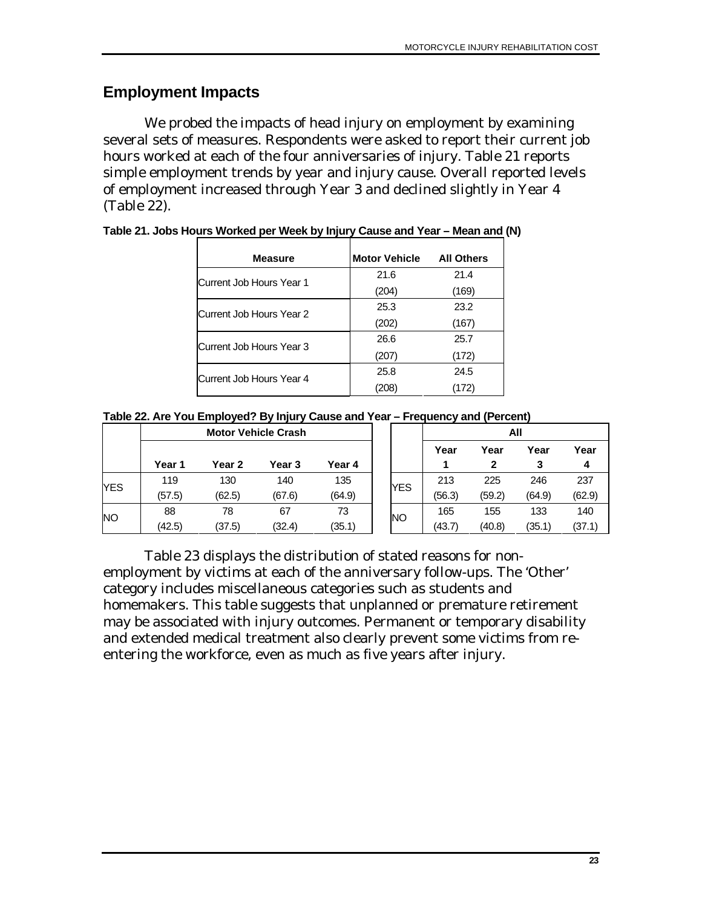### <span id="page-30-0"></span>**Employment Impacts**

We probed the impacts of head injury on employment by examining several sets of measures. Respondents were asked to report their current job hours worked at each of the four anniversaries of injury. Table 21 reports simple employment trends by year and injury cause. Overall reported levels of employment increased through Year 3 and declined slightly in Year 4 (Table 22).

| <b>Measure</b>           | <b>Motor Vehicle</b> | <b>All Others</b> |
|--------------------------|----------------------|-------------------|
| Current Job Hours Year 1 | 21.6                 | 21.4              |
|                          | (204)                | (169)             |
| Current Job Hours Year 2 | 25.3                 | 23.2              |
|                          | (202)                | (167)             |
| Current Job Hours Year 3 | 26.6                 | 25.7              |
|                          | (207)                | (172)             |
| Current Job Hours Year 4 | 25.8                 | 24.5              |
|                          | (208)                | (172)             |

**Table 21. Jobs Hours Worked per Week by Injury Cause and Year – Mean and (N)** 

| Table 22. Are You Employed? By Injury Cause and Year - Frequency and (Percent) |  |  |  |  |
|--------------------------------------------------------------------------------|--|--|--|--|

|            |        |        | <b>Motor Vehicle Crash</b> |        |           |        |        | All    |        |
|------------|--------|--------|----------------------------|--------|-----------|--------|--------|--------|--------|
|            |        |        |                            |        |           | Year   | Year   | Year   | Year   |
|            | Year 1 | Year 2 | Year 3                     | Year 4 |           |        | 2      | 3      | 4      |
| <b>YES</b> | 119    | 130    | 140                        | 135    | YES       | 213    | 225    | 246    | 237    |
|            | (57.5) | (62.5) | (67.6)                     | (64.9) |           | (56.3) | (59.2) | (64.9) | (62.9) |
| <b>NO</b>  | 88     | 78     | 67                         | 73     | <b>NO</b> | 165    | 155    | 133    | 140    |
|            | (42.5) | (37.5) | (32.4)                     | (35.1) |           | (43.7) | (40.8) | (35.1) | (37.1) |

Table 23 displays the distribution of stated reasons for nonemployment by victims at each of the anniversary follow-ups. The 'Other' category includes miscellaneous categories such as students and homemakers. This table suggests that unplanned or premature retirement may be associated with injury outcomes. Permanent or temporary disability and extended medical treatment also clearly prevent some victims from reentering the workforce, even as much as five years after injury.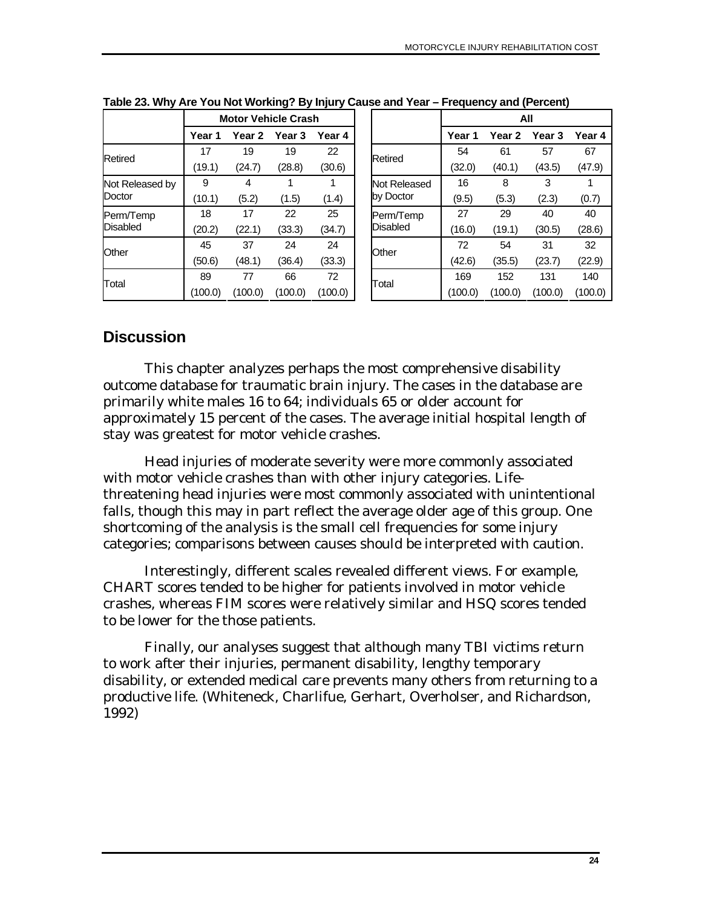|                           | <b>Motor Vehicle Crash</b> |         |                   |         |  |                           | All     |         |                   |         |
|---------------------------|----------------------------|---------|-------------------|---------|--|---------------------------|---------|---------|-------------------|---------|
|                           | Year 1                     | Year 2  | Year <sub>3</sub> | Year 4  |  |                           | Year 1  | Year 2  | Year <sub>3</sub> | Year 4  |
| Retired                   | 17                         | 19      | 19                | 22      |  | Retired                   | 54      | 61      | 57                | 67      |
|                           | (19.1)                     | (24.7)  | (28.8)            | (30.6)  |  |                           | (32.0)  | (40.1)  | (43.5)            | (47.9)  |
| Not Released by<br>Doctor | 9                          | 4       |                   |         |  | Not Released<br>by Doctor | 16      | 8       | 3                 |         |
|                           | (10.1)                     | (5.2)   | (1.5)             | (1.4)   |  |                           | (9.5)   | (5.3)   | (2.3)             | (0.7)   |
| Perm/Temp                 | 18                         | 17      | 22                | 25      |  | Perm/Temp                 | 27      | 29      | 40                | 40      |
| <b>Disabled</b>           | (20.2)                     | (22.1)  | (33.3)            | (34.7)  |  | Disabled                  | (16.0)  | (19.1)  | (30.5)            | (28.6)  |
| Other                     | 45                         | 37      | 24                | 24      |  | Other                     | 72      | 54      | 31                | 32      |
|                           | (50.6)                     | (48.1)  | (36.4)            | (33.3)  |  |                           | (42.6)  | (35.5)  | (23.7)            | (22.9)  |
| Total                     | 89                         | 77      | 66                | 72      |  |                           | 169     | 152     | 131               | 140     |
|                           | (100.0)                    | (100.0) | (100.0)           | (100.0) |  | Total                     | (100.0) | (100.0) | (100.0)           | (100.0) |

<span id="page-31-0"></span>**Table 23. Why Are You Not Working? By Injury Cause and Year – Frequency and (Percent)** 

### **Discussion**

This chapter analyzes perhaps the most comprehensive disability outcome database for traumatic brain injury. The cases in the database are primarily white males 16 to 64; individuals 65 or older account for approximately 15 percent of the cases. The average initial hospital length of stay was greatest for motor vehicle crashes.

Head injuries of moderate severity were more commonly associated with motor vehicle crashes than with other injury categories. Lifethreatening head injuries were most commonly associated with unintentional falls, though this may in part reflect the average older age of this group. One shortcoming of the analysis is the small cell frequencies for some injury categories; comparisons between causes should be interpreted with caution.

Interestingly, different scales revealed different views. For example, CHART scores tended to be higher for patients involved in motor vehicle crashes, whereas FIM scores were relatively similar and HSQ scores tended to be lower for the those patients.

Finally, our analyses suggest that although many TBI victims return to work after their injuries, permanent disability, lengthy temporary disability, or extended medical care prevents many others from returning to a productive life. (Whiteneck, Charlifue, Gerhart, Overholser, and Richardson, 1992)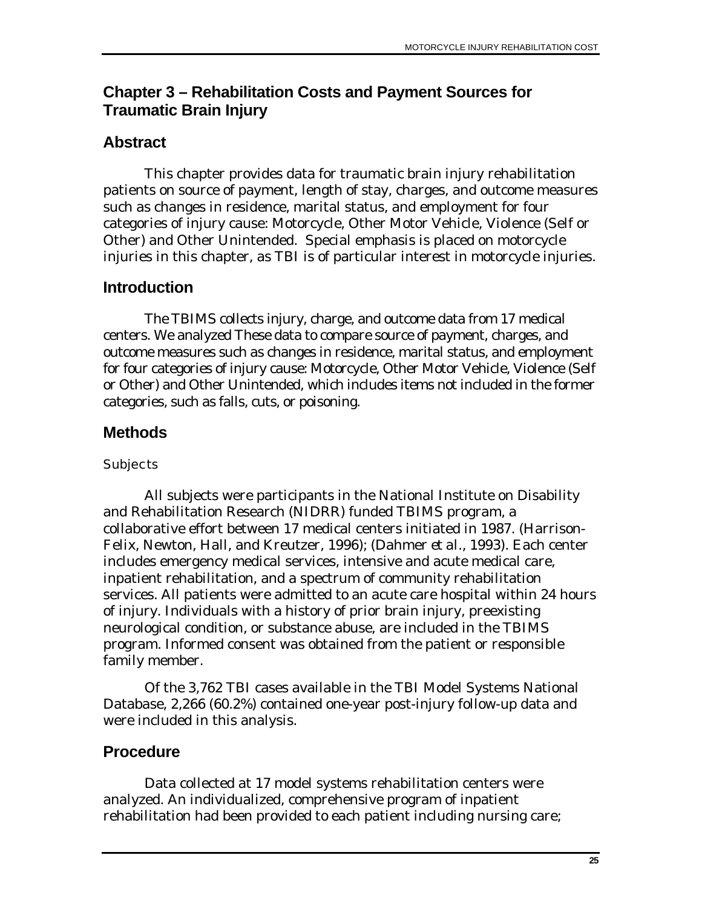# <span id="page-32-0"></span>**Chapter 3 – Rehabilitation Costs and Payment Sources for Traumatic Brain Injury**

## **Abstract**

This chapter provides data for traumatic brain injury rehabilitation patients on source of payment, length of stay, charges, and outcome measures such as changes in residence, marital status, and employment for four categories of injury cause: Motorcycle, Other Motor Vehicle, Violence (Self or Other) and Other Unintended. Special emphasis is placed on motorcycle injuries in this chapter, as TBI is of particular interest in motorcycle injuries.

### **Introduction**

The TBIMS collects injury, charge, and outcome data from 17 medical centers. We analyzed These data to compare source of payment, charges, and outcome measures such as changes in residence, marital status, and employment for four categories of injury cause: Motorcycle, Other Motor Vehicle, Violence (Self or Other) and Other Unintended, which includes items not included in the former categories, such as falls, cuts, or poisoning.

# **Methods**

#### **Subjects**

All subjects were participants in the National Institute on Disability and Rehabilitation Research (NIDRR) funded TBIMS program, a collaborative effort between 17 medical centers initiated in 1987. (Harrison-Felix, Newton, Hall, and Kreutzer, 1996); (Dahmer *et al.*, 1993). Each center includes emergency medical services, intensive and acute medical care, inpatient rehabilitation, and a spectrum of community rehabilitation services. All patients were admitted to an acute care hospital within 24 hours of injury. Individuals with a history of prior brain injury, preexisting neurological condition, or substance abuse, are included in the TBIMS program. Informed consent was obtained from the patient or responsible family member.

Of the 3,762 TBI cases available in the TBI Model Systems National Database, 2,266 (60.2%) contained one-year post-injury follow-up data and were included in this analysis.

# **Procedure**

Data collected at 17 model systems rehabilitation centers were analyzed. An individualized, comprehensive program of inpatient rehabilitation had been provided to each patient including nursing care;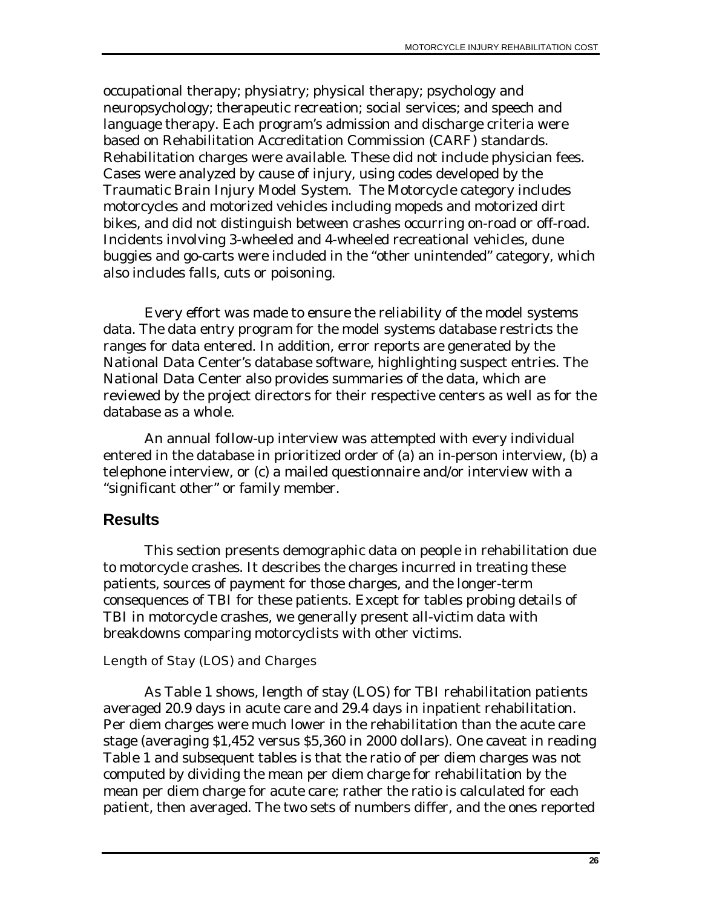<span id="page-33-0"></span>occupational therapy; physiatry; physical therapy; psychology and neuropsychology; therapeutic recreation; social services; and speech and language therapy. Each program's admission and discharge criteria were based on Rehabilitation Accreditation Commission (CARF) standards. Rehabilitation charges were available. These did not include physician fees. Cases were analyzed by cause of injury, using codes developed by the Traumatic Brain Injury Model System. The Motorcycle category includes motorcycles and motorized vehicles including mopeds and motorized dirt bikes, and did not distinguish between crashes occurring on-road or off-road. Incidents involving 3-wheeled and 4-wheeled recreational vehicles, dune buggies and go-carts were included in the "other unintended" category, which also includes falls, cuts or poisoning.

Every effort was made to ensure the reliability of the model systems data. The data entry program for the model systems database restricts the ranges for data entered. In addition, error reports are generated by the National Data Center's database software, highlighting suspect entries. The National Data Center also provides summaries of the data, which are reviewed by the project directors for their respective centers as well as for the database as a whole.

An annual follow-up interview was attempted with every individual entered in the database in prioritized order of (a) an in-person interview, (b) a telephone interview, or (c) a mailed questionnaire and/or interview with a "significant other" or family member.

#### **Results**

This section presents demographic data on people in rehabilitation due to motorcycle crashes. It describes the charges incurred in treating these patients, sources of payment for those charges, and the longer-term consequences of TBI for these patients. Except for tables probing details of TBI in motorcycle crashes, we generally present all-victim data with breakdowns comparing motorcyclists with other victims.

#### Length of Stay (LOS) and Charges

As Table 1 shows, length of stay (LOS) for TBI rehabilitation patients averaged 20.9 days in acute care and 29.4 days in inpatient rehabilitation. Per diem charges were much lower in the rehabilitation than the acute care stage (averaging \$1,452 versus \$5,360 in 2000 dollars). One caveat in reading Table 1 and subsequent tables is that the ratio of per diem charges was not computed by dividing the mean per diem charge for rehabilitation by the mean per diem charge for acute care; rather the ratio is calculated for each patient, then averaged. The two sets of numbers differ, and the ones reported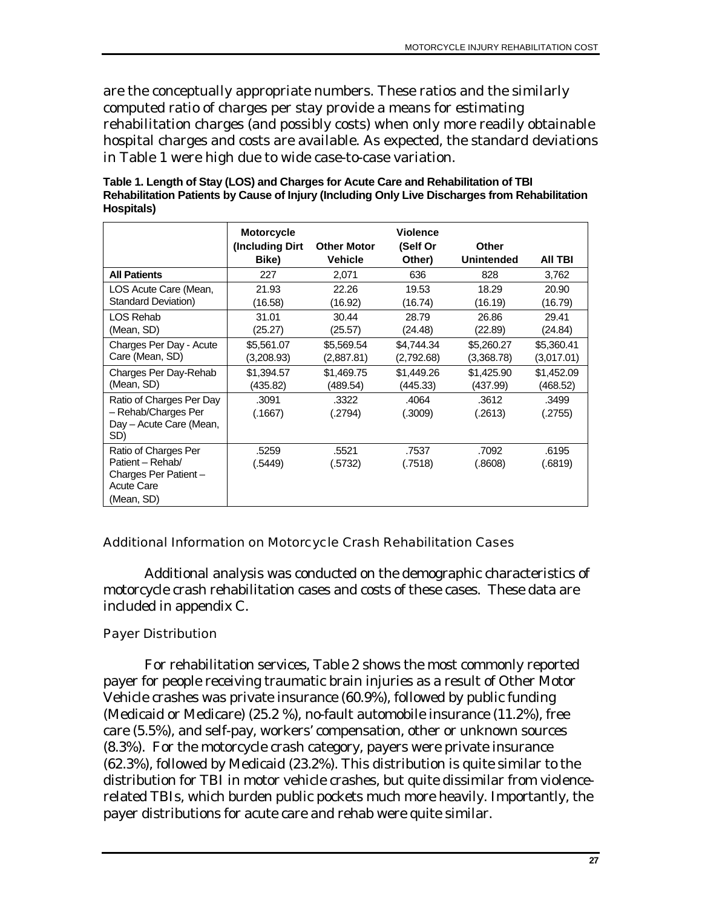<span id="page-34-0"></span>are the conceptually appropriate numbers. These ratios and the similarly computed ratio of charges per stay provide a means for estimating rehabilitation charges (and possibly costs) when only more readily obtainable hospital charges and costs are available. As expected, the standard deviations in Table 1 were high due to wide case-to-case variation.

**Table 1. Length of Stay (LOS) and Charges for Acute Care and Rehabilitation of TBI Rehabilitation Patients by Cause of Injury (Including Only Live Discharges from Rehabilitation Hospitals)** 

|                                                                                                     | <b>Motorcycle</b><br>(Including Dirt)<br>Bike) | <b>Other Motor</b><br>Vehicle | <b>Violence</b><br>(Self Or<br>Other) | Other<br>Unintended | AII TBI          |
|-----------------------------------------------------------------------------------------------------|------------------------------------------------|-------------------------------|---------------------------------------|---------------------|------------------|
| <b>All Patients</b>                                                                                 | 227                                            | 2,071                         | 636                                   | 828                 | 3,762            |
| LOS Acute Care (Mean,                                                                               | 21.93                                          | 22.26                         | 19.53                                 | 18.29               | 20.90            |
| <b>Standard Deviation)</b>                                                                          | (16.58)                                        | (16.92)                       | (16.74)                               | (16.19)             | (16.79)          |
| LOS Rehab                                                                                           | 31.01                                          | 30.44                         | 28.79                                 | 26.86               | 29.41            |
| (Mean, SD)                                                                                          | (25.27)                                        | (25.57)                       | (24.48)                               | (22.89)             | (24.84)          |
| Charges Per Day - Acute                                                                             | \$5,561.07                                     | \$5,569.54                    | \$4,744.34                            | \$5,260.27          | \$5,360.41       |
| Care (Mean, SD)                                                                                     | (3,208.93)                                     | (2,887.81)                    | (2,792.68)                            | (3,368.78)          | (3,017.01)       |
| Charges Per Day-Rehab                                                                               | \$1,394.57                                     | \$1,469.75                    | \$1,449.26                            | \$1,425.90          | \$1,452.09       |
| (Mean, SD)                                                                                          | (435.82)                                       | (489.54)                      | (445.33)                              | (437.99)            | (468.52)         |
| Ratio of Charges Per Day<br>- Rehab/Charges Per<br>Day - Acute Care (Mean,<br>SD)                   | .3091<br>(.1667)                               | .3322<br>(.2794)              | .4064<br>(.3009)                      | .3612<br>(.2613)    | .3499<br>(.2755) |
| Ratio of Charges Per<br>Patient - Rehab/<br>Charges Per Patient-<br><b>Acute Care</b><br>(Mean, SD) | .5259<br>(.5449)                               | .5521<br>(.5732)              | .7537<br>(.7518)                      | .7092<br>(.8608)    | .6195<br>(.6819) |

#### Additional Information on Motorcycle Crash Rehabilitation Cases

Additional analysis was conducted on the demographic characteristics of motorcycle crash rehabilitation cases and costs of these cases. These data are included in appendix C.

#### Payer Distribution

For rehabilitation services, Table 2 shows the most commonly reported payer for people receiving traumatic brain injuries as a result of Other Motor Vehicle crashes was private insurance (60.9%), followed by public funding (Medicaid or Medicare) (25.2 %), no-fault automobile insurance (11.2%), free care (5.5%), and self-pay, workers' compensation, other or unknown sources (8.3%). For the motorcycle crash category, payers were private insurance (62.3%), followed by Medicaid (23.2%). This distribution is quite similar to the distribution for TBI in motor vehicle crashes, but quite dissimilar from violencerelated TBIs, which burden public pockets much more heavily. Importantly, the payer distributions for acute care and rehab were quite similar.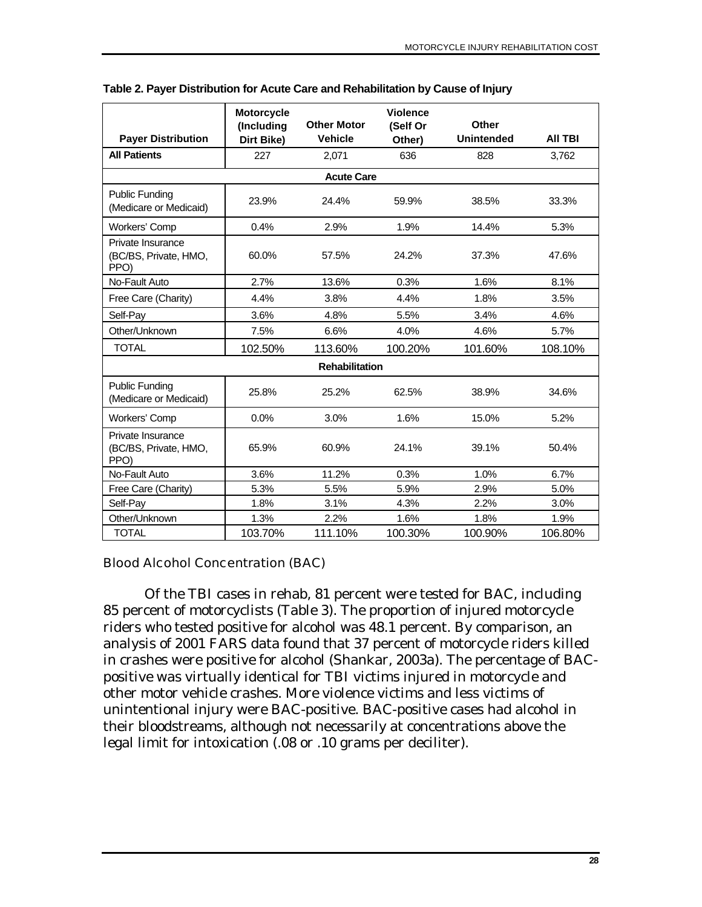|                                                    | Motorcycle               | <b>Other Motor</b>    | <b>Violence</b>    | <b>Other</b>      |                |
|----------------------------------------------------|--------------------------|-----------------------|--------------------|-------------------|----------------|
| <b>Payer Distribution</b>                          | (Including<br>Dirt Bike) | <b>Vehicle</b>        | (Self Or<br>Other) | <b>Unintended</b> | <b>AII TBI</b> |
| <b>All Patients</b>                                | 227                      | 2,071                 | 636                | 828               | 3.762          |
|                                                    |                          | <b>Acute Care</b>     |                    |                   |                |
| <b>Public Funding</b><br>(Medicare or Medicaid)    | 23.9%                    | 24.4%                 | 59.9%              | 38.5%             | 33.3%          |
| Workers' Comp                                      | 0.4%                     | 2.9%                  | 1.9%               | 14.4%             | 5.3%           |
| Private Insurance<br>(BC/BS, Private, HMO,<br>PPO) | 60.0%                    | 57.5%                 | 24.2%              | 37.3%             | 47.6%          |
| No-Fault Auto                                      | 2.7%                     | 13.6%                 | 0.3%               | 1.6%              | 8.1%           |
| Free Care (Charity)                                | 4.4%                     | 3.8%                  | 4.4%               | 1.8%              | 3.5%           |
| Self-Pay                                           | 3.6%                     | 4.8%                  | 5.5%               | 3.4%              | 4.6%           |
| Other/Unknown                                      | 7.5%                     | 6.6%                  | 4.0%               | 4.6%              | 5.7%           |
| <b>TOTAL</b>                                       | 102.50%                  | 113.60%               | 100.20%            | 101.60%           | 108.10%        |
|                                                    |                          | <b>Rehabilitation</b> |                    |                   |                |
| <b>Public Funding</b><br>(Medicare or Medicaid)    | 25.8%                    | 25.2%                 | 62.5%              | 38.9%             | 34.6%          |
| Workers' Comp                                      | 0.0%                     | 3.0%                  | 1.6%               | 15.0%             | 5.2%           |
| Private Insurance<br>(BC/BS, Private, HMO,<br>PPO) | 65.9%                    | 60.9%                 | 24.1%              | 39.1%             | 50.4%          |
| No-Fault Auto                                      | 3.6%                     | 11.2%                 | 0.3%               | 1.0%              | 6.7%           |
| Free Care (Charity)                                | 5.3%                     | 5.5%                  | 5.9%               | 2.9%              | 5.0%           |
| Self-Pay                                           | 1.8%                     | 3.1%                  | 4.3%               | 2.2%              | 3.0%           |
| Other/Unknown                                      | 1.3%                     | 2.2%                  | 1.6%               | 1.8%              | 1.9%           |
| <b>TOTAL</b>                                       | 103.70%                  | 111.10%               | 100.30%            | 100.90%           | 106.80%        |

#### <span id="page-35-0"></span>**Table 2. Payer Distribution for Acute Care and Rehabilitation by Cause of Injury**

#### Blood Alcohol Concentration (BAC)

Of the TBI cases in rehab, 81 percent were tested for BAC, including 85 percent of motorcyclists (Table 3). The proportion of injured motorcycle riders who tested positive for alcohol was 48.1 percent. By comparison, an analysis of 2001 FARS data found that 37 percent of motorcycle riders killed in crashes were positive for alcohol (Shankar, 2003a). The percentage of BACpositive was virtually identical for TBI victims injured in motorcycle and other motor vehicle crashes. More violence victims and less victims of unintentional injury were BAC-positive. BAC-positive cases had alcohol in their bloodstreams, although not necessarily at concentrations above the legal limit for intoxication (.08 or .10 grams per deciliter).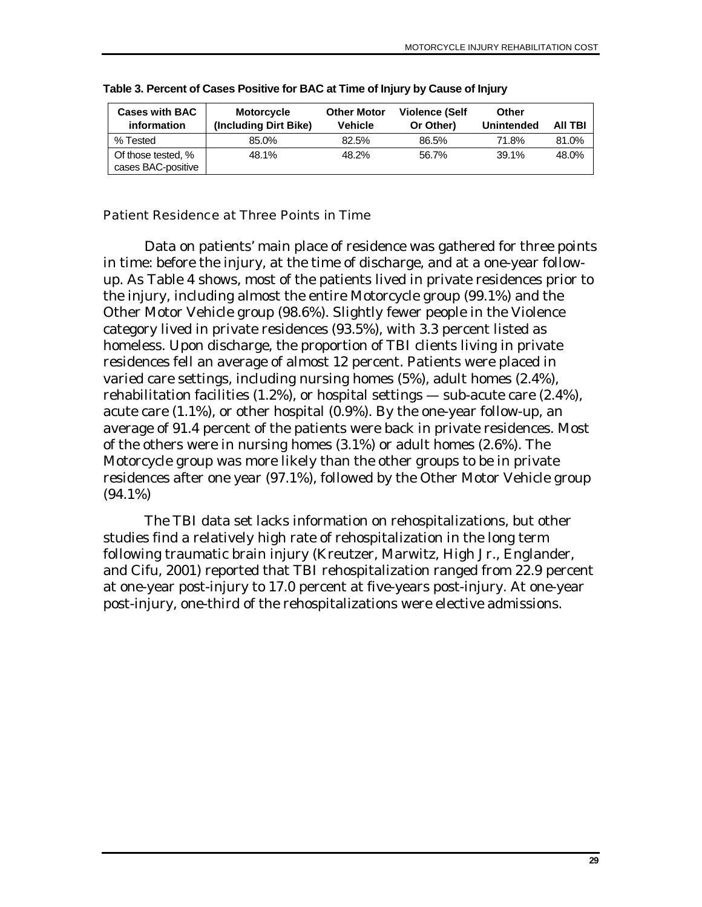| <b>Cases with BAC</b><br>information     | <b>Motorcycle</b><br>(Including Dirt Bike) | <b>Other Motor</b><br><b>Vehicle</b> | Violence (Self<br>Or Other) | Other<br><b>Unintended</b> | <b>AII TBI</b> |
|------------------------------------------|--------------------------------------------|--------------------------------------|-----------------------------|----------------------------|----------------|
| % Tested                                 | 85.0%                                      | 82.5%                                | 86.5%                       | 71.8%                      | 81.0%          |
| Of those tested, %<br>cases BAC-positive | 48.1%                                      | 48.2%                                | 56.7%                       | 39.1%                      | 48.0%          |

**Table 3. Percent of Cases Positive for BAC at Time of Injury by Cause of Injury** 

#### Patient Residence at Three Points in Time

Data on patients' main place of residence was gathered for three points in time: before the injury, at the time of discharge, and at a one-year followup. As Table 4 shows, most of the patients lived in private residences prior to the injury, including almost the entire Motorcycle group (99.1%) and the Other Motor Vehicle group (98.6%). Slightly fewer people in the Violence category lived in private residences (93.5%), with 3.3 percent listed as homeless. Upon discharge, the proportion of TBI clients living in private residences fell an average of almost 12 percent. Patients were placed in varied care settings, including nursing homes (5%), adult homes (2.4%), rehabilitation facilities (1.2%), or hospital settings — sub-acute care (2.4%), acute care (1.1%), or other hospital (0.9%). By the one-year follow-up, an average of 91.4 percent of the patients were back in private residences. Most of the others were in nursing homes (3.1%) or adult homes (2.6%). The Motorcycle group was more likely than the other groups to be in private residences after one year (97.1%), followed by the Other Motor Vehicle group (94.1%)

The TBI data set lacks information on rehospitalizations, but other studies find a relatively high rate of rehospitalization in the long term following traumatic brain injury (Kreutzer, Marwitz, High Jr., Englander, and Cifu, 2001) reported that TBI rehospitalization ranged from 22.9 percent at one-year post-injury to 17.0 percent at five-years post-injury. At one-year post-injury, one-third of the rehospitalizations were elective admissions.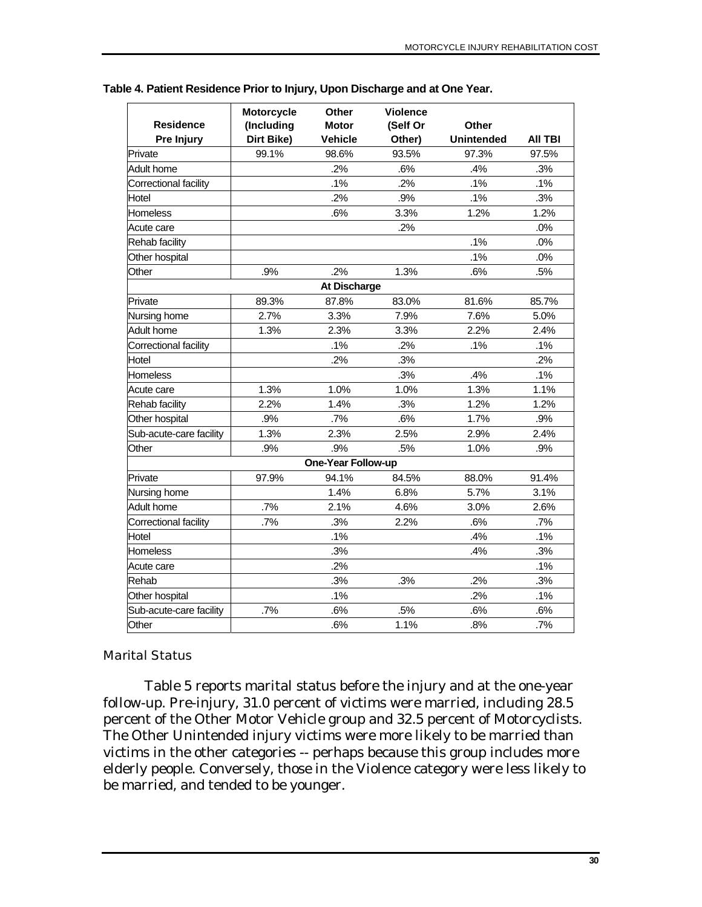| <b>Residence</b><br>Pre Injury | Motorcycle<br>(Including<br>Dirt Bike) | Other<br><b>Motor</b><br><b>Vehicle</b> | <b>Violence</b><br>(Self Or<br>Other) | Other<br><b>Unintended</b> | <b>AII TBI</b> |
|--------------------------------|----------------------------------------|-----------------------------------------|---------------------------------------|----------------------------|----------------|
| Private                        | 99.1%                                  | 98.6%                                   | 93.5%                                 | 97.3%                      | 97.5%          |
| <b>Adult home</b>              |                                        | .2%                                     | .6%                                   | .4%                        | .3%            |
| Correctional facility          |                                        | .1%                                     | .2%                                   | .1%                        | .1%            |
| Hotel                          |                                        | .2%                                     | .9%                                   | .1%                        | .3%            |
| Homeless                       |                                        | .6%                                     | 3.3%                                  | 1.2%                       | 1.2%           |
| Acute care                     |                                        |                                         | .2%                                   |                            | .0%            |
| Rehab facility                 |                                        |                                         |                                       | .1%                        | .0%            |
| Other hospital                 |                                        |                                         |                                       | .1%                        | .0%            |
| Other                          | .9%                                    | .2%                                     | 1.3%                                  | .6%                        | .5%            |
|                                |                                        | At Discharge                            |                                       |                            |                |
| Private                        | 89.3%                                  | 87.8%                                   | 83.0%                                 | 81.6%                      | 85.7%          |
| Nursing home                   | 2.7%                                   | 3.3%                                    | 7.9%                                  | 7.6%                       | 5.0%           |
| <b>Adult home</b>              | 1.3%                                   | 2.3%                                    | 3.3%                                  | 2.2%                       | 2.4%           |
| Correctional facility          |                                        | .1%                                     | .2%                                   | .1%                        | .1%            |
| Hotel                          |                                        | .2%                                     | .3%                                   |                            | .2%            |
| Homeless                       |                                        |                                         | .3%                                   | .4%                        | .1%            |
| Acute care                     | 1.3%                                   | 1.0%                                    | 1.0%                                  | 1.3%                       | 1.1%           |
| Rehab facility                 | 2.2%                                   | 1.4%                                    | .3%                                   | 1.2%                       | 1.2%           |
| Other hospital                 | .9%                                    | .7%                                     | .6%                                   | 1.7%                       | .9%            |
| Sub-acute-care facility        | 1.3%                                   | 2.3%                                    | 2.5%                                  | 2.9%                       | 2.4%           |
| Other                          | .9%                                    | .9%                                     | .5%                                   | 1.0%                       | .9%            |
|                                |                                        | One-Year Follow-up                      |                                       |                            |                |
| Private                        | 97.9%                                  | 94.1%                                   | 84.5%                                 | 88.0%                      | 91.4%          |
| Nursing home                   |                                        | 1.4%                                    | 6.8%                                  | 5.7%                       | 3.1%           |
| <b>Adult home</b>              | .7%                                    | 2.1%                                    | 4.6%                                  | 3.0%                       | 2.6%           |
| Correctional facility          | .7%                                    | .3%                                     | 2.2%                                  | .6%                        | .7%            |
| Hotel                          |                                        | .1%                                     |                                       | .4%                        | .1%            |
| Homeless                       |                                        | .3%                                     |                                       | .4%                        | .3%            |
| Acute care                     |                                        | .2%                                     |                                       |                            | .1%            |
| Rehab                          |                                        | .3%                                     | .3%                                   | .2%                        | .3%            |
| Other hospital                 |                                        | .1%                                     |                                       | .2%                        | .1%            |
| Sub-acute-care facility        | .7%                                    | .6%                                     | .5%                                   | .6%                        | .6%            |
| Other                          |                                        | .6%                                     | 1.1%                                  | .8%                        | .7%            |

**Table 4. Patient Residence Prior to Injury, Upon Discharge and at One Year.** 

#### Marital Status

Table 5 reports marital status before the injury and at the one-year follow-up. Pre-injury, 31.0 percent of victims were married, including 28.5 percent of the Other Motor Vehicle group and 32.5 percent of Motorcyclists. The Other Unintended injury victims were more likely to be married than victims in the other categories -- perhaps because this group includes more elderly people. Conversely, those in the Violence category were less likely to be married, and tended to be younger.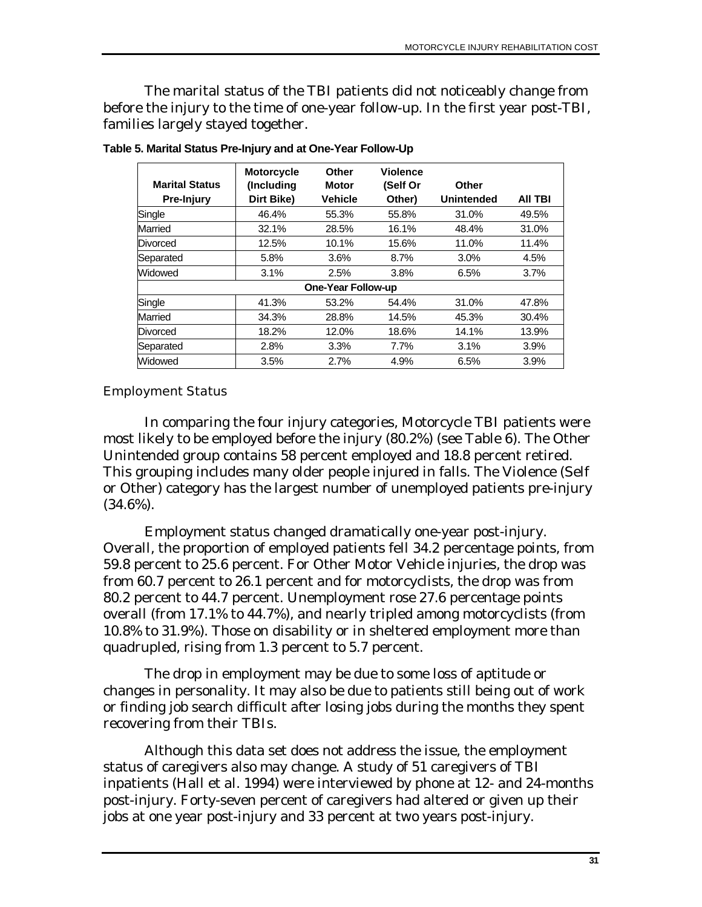The marital status of the TBI patients did not noticeably change from before the injury to the time of one-year follow-up. In the first year post-TBI, families largely stayed together.

| <b>Marital Status</b> | <b>Motorcycle</b><br>(Including | Other<br><b>Motor</b>     | <b>Violence</b><br>(Self Or | Other             |         |
|-----------------------|---------------------------------|---------------------------|-----------------------------|-------------------|---------|
| <b>Pre-Injury</b>     | Dirt Bike)                      | <b>Vehicle</b>            | Other)                      | <b>Unintended</b> | AII TBI |
| Single                | 46.4%                           | 55.3%                     | 55.8%                       | 31.0%             | 49.5%   |
| Married               | 32.1%                           | 28.5%                     | 16.1%                       | 48.4%             | 31.0%   |
| Divorced              | 12.5%                           | 10.1%                     | 15.6%                       | 11.0%             | 11.4%   |
| Separated             | 5.8%                            | 3.6%                      | 8.7%                        | 3.0%              | 4.5%    |
| Widowed               | 3.1%                            | 2.5%                      | 3.8%                        | 6.5%              | 3.7%    |
|                       |                                 | <b>One-Year Follow-up</b> |                             |                   |         |
| Single                | 41.3%                           | 53.2%                     | 54.4%                       | 31.0%             | 47.8%   |
| Married               | 34.3%                           | 28.8%                     | 14.5%                       | 45.3%             | 30.4%   |
| Divorced              | 18.2%                           | 12.0%                     | 18.6%                       | 14.1%             | 13.9%   |
| Separated             | 2.8%                            | 3.3%                      | 7.7%                        | 3.1%              | 3.9%    |
| Widowed               | 3.5%                            | 2.7%                      | 4.9%                        | 6.5%              | 3.9%    |

**Table 5. Marital Status Pre-Injury and at One-Year Follow-Up** 

### Employment Status

In comparing the four injury categories, Motorcycle TBI patients were most likely to be employed before the injury (80.2%) (see Table 6). The Other Unintended group contains 58 percent employed and 18.8 percent retired. This grouping includes many older people injured in falls. The Violence (Self or Other) category has the largest number of unemployed patients pre-injury (34.6%).

Employment status changed dramatically one-year post-injury. Overall, the proportion of employed patients fell 34.2 percentage points, from 59.8 percent to 25.6 percent. For Other Motor Vehicle injuries, the drop was from 60.7 percent to 26.1 percent and for motorcyclists, the drop was from 80.2 percent to 44.7 percent. Unemployment rose 27.6 percentage points overall (from 17.1% to 44.7%), and nearly tripled among motorcyclists (from 10.8% to 31.9%). Those on disability or in sheltered employment more than quadrupled, rising from 1.3 percent to 5.7 percent.

The drop in employment may be due to some loss of aptitude or changes in personality. It may also be due to patients still being out of work or finding job search difficult after losing jobs during the months they spent recovering from their TBIs.

Although this data set does not address the issue, the employment status of caregivers also may change. A study of 51 caregivers of TBI inpatients (Hall et al. 1994) were interviewed by phone at 12- and 24-months post-injury. Forty-seven percent of caregivers had altered or given up their jobs at one year post-injury and 33 percent at two years post-injury.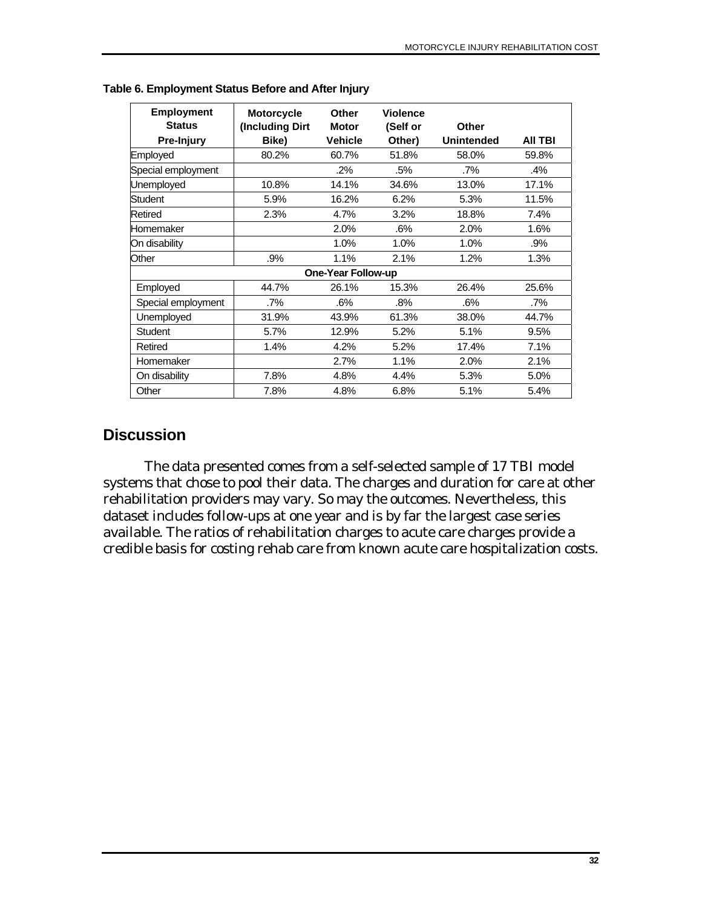| <b>Employment</b><br><b>Status</b> | <b>Motorcycle</b><br>(Including Dirt | Other<br><b>Motor</b>     | <b>Violence</b><br>(Self or | Other             |         |
|------------------------------------|--------------------------------------|---------------------------|-----------------------------|-------------------|---------|
| Pre-Injury                         | Bike)                                | <b>Vehicle</b>            | Other)                      | <b>Unintended</b> | AII TBI |
| Employed                           | 80.2%                                | 60.7%                     | 51.8%                       | 58.0%             | 59.8%   |
| Special employment                 |                                      | .2%                       | .5%                         | $.7\%$            | .4%     |
| Unemployed                         | 10.8%                                | 14.1%                     | 34.6%                       | 13.0%             | 17.1%   |
| Student                            | 5.9%                                 | 16.2%                     | 6.2%                        | 5.3%              | 11.5%   |
| Retired                            | 2.3%                                 | 4.7%                      | 3.2%                        | 18.8%             | 7.4%    |
| Homemaker                          |                                      | 2.0%                      | .6%                         | 2.0%              | 1.6%    |
| On disability                      |                                      | 1.0%                      | 1.0%                        | 1.0%              | .9%     |
| Other                              | .9%                                  | 1.1%                      | 2.1%                        | 1.2%              | 1.3%    |
|                                    |                                      | <b>One-Year Follow-up</b> |                             |                   |         |
| Employed                           | 44.7%                                | 26.1%                     | 15.3%                       | 26.4%             | 25.6%   |
| Special employment                 | .7%                                  | .6%                       | .8%                         | .6%               | .7%     |
| Unemployed                         | 31.9%                                | 43.9%                     | 61.3%                       | 38.0%             | 44.7%   |
| <b>Student</b>                     | 5.7%                                 | 12.9%                     | 5.2%                        | 5.1%              | 9.5%    |
| Retired                            | 1.4%                                 | 4.2%                      | 5.2%                        | 17.4%             | 7.1%    |
| Homemaker                          |                                      | 2.7%                      | 1.1%                        | 2.0%              | 2.1%    |
| On disability                      | 7.8%                                 | 4.8%                      | 4.4%                        | 5.3%              | 5.0%    |
| Other                              | 7.8%                                 | 4.8%                      | 6.8%                        | 5.1%              | 5.4%    |

**Table 6. Employment Status Before and After Injury** 

## **Discussion**

The data presented comes from a self-selected sample of 17 TBI model systems that chose to pool their data. The charges and duration for care at other rehabilitation providers may vary. So may the outcomes. Nevertheless, this dataset includes follow-ups at one year and is by far the largest case series available. The ratios of rehabilitation charges to acute care charges provide a credible basis for costing rehab care from known acute care hospitalization costs.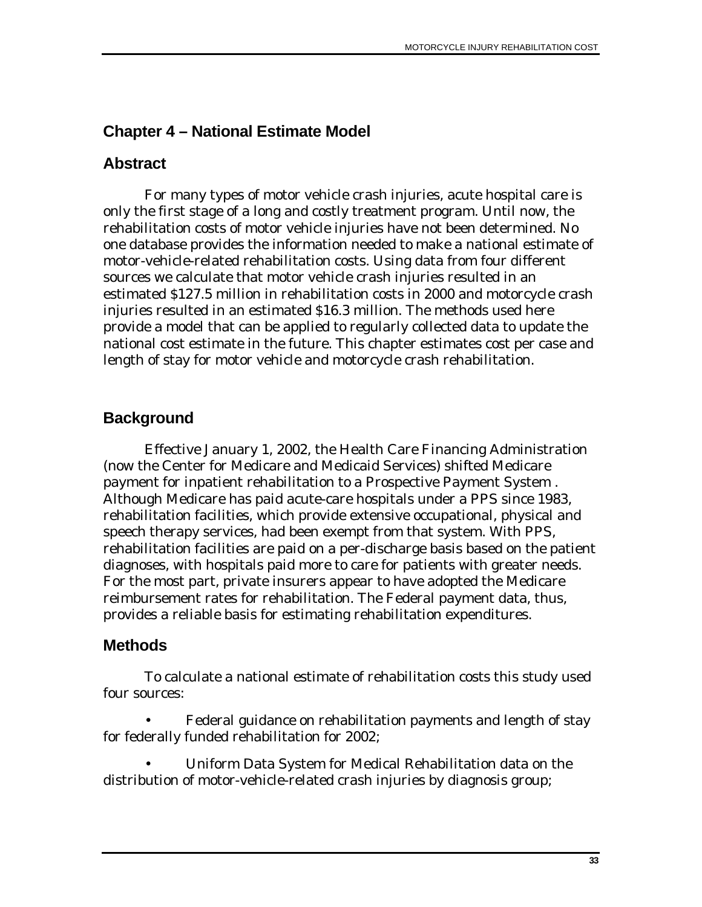# **Chapter 4 – National Estimate Model**

## **Abstract**

For many types of motor vehicle crash injuries, acute hospital care is only the first stage of a long and costly treatment program. Until now, the rehabilitation costs of motor vehicle injuries have not been determined. No one database provides the information needed to make a national estimate of motor-vehicle-related rehabilitation costs. Using data from four different sources we calculate that motor vehicle crash injuries resulted in an estimated \$127.5 million in rehabilitation costs in 2000 and motorcycle crash injuries resulted in an estimated \$16.3 million. The methods used here provide a model that can be applied to regularly collected data to update the national cost estimate in the future. This chapter estimates cost per case and length of stay for motor vehicle and motorcycle crash rehabilitation.

# **Background**

Effective January 1, 2002, the Health Care Financing Administration (now the Center for Medicare and Medicaid Services) shifted Medicare payment for inpatient rehabilitation to a Prospective Payment System . Although Medicare has paid acute-care hospitals under a PPS since 1983, rehabilitation facilities, which provide extensive occupational, physical and speech therapy services, had been exempt from that system. With PPS, rehabilitation facilities are paid on a per-discharge basis based on the patient diagnoses, with hospitals paid more to care for patients with greater needs. For the most part, private insurers appear to have adopted the Medicare reimbursement rates for rehabilitation. The Federal payment data, thus, provides a reliable basis for estimating rehabilitation expenditures.

## **Methods**

To calculate a national estimate of rehabilitation costs this study used four sources:

• Federal guidance on rehabilitation payments and length of stay for federally funded rehabilitation for 2002;

• Uniform Data System for Medical Rehabilitation data on the distribution of motor-vehicle-related crash injuries by diagnosis group;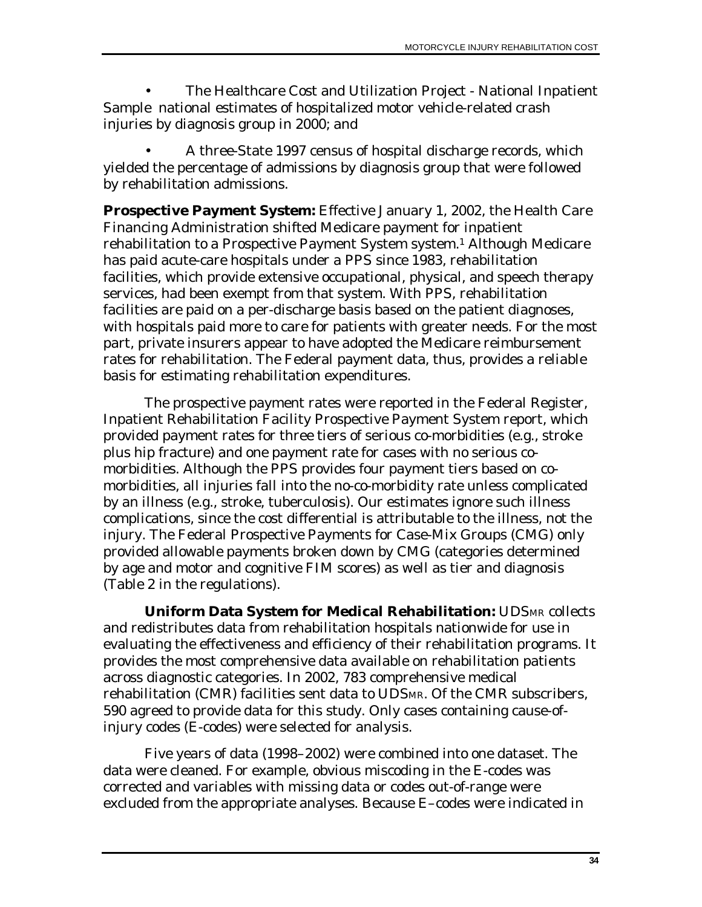• The Healthcare Cost and Utilization Project - National Inpatient Sample national estimates of hospitalized motor vehicle-related crash injuries by diagnosis group in 2000; and

• A three-State 1997 census of hospital discharge records, which yielded the percentage of admissions by diagnosis group that were followed by rehabilitation admissions.

**Prospective Payment System:** Effective January 1, 2002, the Health Care Financing Administration shifted Medicare payment for inpatient rehabilitation to a Prospective Payment System system.1 Although Medicare has paid acute-care hospitals under a PPS since 1983, rehabilitation facilities, which provide extensive occupational, physical, and speech therapy services, had been exempt from that system. With PPS, rehabilitation facilities are paid on a per-discharge basis based on the patient diagnoses, with hospitals paid more to care for patients with greater needs. For the most part, private insurers appear to have adopted the Medicare reimbursement rates for rehabilitation. The Federal payment data, thus, provides a reliable basis for estimating rehabilitation expenditures.

The prospective payment rates were reported in the Federal Register, Inpatient Rehabilitation Facility Prospective Payment System report, which provided payment rates for three tiers of serious co-morbidities (e.g., stroke plus hip fracture) and one payment rate for cases with no serious comorbidities. Although the PPS provides four payment tiers based on comorbidities, all injuries fall into the no-co-morbidity rate unless complicated by an illness (e.g., stroke, tuberculosis). Our estimates ignore such illness complications, since the cost differential is attributable to the illness, not the injury. The Federal Prospective Payments for Case-Mix Groups (CMG) only provided allowable payments broken down by CMG (categories determined by age and motor and cognitive FIM scores) as well as tier and diagnosis (Table 2 in the regulations).

**Uniform Data System for Medical Rehabilitation:** UDSMR collects and redistributes data from rehabilitation hospitals nationwide for use in evaluating the effectiveness and efficiency of their rehabilitation programs. It provides the most comprehensive data available on rehabilitation patients across diagnostic categories. In 2002, 783 comprehensive medical rehabilitation (CMR) facilities sent data to UDSMR. Of the CMR subscribers, 590 agreed to provide data for this study. Only cases containing cause-ofinjury codes (E-codes) were selected for analysis.

Five years of data (1998–2002) were combined into one dataset. The data were cleaned. For example, obvious miscoding in the E-codes was corrected and variables with missing data or codes out-of-range were excluded from the appropriate analyses. Because E–codes were indicated in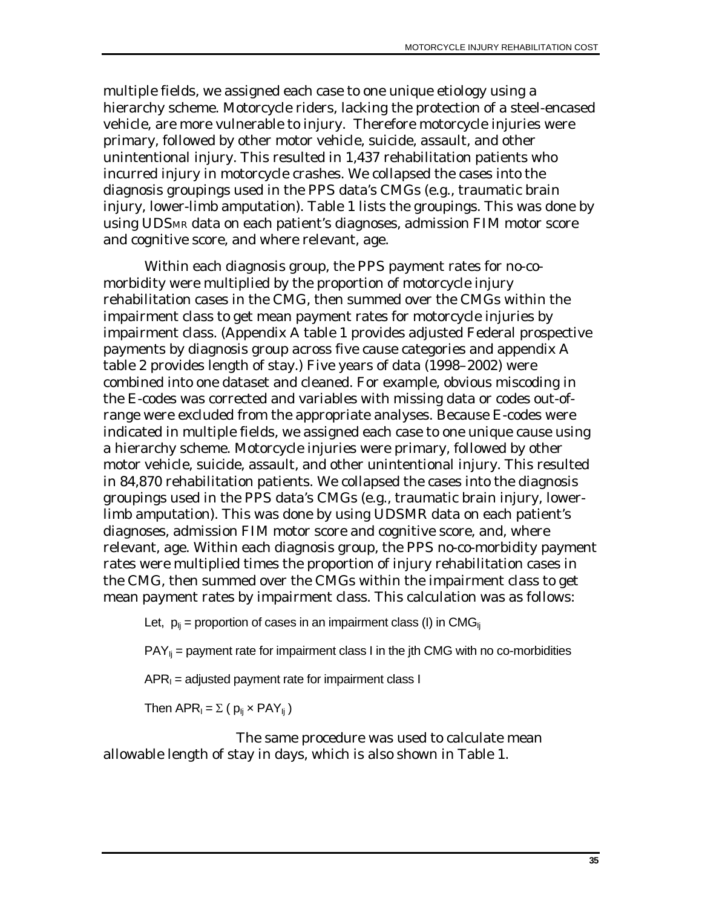multiple fields, we assigned each case to one unique etiology using a hierarchy scheme. Motorcycle riders, lacking the protection of a steel-encased vehicle, are more vulnerable to injury. Therefore motorcycle injuries were primary, followed by other motor vehicle, suicide, assault, and other unintentional injury. This resulted in 1,437 rehabilitation patients who incurred injury in motorcycle crashes. We collapsed the cases into the diagnosis groupings used in the PPS data's CMGs (e.g., traumatic brain injury, lower-limb amputation). Table 1 lists the groupings. This was done by using UDSMR data on each patient's diagnoses, admission FIM motor score and cognitive score, and where relevant, age.

Within each diagnosis group, the PPS payment rates for no-comorbidity were multiplied by the proportion of motorcycle injury rehabilitation cases in the CMG, then summed over the CMGs within the impairment class to get mean payment rates for motorcycle injuries by impairment class. (Appendix A table 1 provides adjusted Federal prospective payments by diagnosis group across five cause categories and appendix A table 2 provides length of stay.) Five years of data (1998–2002) were combined into one dataset and cleaned. For example, obvious miscoding in the E-codes was corrected and variables with missing data or codes out-ofrange were excluded from the appropriate analyses. Because E-codes were indicated in multiple fields, we assigned each case to one unique cause using a hierarchy scheme. Motorcycle injuries were primary, followed by other motor vehicle, suicide, assault, and other unintentional injury. This resulted in 84,870 rehabilitation patients. We collapsed the cases into the diagnosis groupings used in the PPS data's CMGs (e.g., traumatic brain injury, lowerlimb amputation). This was done by using UDSMR data on each patient's diagnoses, admission FIM motor score and cognitive score, and, where relevant, age. Within each diagnosis group, the PPS no-co-morbidity payment rates were multiplied times the proportion of injury rehabilitation cases in the CMG, then summed over the CMGs within the impairment class to get mean payment rates by impairment class. This calculation was as follows:

Let,  $p_{ii}$  = proportion of cases in an impairment class (I) in CMG<sub>Ii</sub>

 $PAY_{ii}$  = payment rate for impairment class I in the jth CMG with no co-morbidities

 $APR<sub>1</sub> =$  adjusted payment rate for impairment class I

Then  $APR_1 = \sum (p_{ij} \times PAY_{ij})$ 

 The same procedure was used to calculate mean allowable length of stay in days, which is also shown in Table 1.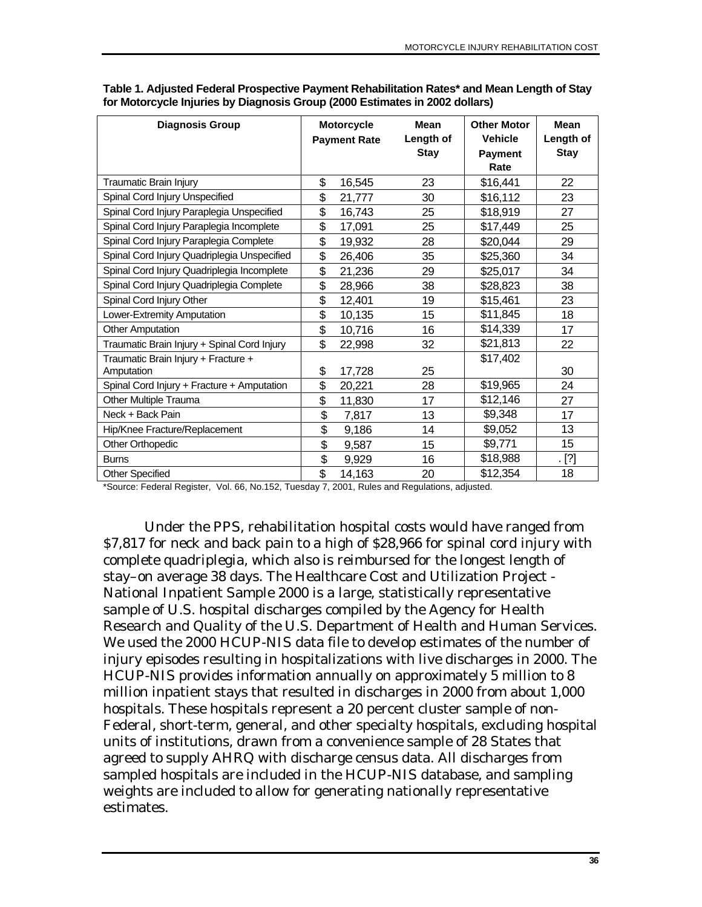| <b>Diagnosis Group</b>                            |                           | <b>Motorcycle</b><br><b>Payment Rate</b> | <b>Mean</b><br>Length of<br><b>Stay</b> | <b>Other Motor</b><br><b>Vehicle</b><br><b>Payment</b><br>Rate | <b>Mean</b><br>Length of<br><b>Stay</b> |
|---------------------------------------------------|---------------------------|------------------------------------------|-----------------------------------------|----------------------------------------------------------------|-----------------------------------------|
| Traumatic Brain Injury                            | \$                        | 16,545                                   | 23                                      | \$16,441                                                       | 22                                      |
| Spinal Cord Injury Unspecified                    | \$                        | 21,777                                   | 30                                      | \$16,112                                                       | 23                                      |
| Spinal Cord Injury Paraplegia Unspecified         | \$                        | 16,743                                   | 25                                      | \$18,919                                                       | 27                                      |
| Spinal Cord Injury Paraplegia Incomplete          | \$                        | 17,091                                   | 25                                      | \$17,449                                                       | 25                                      |
| Spinal Cord Injury Paraplegia Complete            | \$                        | 19,932                                   | 28                                      | \$20,044                                                       | 29                                      |
| Spinal Cord Injury Quadriplegia Unspecified       | \$                        | 26,406                                   | 35                                      | \$25,360                                                       | 34                                      |
| Spinal Cord Injury Quadriplegia Incomplete        | \$                        | 21,236                                   | 29                                      | \$25,017                                                       | 34                                      |
| Spinal Cord Injury Quadriplegia Complete          | \$                        | 28,966                                   | 38                                      | \$28,823                                                       | 38                                      |
| Spinal Cord Injury Other                          | \$                        | 12,401                                   | 19                                      | \$15,461                                                       | 23                                      |
| Lower-Extremity Amputation                        | \$                        | 10,135                                   | 15                                      | \$11,845                                                       | 18                                      |
| <b>Other Amputation</b>                           | \$                        | 10,716                                   | 16                                      | \$14,339                                                       | 17                                      |
| Traumatic Brain Injury + Spinal Cord Injury       | \$                        | 22,998                                   | 32                                      | \$21,813                                                       | 22                                      |
| Traumatic Brain Injury + Fracture +<br>Amputation | \$                        | 17,728                                   | 25                                      | \$17,402                                                       | 30                                      |
| Spinal Cord Injury + Fracture + Amputation        | \$                        | 20,221                                   | 28                                      | \$19,965                                                       | 24                                      |
| Other Multiple Trauma                             | \$                        | 11,830                                   | 17                                      | \$12,146                                                       | 27                                      |
| Neck + Back Pain                                  | \$                        | 7,817                                    | 13                                      | \$9,348                                                        | 17                                      |
| Hip/Knee Fracture/Replacement                     | \$                        | 9,186                                    | 14                                      | \$9,052                                                        | 13                                      |
| Other Orthopedic                                  | \$                        | 9,587                                    | 15                                      | \$9,771                                                        | 15                                      |
| <b>Burns</b>                                      | $\overline{\mathfrak{s}}$ | 9,929                                    | 16                                      | \$18,988                                                       | $[\cdot]$                               |
| <b>Other Specified</b>                            | \$                        | 14,163                                   | 20                                      | \$12,354                                                       | 18                                      |

**Table 1. Adjusted Federal Prospective Payment Rehabilitation Rates\* and Mean Length of Stay for Motorcycle Injuries by Diagnosis Group (2000 Estimates in 2002 dollars)** 

\*Source: Federal Register, Vol. 66, No.152, Tuesday 7, 2001, Rules and Regulations, adjusted.

Under the PPS, rehabilitation hospital costs would have ranged from \$7,817 for neck and back pain to a high of \$28,966 for spinal cord injury with complete quadriplegia, which also is reimbursed for the longest length of stay–on average 38 days. The Healthcare Cost and Utilization Project - National Inpatient Sample 2000 is a large, statistically representative sample of U.S. hospital discharges compiled by the Agency for Health Research and Quality of the U.S. Department of Health and Human Services. We used the 2000 HCUP-NIS data file to develop estimates of the number of injury episodes resulting in hospitalizations with live discharges in 2000. The HCUP-NIS provides information annually on approximately 5 million to 8 million inpatient stays that resulted in discharges in 2000 from about 1,000 hospitals. These hospitals represent a 20 percent cluster sample of non-Federal, short-term, general, and other specialty hospitals, excluding hospital units of institutions, drawn from a convenience sample of 28 States that agreed to supply AHRQ with discharge census data. All discharges from sampled hospitals are included in the HCUP-NIS database, and sampling weights are included to allow for generating nationally representative estimates.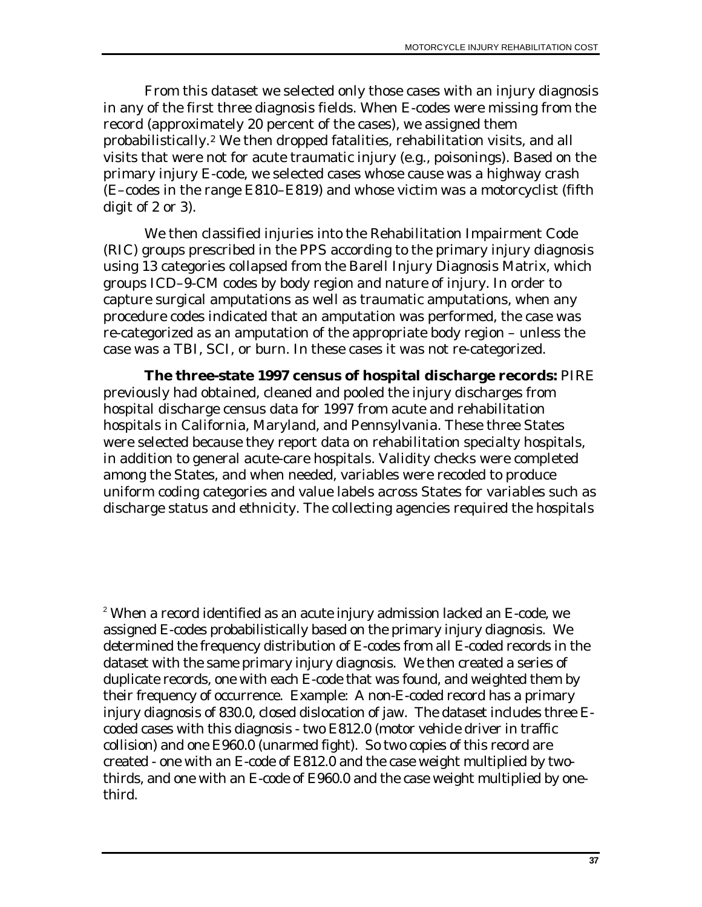From this dataset we selected only those cases with an injury diagnosis in any of the first three diagnosis fields. When E-codes were missing from the record (approximately 20 percent of the cases), we assigned them probabilistically.[2](#page-44-0) We then dropped fatalities, rehabilitation visits, and all visits that were not for acute traumatic injury (e.g., poisonings). Based on the primary injury E-code, we selected cases whose cause was a highway crash (E–codes in the range E810–E819) and whose victim was a motorcyclist (fifth digit of 2 or 3).

We then classified injuries into the Rehabilitation Impairment Code (RIC) groups prescribed in the PPS according to the primary injury diagnosis using 13 categories collapsed from the Barell Injury Diagnosis Matrix, which groups ICD–9-CM codes by body region and nature of injury. In order to capture surgical amputations as well as traumatic amputations, when any procedure codes indicated that an amputation was performed, the case was re-categorized as an amputation of the appropriate body region – unless the case was a TBI, SCI, or burn. In these cases it was not re-categorized.

**The three-state 1997 census of hospital discharge records:** PIRE previously had obtained, cleaned and pooled the injury discharges from hospital discharge census data for 1997 from acute and rehabilitation hospitals in California, Maryland, and Pennsylvania. These three States were selected because they report data on rehabilitation specialty hospitals, in addition to general acute-care hospitals. Validity checks were completed among the States, and when needed, variables were recoded to produce uniform coding categories and value labels across States for variables such as discharge status and ethnicity. The collecting agencies required the hospitals

<span id="page-44-0"></span><sup>2</sup> When a record identified as an acute injury admission lacked an E-code, we assigned E-codes probabilistically based on the primary injury diagnosis. We determined the frequency distribution of E-codes from all E-coded records in the dataset with the same primary injury diagnosis. We then created a series of duplicate records, one with each E-code that was found, and weighted them by their frequency of occurrence. Example: A non-E-coded record has a primary injury diagnosis of 830.0, closed dislocation of jaw. The dataset includes three Ecoded cases with this diagnosis - two E812.0 (motor vehicle driver in traffic collision) and one E960.0 (unarmed fight). So two copies of this record are created - one with an E-code of E812.0 and the case weight multiplied by twothirds, and one with an E-code of E960.0 and the case weight multiplied by onethird.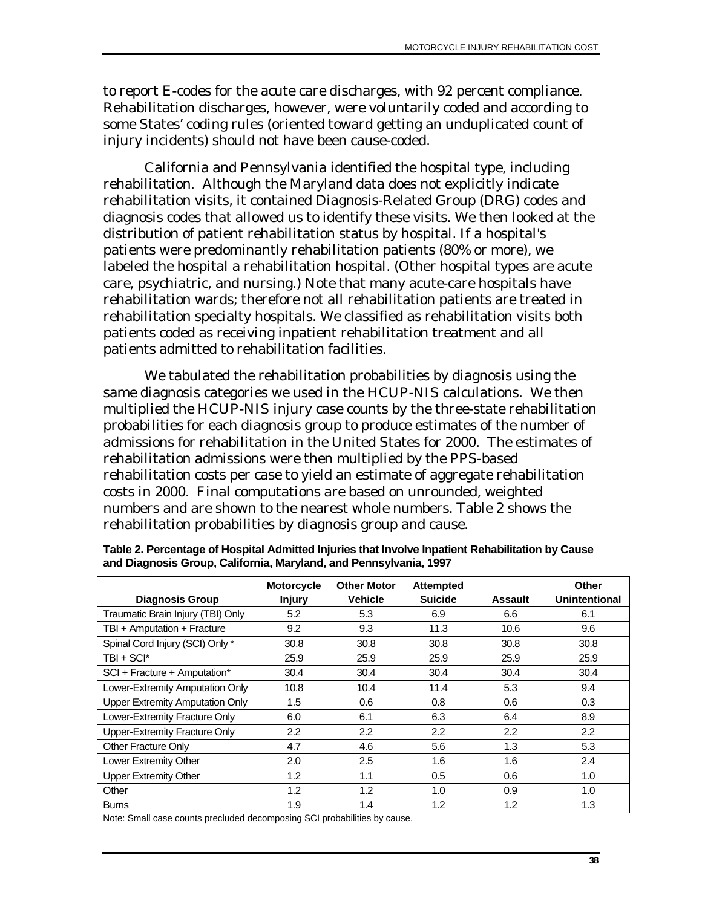to report E-codes for the acute care discharges, with 92 percent compliance. Rehabilitation discharges, however, were voluntarily coded and according to some States' coding rules (oriented toward getting an unduplicated count of injury incidents) should not have been cause-coded.

California and Pennsylvania identified the hospital type, including rehabilitation. Although the Maryland data does not explicitly indicate rehabilitation visits, it contained Diagnosis-Related Group (DRG) codes and diagnosis codes that allowed us to identify these visits. We then looked at the distribution of patient rehabilitation status by hospital. If a hospital's patients were predominantly rehabilitation patients (80% or more), we labeled the hospital a rehabilitation hospital. (Other hospital types are acute care, psychiatric, and nursing.) Note that many acute-care hospitals have rehabilitation wards; therefore not all rehabilitation patients are treated in rehabilitation specialty hospitals. We classified as rehabilitation visits both patients coded as receiving inpatient rehabilitation treatment and all patients admitted to rehabilitation facilities.

We tabulated the rehabilitation probabilities by diagnosis using the same diagnosis categories we used in the HCUP-NIS calculations. We then multiplied the HCUP-NIS injury case counts by the three-state rehabilitation probabilities for each diagnosis group to produce estimates of the number of admissions for rehabilitation in the United States for 2000. The estimates of rehabilitation admissions were then multiplied by the PPS-based rehabilitation costs per case to yield an estimate of aggregate rehabilitation costs in 2000. Final computations are based on unrounded, weighted numbers and are shown to the nearest whole numbers. Table 2 shows the rehabilitation probabilities by diagnosis group and cause.

|                                        | <b>Motorcycle</b> | <b>Other Motor</b> | <b>Attempted</b> |                | Other         |
|----------------------------------------|-------------------|--------------------|------------------|----------------|---------------|
| <b>Diagnosis Group</b>                 | <b>Injury</b>     | <b>Vehicle</b>     | <b>Suicide</b>   | <b>Assault</b> | Unintentional |
| Traumatic Brain Injury (TBI) Only      | 5.2               | 5.3                | 6.9              | 6.6            | 6.1           |
| TBI + Amputation + Fracture            | 9.2               | 9.3                | 11.3             | 10.6           | 9.6           |
| Spinal Cord Injury (SCI) Only *        | 30.8              | 30.8               | 30.8             | 30.8           | 30.8          |
| TBI + SCI*                             | 25.9              | 25.9               | 25.9             | 25.9           | 25.9          |
| SCI + Fracture + Amputation*           | 30.4              | 30.4               | 30.4             | 30.4           | 30.4          |
| Lower-Extremity Amputation Only        | 10.8              | 10.4               | 11.4             | 5.3            | 9.4           |
| <b>Upper Extremity Amputation Only</b> | 1.5               | 0.6                | 0.8              | 0.6            | 0.3           |
| Lower-Extremity Fracture Only          | 6.0               | 6.1                | 6.3              | 6.4            | 8.9           |
| Upper-Extremity Fracture Only          | $2.2\phantom{0}$  | $2.2\phantom{0}$   | 2.2              | 2.2            | 2.2           |
| Other Fracture Only                    | 4.7               | 4.6                | 5.6              | 1.3            | 5.3           |
| Lower Extremity Other                  | 2.0               | 2.5                | 1.6              | 1.6            | 2.4           |
| <b>Upper Extremity Other</b>           | 1.2               | 1.1                | 0.5              | 0.6            | 1.0           |
| Other                                  | 1.2               | 1.2                | 1.0              | 0.9            | 1.0           |
| <b>Burns</b>                           | 1.9               | 1.4                | 1.2              | 1.2            | 1.3           |

**Table 2. Percentage of Hospital Admitted Injuries that Involve Inpatient Rehabilitation by Cause and Diagnosis Group, California, Maryland, and Pennsylvania, 1997** 

Note: Small case counts precluded decomposing SCI probabilities by cause.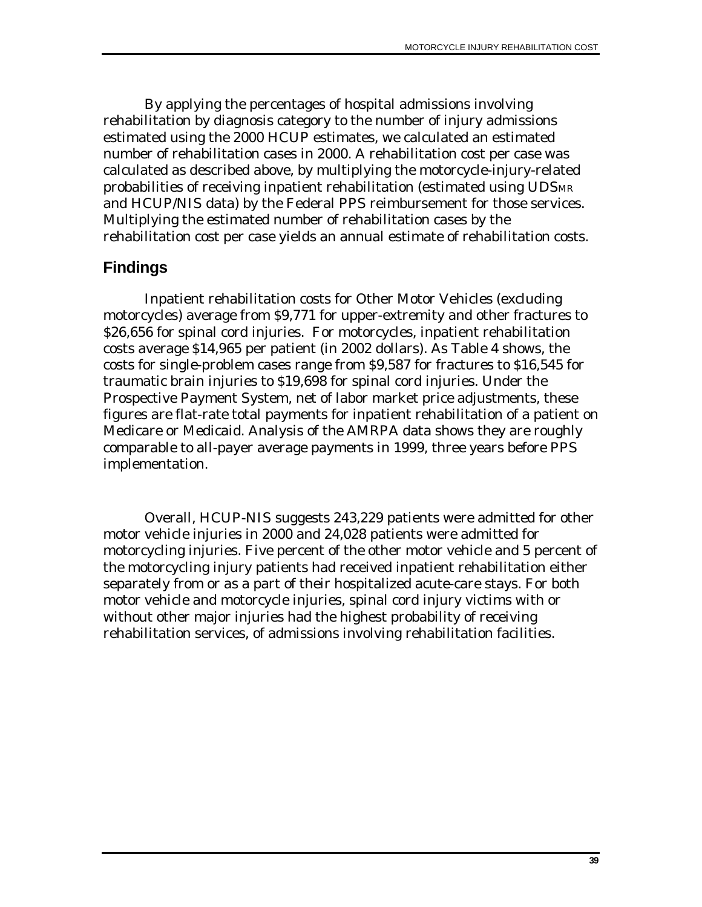By applying the percentages of hospital admissions involving rehabilitation by diagnosis category to the number of injury admissions estimated using the 2000 HCUP estimates, we calculated an estimated number of rehabilitation cases in 2000. A rehabilitation cost per case was calculated as described above, by multiplying the motorcycle-injury-related probabilities of receiving inpatient rehabilitation (estimated using UDSMR and HCUP/NIS data) by the Federal PPS reimbursement for those services. Multiplying the estimated number of rehabilitation cases by the rehabilitation cost per case yields an annual estimate of rehabilitation costs.

## **Findings**

Inpatient rehabilitation costs for Other Motor Vehicles (excluding motorcycles) average from \$9,771 for upper-extremity and other fractures to \$26,656 for spinal cord injuries. For motorcycles, inpatient rehabilitation costs average \$14,965 per patient (in 2002 dollars). As Table 4 shows, the costs for single-problem cases range from \$9,587 for fractures to \$16,545 for traumatic brain injuries to \$19,698 for spinal cord injuries. Under the Prospective Payment System, net of labor market price adjustments, these figures are flat-rate total payments for inpatient rehabilitation of a patient on Medicare or Medicaid. Analysis of the AMRPA data shows they are roughly comparable to all-payer average payments in 1999, three years before PPS implementation.

Overall, HCUP-NIS suggests 243,229 patients were admitted for other motor vehicle injuries in 2000 and 24,028 patients were admitted for motorcycling injuries. Five percent of the other motor vehicle and 5 percent of the motorcycling injury patients had received inpatient rehabilitation either separately from or as a part of their hospitalized acute-care stays. For both motor vehicle and motorcycle injuries, spinal cord injury victims with or without other major injuries had the highest probability of receiving rehabilitation services, of admissions involving rehabilitation facilities.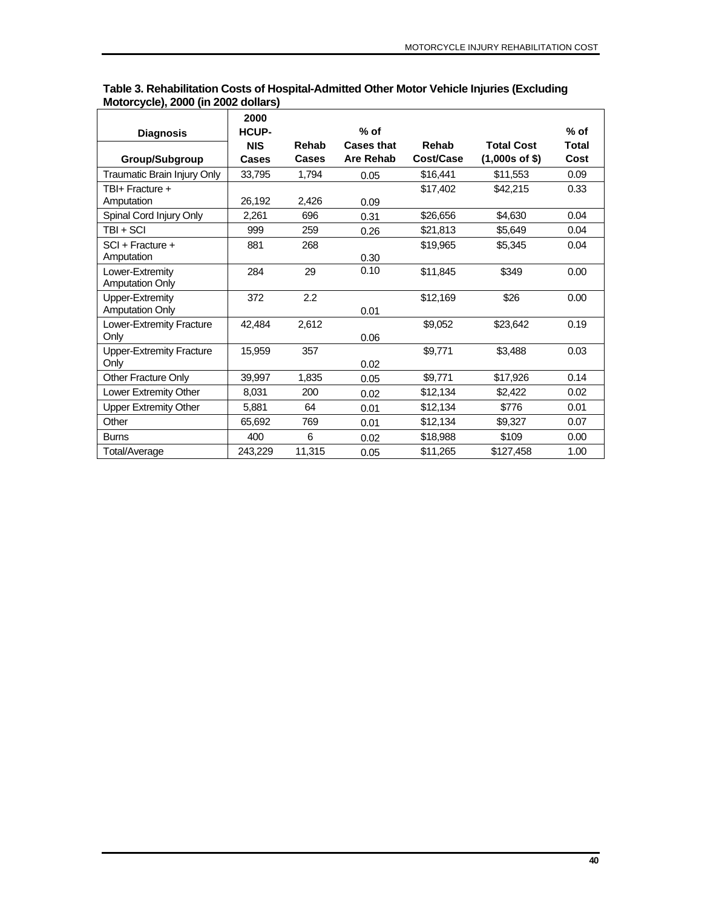|                                 | 2000         |        |                   |           |                   |              |
|---------------------------------|--------------|--------|-------------------|-----------|-------------------|--------------|
| <b>Diagnosis</b>                | <b>HCUP-</b> |        | $%$ of            |           |                   | $%$ of       |
|                                 | <b>NIS</b>   | Rehab  | <b>Cases that</b> | Rehab     | <b>Total Cost</b> | <b>Total</b> |
| Group/Subgroup                  | Cases        | Cases  | Are Rehab         | Cost/Case | $(1,000s$ of \$)  | Cost         |
| Traumatic Brain Injury Only     | 33,795       | 1,794  | 0.05              | \$16,441  | \$11,553          | 0.09         |
| TBI+ Fracture +                 |              |        |                   | \$17.402  | \$42,215          | 0.33         |
| Amputation                      | 26,192       | 2,426  | 0.09              |           |                   |              |
| Spinal Cord Injury Only         | 2,261        | 696    | 0.31              | \$26,656  | \$4,630           | 0.04         |
| TBI + SCI                       | 999          | 259    | 0.26              | \$21,813  | \$5,649           | 0.04         |
| SCI + Fracture +                | 881          | 268    |                   | \$19,965  | \$5,345           | 0.04         |
| Amputation                      |              |        | 0.30              |           |                   |              |
| Lower-Extremity                 | 284          | 29     | 0.10              | \$11,845  | \$349             | 0.00         |
| <b>Amputation Only</b>          |              |        |                   |           |                   |              |
| Upper-Extremity                 | 372          | 2.2    |                   | \$12,169  | \$26              | 0.00         |
| <b>Amputation Only</b>          |              |        | 0.01              |           |                   |              |
| Lower-Extremity Fracture        | 42.484       | 2,612  |                   | \$9,052   | \$23,642          | 0.19         |
| Only                            |              |        | 0.06              |           |                   |              |
| <b>Upper-Extremity Fracture</b> | 15,959       | 357    |                   | \$9,771   | \$3,488           | 0.03         |
| Only                            |              |        | 0.02              |           |                   |              |
| <b>Other Fracture Only</b>      | 39,997       | 1,835  | 0.05              | \$9,771   | \$17,926          | 0.14         |
| Lower Extremity Other           | 8,031        | 200    | 0.02              | \$12,134  | \$2,422           | 0.02         |
| <b>Upper Extremity Other</b>    | 5,881        | 64     | 0.01              | \$12,134  | \$776             | 0.01         |
| Other                           | 65,692       | 769    | 0.01              | \$12,134  | \$9,327           | 0.07         |
| <b>Burns</b>                    | 400          | 6      | 0.02              | \$18,988  | \$109             | 0.00         |
| Total/Average                   | 243,229      | 11,315 | 0.05              | \$11,265  | \$127,458         | 1.00         |

|                                     | Table 3. Rehabilitation Costs of Hospital-Admitted Other Motor Vehicle Injuries (Excluding |
|-------------------------------------|--------------------------------------------------------------------------------------------|
| Motorcycle), 2000 (in 2002 dollars) |                                                                                            |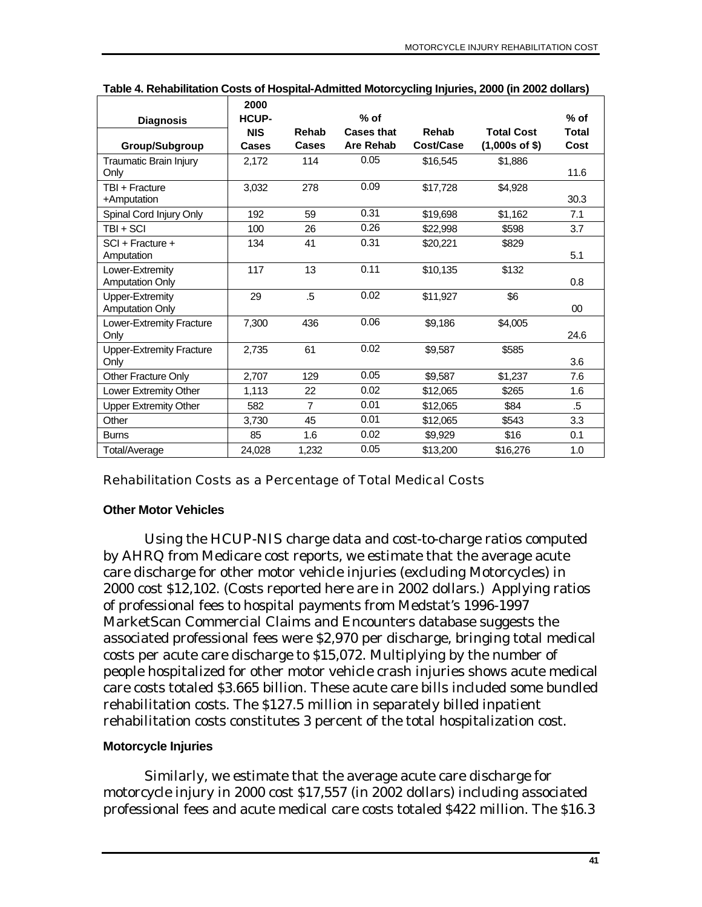|                                                  | 2000         |                |                   |           |                   |        |
|--------------------------------------------------|--------------|----------------|-------------------|-----------|-------------------|--------|
| <b>Diagnosis</b>                                 | <b>HCUP-</b> |                | $%$ of            |           |                   | $%$ of |
|                                                  | <b>NIS</b>   | Rehab          | <b>Cases that</b> | Rehab     | <b>Total Cost</b> | Total  |
| <b>Group/Subgroup</b>                            | Cases        | Cases          | <b>Are Rehab</b>  | Cost/Case | $(1,000s$ of \$)  | Cost   |
| Traumatic Brain Injury<br>Only                   | 2,172        | 114            | 0.05              | \$16,545  | \$1,886           | 11.6   |
| TBI + Fracture<br>+Amputation                    | 3.032        | 278            | 0.09              | \$17.728  | \$4.928           | 30.3   |
| Spinal Cord Injury Only                          | 192          | 59             | 0.31              | \$19,698  | \$1,162           | 7.1    |
| TBI + SCI                                        | 100          | 26             | 0.26              | \$22,998  | \$598             | 3.7    |
| $SCI + Fracture +$<br>Amputation                 | 134          | 41             | 0.31              | \$20,221  | \$829             | 5.1    |
| Lower-Extremity<br><b>Amputation Only</b>        | 117          | 13             | 0.11              | \$10,135  | \$132             | 0.8    |
| <b>Upper-Extremity</b><br><b>Amputation Only</b> | 29           | $.5\,$         | 0.02              | \$11,927  | \$6               | $00\,$ |
| Lower-Extremity Fracture<br>Only                 | 7.300        | 436            | 0.06              | \$9,186   | \$4,005           | 24.6   |
| <b>Upper-Extremity Fracture</b><br>Only          | 2.735        | 61             | 0.02              | \$9,587   | \$585             | 3.6    |
| <b>Other Fracture Only</b>                       | 2.707        | 129            | 0.05              | \$9,587   | \$1,237           | 7.6    |
| Lower Extremity Other                            | 1,113        | 22             | 0.02              | \$12,065  | \$265             | 1.6    |
| <b>Upper Extremity Other</b>                     | 582          | $\overline{7}$ | 0.01              | \$12,065  | \$84              | .5     |
| Other                                            | 3,730        | 45             | 0.01              | \$12,065  | \$543             | 3.3    |
| <b>Burns</b>                                     | 85           | 1.6            | 0.02              | \$9,929   | \$16              | 0.1    |
| Total/Average                                    | 24,028       | 1,232          | 0.05              | \$13,200  | \$16,276          | 1.0    |

| Table 4. Rehabilitation Costs of Hospital-Admitted Motorcycling Injuries, 2000 (in 2002 dollars) |  |  |
|--------------------------------------------------------------------------------------------------|--|--|

#### Rehabilitation Costs as a Percentage of Total Medical Costs

#### **Other Motor Vehicles**

Using the HCUP-NIS charge data and cost-to-charge ratios computed by AHRQ from Medicare cost reports, we estimate that the average acute care discharge for other motor vehicle injuries (excluding Motorcycles) in 2000 cost \$12,102. (Costs reported here are in 2002 dollars.) Applying ratios of professional fees to hospital payments from Medstat's 1996-1997 MarketScan Commercial Claims and Encounters database suggests the associated professional fees were \$2,970 per discharge, bringing total medical costs per acute care discharge to \$15,072. Multiplying by the number of people hospitalized for other motor vehicle crash injuries shows acute medical care costs totaled \$3.665 billion. These acute care bills included some bundled rehabilitation costs. The \$127.5 million in separately billed inpatient rehabilitation costs constitutes 3 percent of the total hospitalization cost.

### **Motorcycle Injuries**

Similarly, we estimate that the average acute care discharge for motorcycle injury in 2000 cost \$17,557 (in 2002 dollars) including associated professional fees and acute medical care costs totaled \$422 million. The \$16.3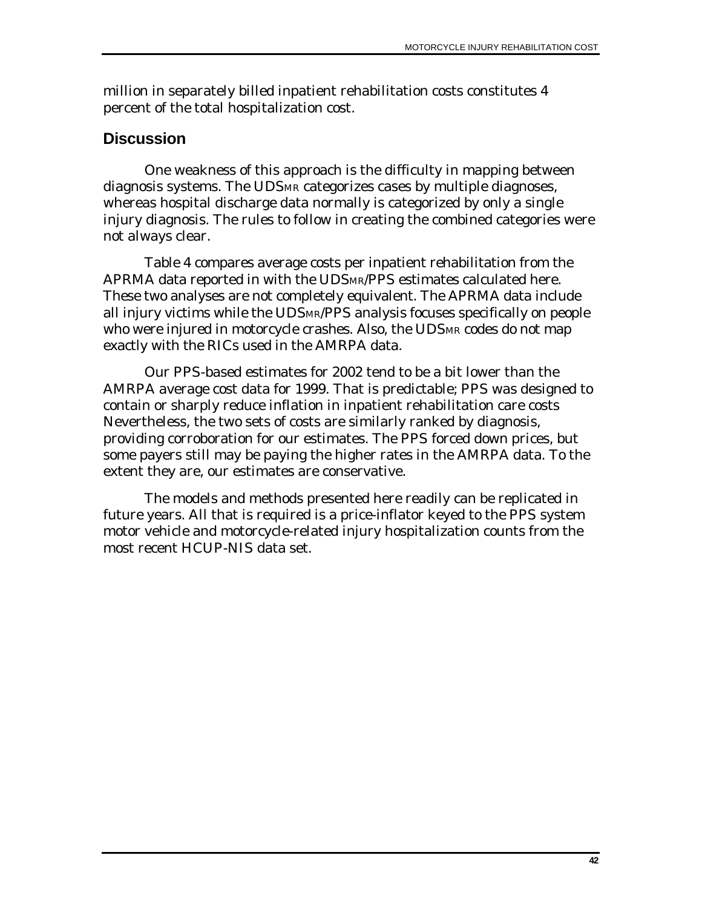million in separately billed inpatient rehabilitation costs constitutes 4 percent of the total hospitalization cost.

## **Discussion**

One weakness of this approach is the difficulty in mapping between diagnosis systems. The UDSMR categorizes cases by multiple diagnoses, whereas hospital discharge data normally is categorized by only a single injury diagnosis. The rules to follow in creating the combined categories were not always clear.

Table 4 compares average costs per inpatient rehabilitation from the APRMA data reported in with the UDSMR/PPS estimates calculated here. These two analyses are not completely equivalent. The APRMA data include all injury victims while the UDSMR/PPS analysis focuses specifically on people who were injured in motorcycle crashes. Also, the UDSMR codes do not map exactly with the RICs used in the AMRPA data.

Our PPS-based estimates for 2002 tend to be a bit lower than the AMRPA average cost data for 1999. That is predictable; PPS was designed to contain or sharply reduce inflation in inpatient rehabilitation care costs Nevertheless, the two sets of costs are similarly ranked by diagnosis, providing corroboration for our estimates. The PPS forced down prices, but some payers still may be paying the higher rates in the AMRPA data. To the extent they are, our estimates are conservative.

The models and methods presented here readily can be replicated in future years. All that is required is a price-inflator keyed to the PPS system motor vehicle and motorcycle-related injury hospitalization counts from the most recent HCUP-NIS data set.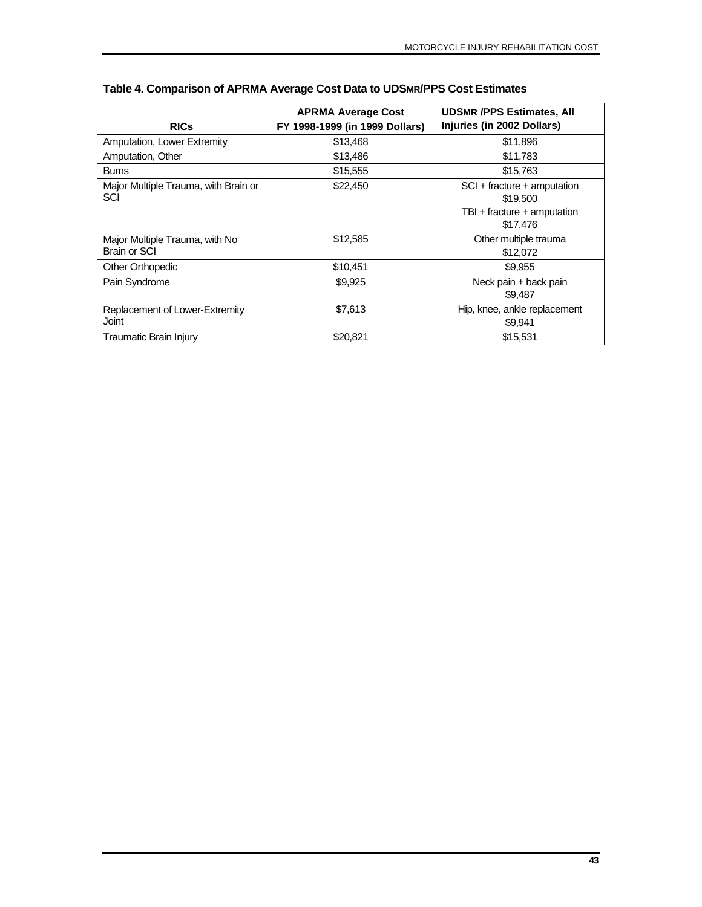| <b>RICs</b>                                    | <b>APRMA Average Cost</b><br>FY 1998-1999 (in 1999 Dollars) | <b>UDSMR /PPS Estimates, All</b><br>Injuries (in 2002 Dollars)                     |
|------------------------------------------------|-------------------------------------------------------------|------------------------------------------------------------------------------------|
| Amputation, Lower Extremity                    | \$13,468                                                    | \$11,896                                                                           |
| Amputation, Other                              | \$13,486                                                    | \$11,783                                                                           |
| <b>Burns</b>                                   | \$15,555                                                    | \$15,763                                                                           |
| Major Multiple Trauma, with Brain or<br>SCI    | \$22,450                                                    | SCI + fracture + amputation<br>\$19,500<br>TBI + fracture + amputation<br>\$17,476 |
| Major Multiple Trauma, with No<br>Brain or SCI | \$12,585                                                    | Other multiple trauma<br>\$12,072                                                  |
| Other Orthopedic                               | \$10,451                                                    | \$9,955                                                                            |
| Pain Syndrome                                  | \$9,925                                                     | Neck pain + back pain<br>\$9,487                                                   |
| Replacement of Lower-Extremity<br>Joint        | \$7,613                                                     | Hip, knee, ankle replacement<br>\$9,941                                            |
| Traumatic Brain Injury                         | \$20.821                                                    | \$15,531                                                                           |

### **Table 4. Comparison of APRMA Average Cost Data to UDSMR/PPS Cost Estimates**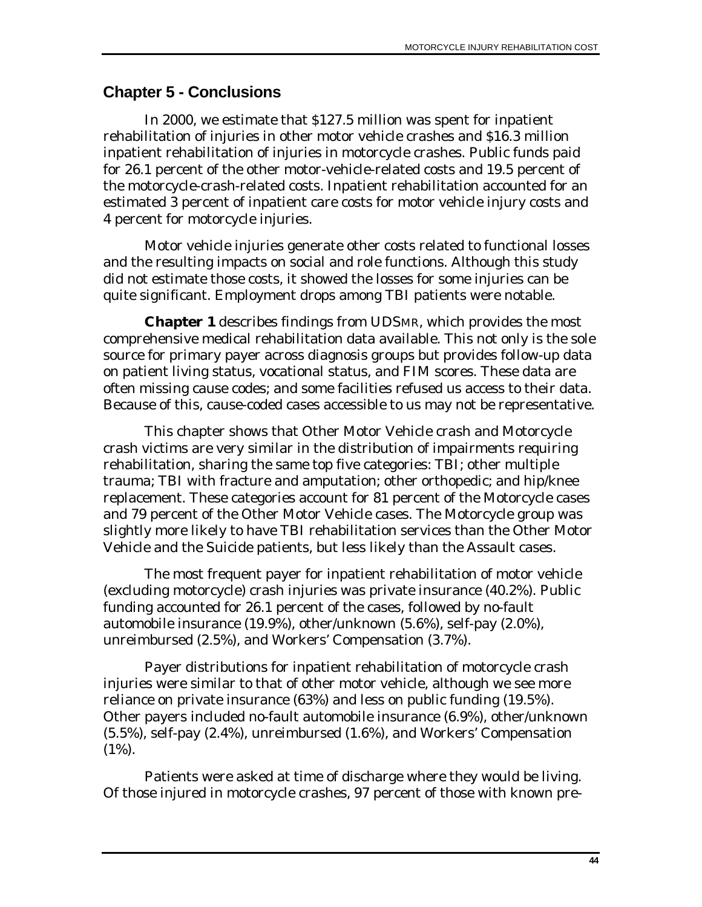## **Chapter 5 - Conclusions**

In 2000, we estimate that \$127.5 million was spent for inpatient rehabilitation of injuries in other motor vehicle crashes and \$16.3 million inpatient rehabilitation of injuries in motorcycle crashes. Public funds paid for 26.1 percent of the other motor-vehicle-related costs and 19.5 percent of the motorcycle-crash-related costs. Inpatient rehabilitation accounted for an estimated 3 percent of inpatient care costs for motor vehicle injury costs and 4 percent for motorcycle injuries.

Motor vehicle injuries generate other costs related to functional losses and the resulting impacts on social and role functions. Although this study did not estimate those costs, it showed the losses for some injuries can be quite significant. Employment drops among TBI patients were notable.

**Chapter 1** describes findings from UDSMR, which provides the most comprehensive medical rehabilitation data available. This not only is the sole source for primary payer across diagnosis groups but provides follow-up data on patient living status, vocational status, and FIM scores. These data are often missing cause codes; and some facilities refused us access to their data. Because of this, cause-coded cases accessible to us may not be representative.

This chapter shows that Other Motor Vehicle crash and Motorcycle crash victims are very similar in the distribution of impairments requiring rehabilitation, sharing the same top five categories: TBI; other multiple trauma; TBI with fracture and amputation; other orthopedic; and hip/knee replacement. These categories account for 81 percent of the Motorcycle cases and 79 percent of the Other Motor Vehicle cases. The Motorcycle group was slightly more likely to have TBI rehabilitation services than the Other Motor Vehicle and the Suicide patients, but less likely than the Assault cases.

The most frequent payer for inpatient rehabilitation of motor vehicle (excluding motorcycle) crash injuries was private insurance (40.2%). Public funding accounted for 26.1 percent of the cases, followed by no-fault automobile insurance (19.9%), other/unknown (5.6%), self-pay (2.0%), unreimbursed (2.5%), and Workers' Compensation (3.7%).

Payer distributions for inpatient rehabilitation of motorcycle crash injuries were similar to that of other motor vehicle, although we see more reliance on private insurance (63%) and less on public funding (19.5%). Other payers included no-fault automobile insurance (6.9%), other/unknown (5.5%), self-pay (2.4%), unreimbursed (1.6%), and Workers' Compensation (1%).

Patients were asked at time of discharge where they would be living. Of those injured in motorcycle crashes, 97 percent of those with known pre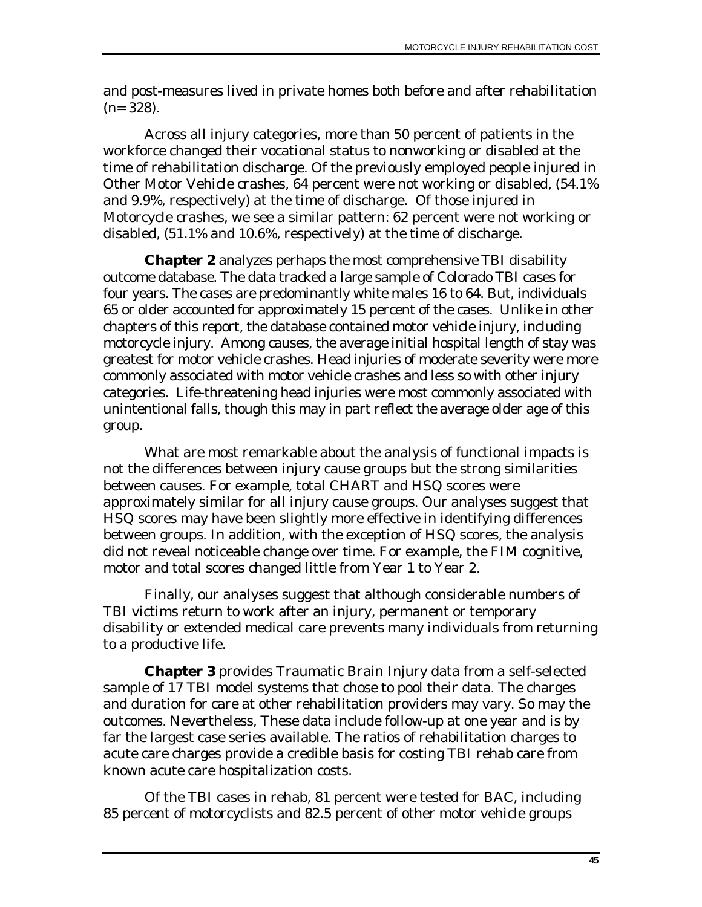and post-measures lived in private homes both before and after rehabilitation  $(n= 328)$ .

Across all injury categories, more than 50 percent of patients in the workforce changed their vocational status to nonworking or disabled at the time of rehabilitation discharge. Of the previously employed people injured in Other Motor Vehicle crashes, 64 percent were not working or disabled, (54.1% and 9.9%, respectively) at the time of discharge. Of those injured in Motorcycle crashes, we see a similar pattern: 62 percent were not working or disabled, (51.1% and 10.6%, respectively) at the time of discharge.

**Chapter 2** analyzes perhaps the most comprehensive TBI disability outcome database. The data tracked a large sample of Colorado TBI cases for four years. The cases are predominantly white males 16 to 64. But, individuals 65 or older accounted for approximately 15 percent of the cases. Unlike in other chapters of this report, the database contained motor vehicle injury, including motorcycle injury. Among causes, the average initial hospital length of stay was greatest for motor vehicle crashes. Head injuries of moderate severity were more commonly associated with motor vehicle crashes and less so with other injury categories. Life-threatening head injuries were most commonly associated with unintentional falls, though this may in part reflect the average older age of this group.

What are most remarkable about the analysis of functional impacts is not the differences between injury cause groups but the strong similarities between causes. For example, total CHART and HSQ scores were approximately similar for all injury cause groups. Our analyses suggest that HSQ scores may have been slightly more effective in identifying differences between groups. In addition, with the exception of HSQ scores, the analysis did not reveal noticeable change over time. For example, the FIM cognitive, motor and total scores changed little from Year 1 to Year 2.

Finally, our analyses suggest that although considerable numbers of TBI victims return to work after an injury, permanent or temporary disability or extended medical care prevents many individuals from returning to a productive life.

**Chapter 3** provides Traumatic Brain Injury data from a self-selected sample of 17 TBI model systems that chose to pool their data. The charges and duration for care at other rehabilitation providers may vary. So may the outcomes. Nevertheless, These data include follow-up at one year and is by far the largest case series available. The ratios of rehabilitation charges to acute care charges provide a credible basis for costing TBI rehab care from known acute care hospitalization costs.

Of the TBI cases in rehab, 81 percent were tested for BAC, including 85 percent of motorcyclists and 82.5 percent of other motor vehicle groups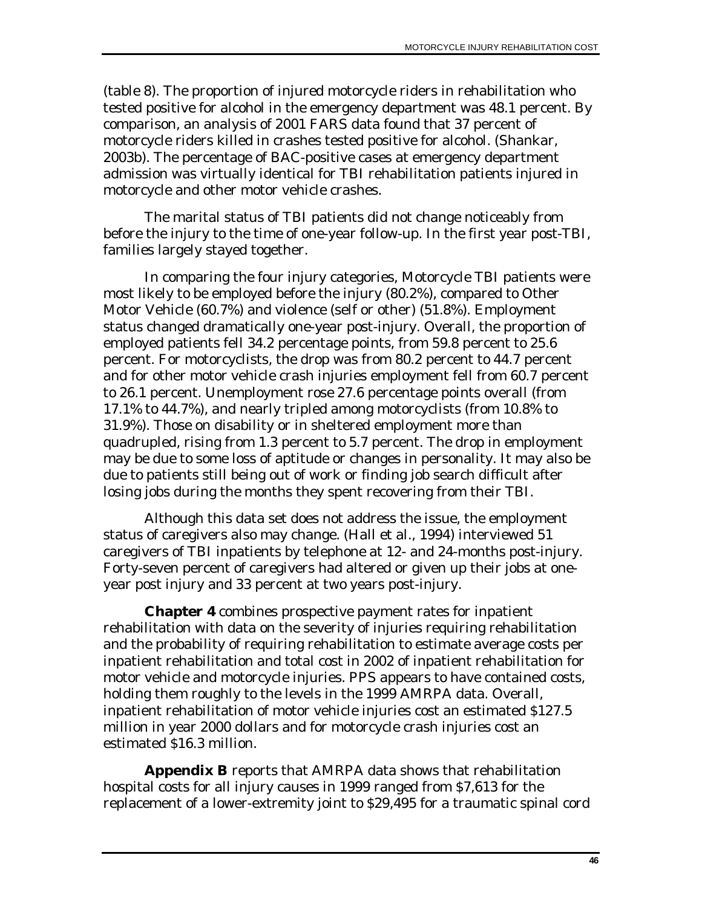(table 8). The proportion of injured motorcycle riders in rehabilitation who tested positive for alcohol in the emergency department was 48.1 percent. By comparison, an analysis of 2001 FARS data found that 37 percent of motorcycle riders killed in crashes tested positive for alcohol. (Shankar, 2003b). The percentage of BAC-positive cases at emergency department admission was virtually identical for TBI rehabilitation patients injured in motorcycle and other motor vehicle crashes.

The marital status of TBI patients did not change noticeably from before the injury to the time of one-year follow-up. In the first year post-TBI, families largely stayed together.

In comparing the four injury categories, Motorcycle TBI patients were most likely to be employed before the injury (80.2%), compared to Other Motor Vehicle (60.7%) and violence (self or other) (51.8%). Employment status changed dramatically one-year post-injury. Overall, the proportion of employed patients fell 34.2 percentage points, from 59.8 percent to 25.6 percent. For motorcyclists, the drop was from 80.2 percent to 44.7 percent and for other motor vehicle crash injuries employment fell from 60.7 percent to 26.1 percent. Unemployment rose 27.6 percentage points overall (from 17.1% to 44.7%), and nearly tripled among motorcyclists (from 10.8% to 31.9%). Those on disability or in sheltered employment more than quadrupled, rising from 1.3 percent to 5.7 percent. The drop in employment may be due to some loss of aptitude or changes in personality. It may also be due to patients still being out of work or finding job search difficult after losing jobs during the months they spent recovering from their TBI.

Although this data set does not address the issue, the employment status of caregivers also may change. (Hall et al., 1994) interviewed 51 caregivers of TBI inpatients by telephone at 12- and 24-months post-injury. Forty-seven percent of caregivers had altered or given up their jobs at oneyear post injury and 33 percent at two years post-injury.

**Chapter 4** combines prospective payment rates for inpatient rehabilitation with data on the severity of injuries requiring rehabilitation and the probability of requiring rehabilitation to estimate average costs per inpatient rehabilitation and total cost in 2002 of inpatient rehabilitation for motor vehicle and motorcycle injuries. PPS appears to have contained costs, holding them roughly to the levels in the 1999 AMRPA data. Overall, inpatient rehabilitation of motor vehicle injuries cost an estimated \$127.5 million in year 2000 dollars and for motorcycle crash injuries cost an estimated \$16.3 million.

**Appendix B** reports that AMRPA data shows that rehabilitation hospital costs for all injury causes in 1999 ranged from \$7,613 for the replacement of a lower-extremity joint to \$29,495 for a traumatic spinal cord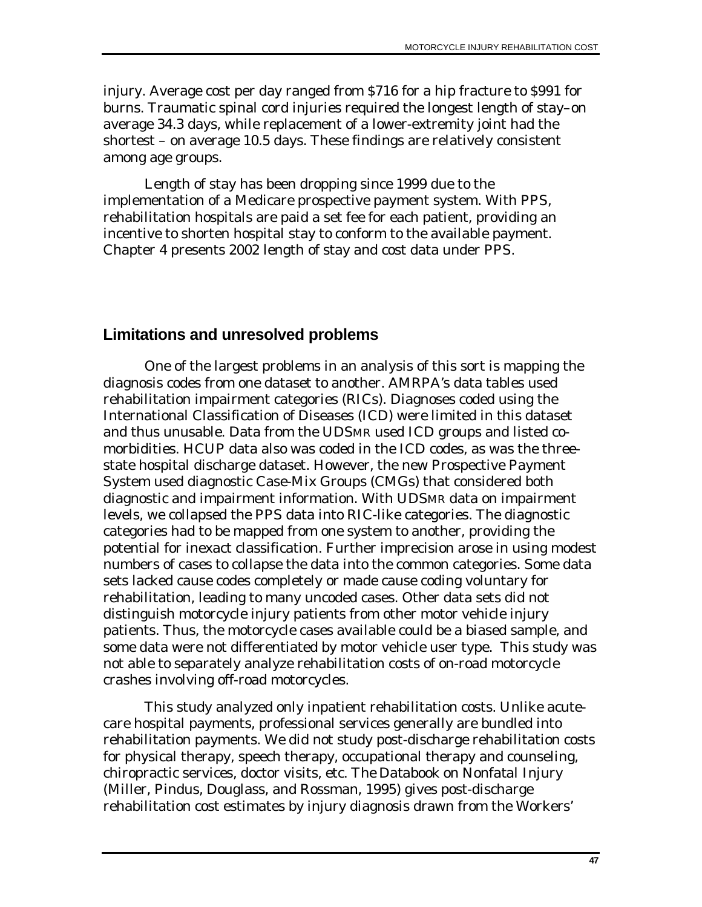injury. Average cost per day ranged from \$716 for a hip fracture to \$991 for burns. Traumatic spinal cord injuries required the longest length of stay–on average 34.3 days, while replacement of a lower-extremity joint had the shortest – on average 10.5 days. These findings are relatively consistent among age groups.

Length of stay has been dropping since 1999 due to the implementation of a Medicare prospective payment system. With PPS, rehabilitation hospitals are paid a set fee for each patient, providing an incentive to shorten hospital stay to conform to the available payment. Chapter 4 presents 2002 length of stay and cost data under PPS.

# **Limitations and unresolved problems**

One of the largest problems in an analysis of this sort is mapping the diagnosis codes from one dataset to another. AMRPA's data tables used rehabilitation impairment categories (RICs). Diagnoses coded using the International Classification of Diseases (ICD) were limited in this dataset and thus unusable. Data from the UDSMR used ICD groups and listed comorbidities. HCUP data also was coded in the ICD codes, as was the threestate hospital discharge dataset. However, the new Prospective Payment System used diagnostic Case-Mix Groups (CMGs) that considered both diagnostic and impairment information. With UDSMR data on impairment levels, we collapsed the PPS data into RIC-like categories. The diagnostic categories had to be mapped from one system to another, providing the potential for inexact classification. Further imprecision arose in using modest numbers of cases to collapse the data into the common categories. Some data sets lacked cause codes completely or made cause coding voluntary for rehabilitation, leading to many uncoded cases. Other data sets did not distinguish motorcycle injury patients from other motor vehicle injury patients. Thus, the motorcycle cases available could be a biased sample, and some data were not differentiated by motor vehicle user type. This study was not able to separately analyze rehabilitation costs of on-road motorcycle crashes involving off-road motorcycles.

This study analyzed only inpatient rehabilitation costs. Unlike acutecare hospital payments, professional services generally are bundled into rehabilitation payments. We did not study post-discharge rehabilitation costs for physical therapy, speech therapy, occupational therapy and counseling, chiropractic services, doctor visits, etc. *The Databook on Nonfatal Injury* (Miller, Pindus, Douglass, and Rossman, 1995) gives post-discharge rehabilitation cost estimates by injury diagnosis drawn from the Workers'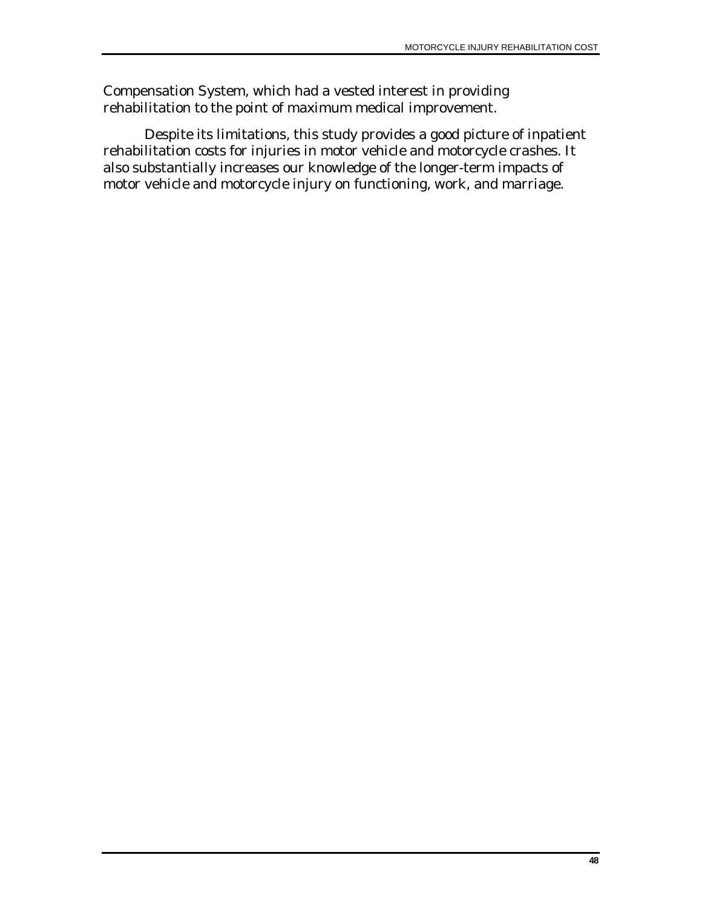Compensation System, which had a vested interest in providing rehabilitation to the point of maximum medical improvement.

Despite its limitations, this study provides a good picture of inpatient rehabilitation costs for injuries in motor vehicle and motorcycle crashes. It also substantially increases our knowledge of the longer-term impacts of motor vehicle and motorcycle injury on functioning, work, and marriage.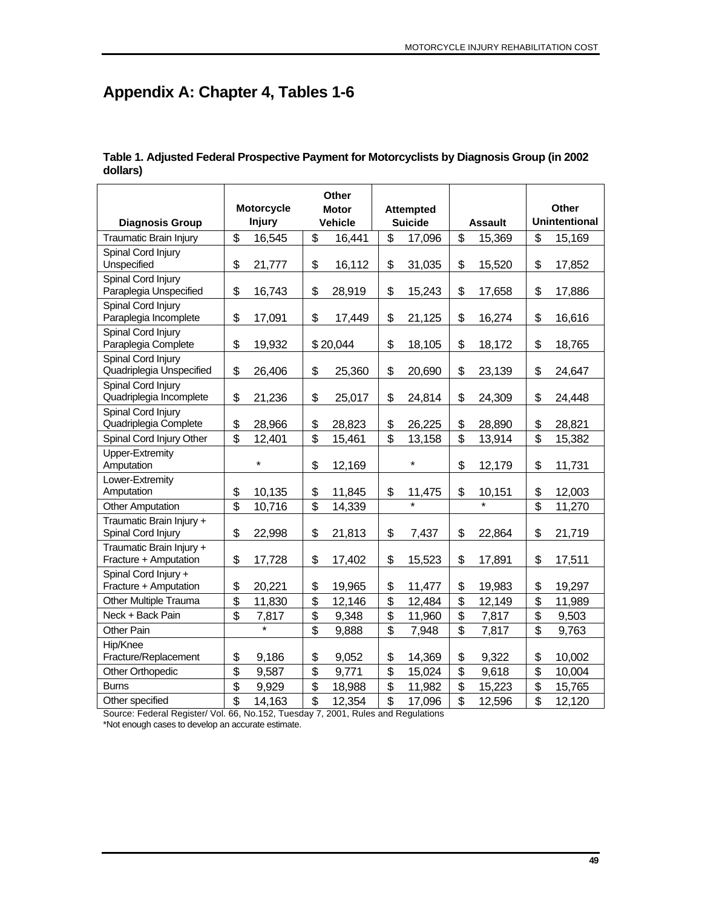# **Appendix A: Chapter 4, Tables 1-6**

|                                                | <b>Other</b>            |               |                         |                  |                           |         |                |        |                           |                      |
|------------------------------------------------|-------------------------|---------------|-------------------------|------------------|---------------------------|---------|----------------|--------|---------------------------|----------------------|
|                                                | <b>Motorcycle</b>       |               | <b>Motor</b>            | <b>Attempted</b> |                           |         |                | Other  |                           |                      |
| <b>Diagnosis Group</b>                         |                         | <b>Injury</b> |                         | <b>Vehicle</b>   | <b>Suicide</b>            |         | <b>Assault</b> |        |                           | <b>Unintentional</b> |
| Traumatic Brain Injury                         | \$                      | 16,545        | \$                      | 16,441           | \$                        | 17,096  | \$             | 15,369 | \$                        | 15,169               |
| Spinal Cord Injury                             |                         |               |                         |                  |                           |         |                |        |                           |                      |
| Unspecified                                    | \$                      | 21,777        | \$                      | 16,112           | \$                        | 31,035  | \$             | 15,520 | \$                        | 17,852               |
| Spinal Cord Injury                             |                         |               |                         |                  |                           |         |                |        |                           |                      |
| Paraplegia Unspecified                         | \$                      | 16,743        | \$                      | 28,919           | \$                        | 15,243  | \$             | 17,658 | \$                        | 17,886               |
| Spinal Cord Injury                             |                         |               |                         |                  |                           |         |                |        |                           |                      |
| Paraplegia Incomplete                          | \$                      | 17,091        | \$                      | 17,449           | \$                        | 21,125  | \$             | 16,274 | \$                        | 16,616               |
| Spinal Cord Injury                             |                         |               |                         |                  |                           |         |                |        |                           |                      |
| Paraplegia Complete                            | \$                      | 19,932        |                         | \$20,044         | \$                        | 18,105  | \$             | 18,172 | \$                        | 18,765               |
| Spinal Cord Injury<br>Quadriplegia Unspecified | \$                      | 26,406        | \$                      | 25,360           | \$                        | 20,690  | \$             | 23,139 | \$                        | 24,647               |
| Spinal Cord Injury                             |                         |               |                         |                  |                           |         |                |        |                           |                      |
| Quadriplegia Incomplete                        | \$                      | 21,236        | \$                      | 25,017           | \$                        | 24,814  | \$             | 24,309 | \$                        | 24,448               |
| Spinal Cord Injury                             |                         |               |                         |                  |                           |         |                |        |                           |                      |
| Quadriplegia Complete                          | \$                      | 28,966        | \$                      | 28,823           | \$                        | 26,225  | \$             | 28,890 | \$                        | 28,821               |
| Spinal Cord Injury Other                       | $\overline{\mathsf{s}}$ | 12,401        | $\overline{\mathbb{S}}$ | 15,461           | $\overline{\mathbf{s}}$   | 13,158  | \$             | 13,914 | \$                        | 15,382               |
| <b>Upper-Extremity</b>                         |                         |               |                         |                  |                           |         |                |        |                           |                      |
| Amputation                                     |                         | $\star$       | \$                      | 12,169           |                           | $\star$ | \$             | 12,179 | \$                        | 11,731               |
| Lower-Extremity                                |                         |               |                         |                  |                           |         |                |        |                           |                      |
| Amputation                                     | \$                      | 10,135        | \$                      | 11,845           | \$                        | 11,475  | \$             | 10,151 | \$                        | 12,003               |
| <b>Other Amputation</b>                        | $\overline{\$}$         | 10,716        | $\overline{\mathbf{s}}$ | 14,339           |                           |         |                |        | $\overline{\mathbb{S}}$   | 11,270               |
| Traumatic Brain Injury +                       |                         |               |                         |                  |                           |         |                |        |                           |                      |
| Spinal Cord Injury                             | \$                      | 22,998        | \$                      | 21,813           | \$                        | 7,437   | \$             | 22,864 | \$                        | 21,719               |
| Traumatic Brain Injury +                       |                         |               |                         |                  |                           |         |                |        |                           |                      |
| Fracture + Amputation                          | \$                      | 17,728        | \$                      | 17,402           | \$                        | 15,523  | \$             | 17,891 | \$                        | 17,511               |
| Spinal Cord Injury +                           |                         |               |                         |                  |                           |         |                |        |                           |                      |
| Fracture + Amputation                          | \$                      | 20,221        | \$                      | 19,965           | \$                        | 11,477  | \$             | 19,983 | \$                        | 19,297               |
| Other Multiple Trauma                          | \$                      | 11,830        | \$                      | 12,146           | $\overline{\mathfrak{s}}$ | 12,484  | \$             | 12,149 | \$                        | 11,989               |
| Neck + Back Pain                               | \$                      | 7,817         | \$                      | 9,348            | \$                        | 11,960  | \$             | 7,817  | \$                        | 9,503                |
| Other Pain                                     |                         | $\star$       | \$                      | 9,888            | \$                        | 7,948   | \$             | 7,817  | \$                        | 9,763                |
| Hip/Knee                                       |                         |               |                         |                  |                           |         |                |        |                           |                      |
| Fracture/Replacement                           | \$                      | 9,186         | \$                      | 9,052            | \$                        | 14,369  | \$             | 9,322  | \$                        | 10,002               |
| Other Orthopedic                               | \$                      | 9,587         | \$                      | 9,771            | \$                        | 15,024  | \$             | 9,618  | \$                        | 10,004               |
| <b>Burns</b>                                   | \$                      | 9,929         | \$                      | 18,988           | \$                        | 11,982  | \$             | 15,223 | \$                        | 15,765               |
| Other specified                                | $\overline{\mathbf{s}}$ | 14,163        | $\overline{\mathbf{s}}$ | 12,354           | $\overline{\mathbb{S}}$   | 17,096  | \$             | 12,596 | $\overline{\mathfrak{s}}$ | 12,120               |

**Table 1. Adjusted Federal Prospective Payment for Motorcyclists by Diagnosis Group (in 2002 dollars)** 

Source: Federal Register/ Vol. 66, No.152, Tuesday 7, 2001, Rules and Regulations \*Not enough cases to develop an accurate estimate.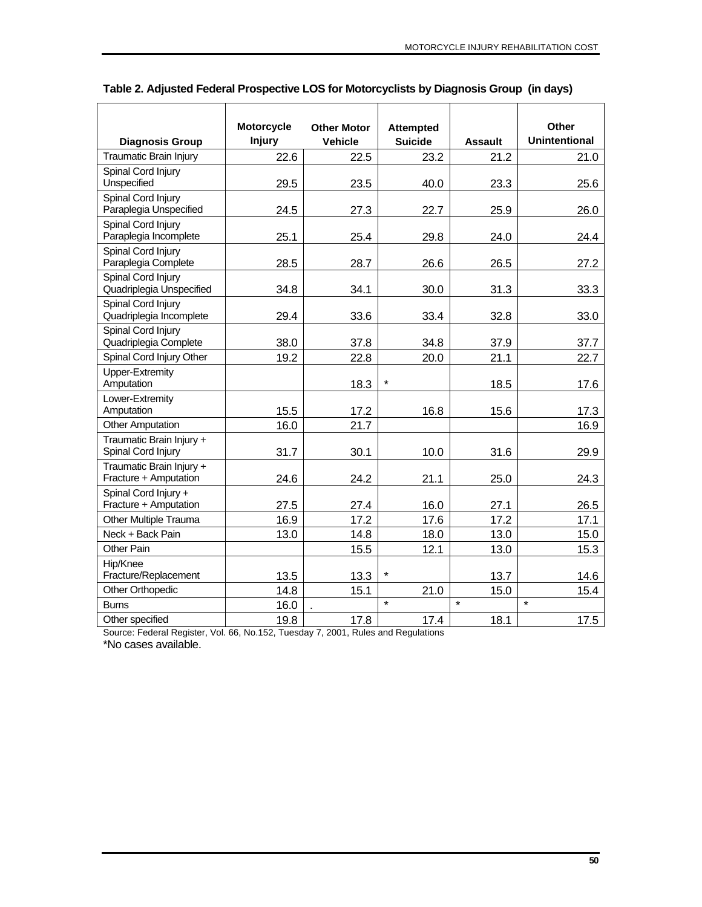|                                                   | <b>Motorcycle</b> | <b>Other Motor</b> | <b>Attempted</b> |                | Other                |
|---------------------------------------------------|-------------------|--------------------|------------------|----------------|----------------------|
| <b>Diagnosis Group</b>                            | <b>Injury</b>     | <b>Vehicle</b>     | <b>Suicide</b>   | <b>Assault</b> | <b>Unintentional</b> |
| <b>Traumatic Brain Injury</b>                     | 22.6              | 22.5               | 23.2             | 21.2           | 21.0                 |
| Spinal Cord Injury<br>Unspecified                 | 29.5              | 23.5               | 40.0             | 23.3           | 25.6                 |
| Spinal Cord Injury<br>Paraplegia Unspecified      | 24.5              | 27.3               | 22.7             | 25.9           | 26.0                 |
| Spinal Cord Injury<br>Paraplegia Incomplete       | 25.1              | 25.4               | 29.8             | 24.0           | 24.4                 |
| Spinal Cord Injury<br>Paraplegia Complete         | 28.5              | 28.7               | 26.6             | 26.5           | 27.2                 |
| Spinal Cord Injury<br>Quadriplegia Unspecified    | 34.8              | 34.1               | 30.0             | 31.3           | 33.3                 |
| Spinal Cord Injury<br>Quadriplegia Incomplete     | 29.4              | 33.6               | 33.4             | 32.8           | 33.0                 |
| Spinal Cord Injury<br>Quadriplegia Complete       | 38.0              | 37.8               | 34.8             | 37.9           | 37.7                 |
| Spinal Cord Injury Other                          | 19.2              | 22.8               | 20.0             | 21.1           | 22.7                 |
| Upper-Extremity<br>Amputation                     |                   | 18.3               | $\star$          | 18.5           | 17.6                 |
| Lower-Extremity<br>Amputation                     | 15.5              | 17.2               | 16.8             | 15.6           | 17.3                 |
| <b>Other Amputation</b>                           | 16.0              | 21.7               |                  |                | 16.9                 |
| Traumatic Brain Injury +<br>Spinal Cord Injury    | 31.7              | 30.1               | 10.0             | 31.6           | 29.9                 |
| Traumatic Brain Injury +<br>Fracture + Amputation | 24.6              | 24.2               | 21.1             | 25.0           | 24.3                 |
| Spinal Cord Injury +<br>Fracture + Amputation     | 27.5              | 27.4               | 16.0             | 27.1           | 26.5                 |
| Other Multiple Trauma                             | 16.9              | 17.2               | 17.6             | 17.2           | 17.1                 |
| Neck + Back Pain                                  | 13.0              | 14.8               | 18.0             | 13.0           | 15.0                 |
| Other Pain                                        |                   | 15.5               | 12.1             | 13.0           | 15.3                 |
| Hip/Knee<br>Fracture/Replacement                  | 13.5              | 13.3               | $\star$          | 13.7           | 14.6                 |
| Other Orthopedic                                  | 14.8              | 15.1               | 21.0             | 15.0           | 15.4                 |
| <b>Burns</b>                                      | 16.0              |                    | $\star$          | $\star$        | $\star$              |
| Other specified                                   | 19.8              | 17.8               | 17.4             | 18.1           | 17.5                 |

### **Table 2. Adjusted Federal Prospective LOS for Motorcyclists by Diagnosis Group (in days)**

Source: Federal Register, Vol. 66, No.152, Tuesday 7, 2001, Rules and Regulations \*No cases available.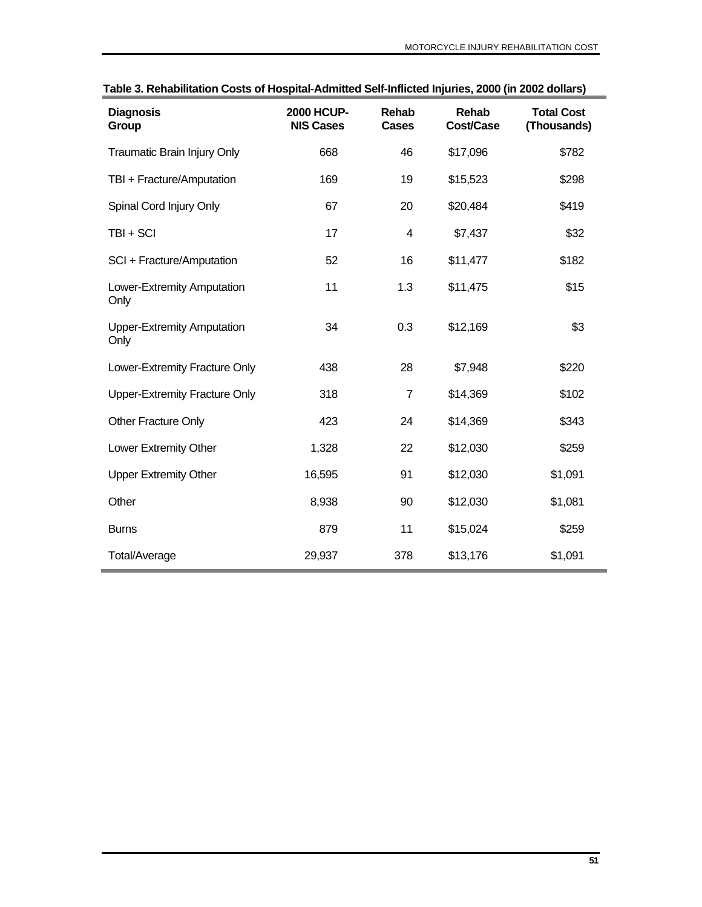| <b>Diagnosis</b><br>Group                 | <b>2000 HCUP-</b><br><b>NIS Cases</b> | <b>Rehab</b><br><b>Cases</b> | Rehab<br><b>Cost/Case</b> | <b>Total Cost</b><br>(Thousands) |
|-------------------------------------------|---------------------------------------|------------------------------|---------------------------|----------------------------------|
| Traumatic Brain Injury Only               | 668                                   | 46                           | \$17,096                  | \$782                            |
| TBI + Fracture/Amputation                 | 169                                   | 19                           | \$15,523                  | \$298                            |
| Spinal Cord Injury Only                   | 67                                    | 20                           | \$20,484                  | \$419                            |
| TBI + SCI                                 | 17                                    | 4                            | \$7,437                   | \$32                             |
| SCI + Fracture/Amputation                 | 52                                    | 16                           | \$11,477                  | \$182                            |
| Lower-Extremity Amputation<br>Only        | 11                                    | 1.3                          | \$11,475                  | \$15                             |
| <b>Upper-Extremity Amputation</b><br>Only | 34                                    | 0.3                          | \$12,169                  | \$3                              |
| Lower-Extremity Fracture Only             | 438                                   | 28                           | \$7,948                   | \$220                            |
| Upper-Extremity Fracture Only             | 318                                   | $\overline{7}$               | \$14,369                  | \$102                            |
| Other Fracture Only                       | 423                                   | 24                           | \$14,369                  | \$343                            |
| Lower Extremity Other                     | 1,328                                 | 22                           | \$12,030                  | \$259                            |
| <b>Upper Extremity Other</b>              | 16,595                                | 91                           | \$12,030                  | \$1,091                          |
| Other                                     | 8,938                                 | 90                           | \$12,030                  | \$1,081                          |
| <b>Burns</b>                              | 879                                   | 11                           | \$15,024                  | \$259                            |
| Total/Average                             | 29,937                                | 378                          | \$13,176                  | \$1,091                          |

**Table 3. Rehabilitation Costs of Hospital-Admitted Self-Inflicted Injuries, 2000 (in 2002 dollars)**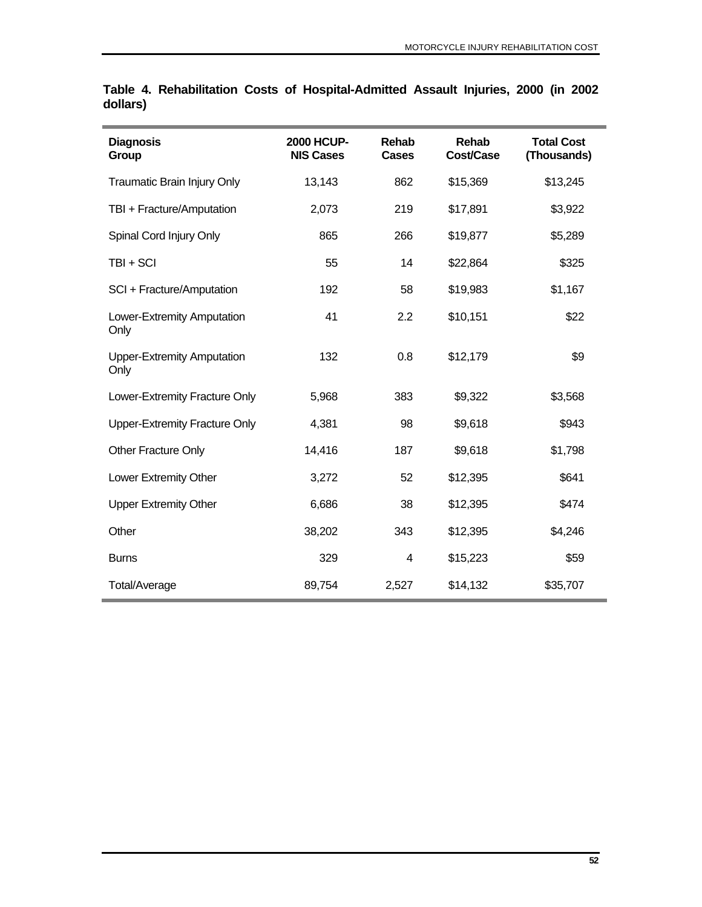| <b>Diagnosis</b><br>Group                 | <b>2000 HCUP-</b><br><b>NIS Cases</b> | Rehab<br>Cases | Rehab<br>Cost/Case | <b>Total Cost</b><br>(Thousands) |
|-------------------------------------------|---------------------------------------|----------------|--------------------|----------------------------------|
| Traumatic Brain Injury Only               | 13,143                                | 862            | \$15,369           | \$13,245                         |
| TBI + Fracture/Amputation                 | 2,073                                 | 219            | \$17,891           | \$3,922                          |
| Spinal Cord Injury Only                   | 865                                   | 266            | \$19,877           | \$5,289                          |
| TBI + SCI                                 | 55                                    | 14             | \$22,864           | \$325                            |
| SCI + Fracture/Amputation                 | 192                                   | 58             | \$19,983           | \$1,167                          |
| Lower-Extremity Amputation<br>Only        | 41                                    | 2.2            | \$10,151           | \$22                             |
| <b>Upper-Extremity Amputation</b><br>Only | 132                                   | 0.8            | \$12,179           | \$9                              |
| Lower-Extremity Fracture Only             | 5,968                                 | 383            | \$9,322            | \$3,568                          |
| <b>Upper-Extremity Fracture Only</b>      | 4,381                                 | 98             | \$9,618            | \$943                            |
| Other Fracture Only                       | 14,416                                | 187            | \$9,618            | \$1,798                          |
| Lower Extremity Other                     | 3,272                                 | 52             | \$12,395           | \$641                            |
| <b>Upper Extremity Other</b>              | 6,686                                 | 38             | \$12,395           | \$474                            |
| Other                                     | 38,202                                | 343            | \$12,395           | \$4,246                          |
| <b>Burns</b>                              | 329                                   | 4              | \$15,223           | \$59                             |
| Total/Average                             | 89,754                                | 2,527          | \$14,132           | \$35,707                         |

### **Table 4. Rehabilitation Costs of Hospital-Admitted Assault Injuries, 2000 (in 2002 dollars)**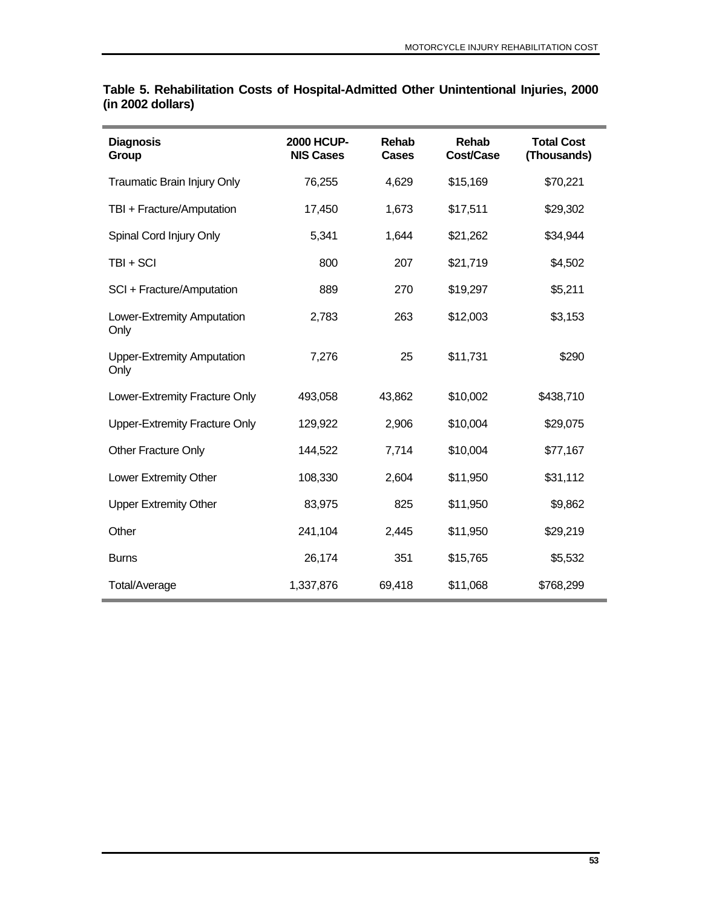| <b>Diagnosis</b><br>Group                 | <b>2000 HCUP-</b><br><b>NIS Cases</b> | <b>Rehab</b><br><b>Cases</b> | Rehab<br>Cost/Case | <b>Total Cost</b><br>(Thousands) |
|-------------------------------------------|---------------------------------------|------------------------------|--------------------|----------------------------------|
| Traumatic Brain Injury Only               | 76,255                                | 4,629                        | \$15,169           | \$70,221                         |
| TBI + Fracture/Amputation                 | 17,450                                | 1,673                        | \$17,511           | \$29,302                         |
| Spinal Cord Injury Only                   | 5,341                                 | 1,644                        | \$21,262           | \$34,944                         |
| TBI + SCI                                 | 800                                   | 207                          | \$21,719           | \$4,502                          |
| SCI + Fracture/Amputation                 | 889                                   | 270                          | \$19,297           | \$5,211                          |
| Lower-Extremity Amputation<br>Only        | 2,783                                 | 263                          | \$12,003           | \$3,153                          |
| <b>Upper-Extremity Amputation</b><br>Only | 7,276                                 | 25                           | \$11,731           | \$290                            |
| Lower-Extremity Fracture Only             | 493,058                               | 43,862                       | \$10,002           | \$438,710                        |
| <b>Upper-Extremity Fracture Only</b>      | 129,922                               | 2,906                        | \$10,004           | \$29,075                         |
| <b>Other Fracture Only</b>                | 144,522                               | 7,714                        | \$10,004           | \$77,167                         |
| Lower Extremity Other                     | 108,330                               | 2,604                        | \$11,950           | \$31,112                         |
| <b>Upper Extremity Other</b>              | 83,975                                | 825                          | \$11,950           | \$9,862                          |
| Other                                     | 241,104                               | 2,445                        | \$11,950           | \$29,219                         |
| <b>Burns</b>                              | 26,174                                | 351                          | \$15,765           | \$5,532                          |
| Total/Average                             | 1,337,876                             | 69,418                       | \$11,068           | \$768,299                        |

### **Table 5. Rehabilitation Costs of Hospital-Admitted Other Unintentional Injuries, 2000 (in 2002 dollars)**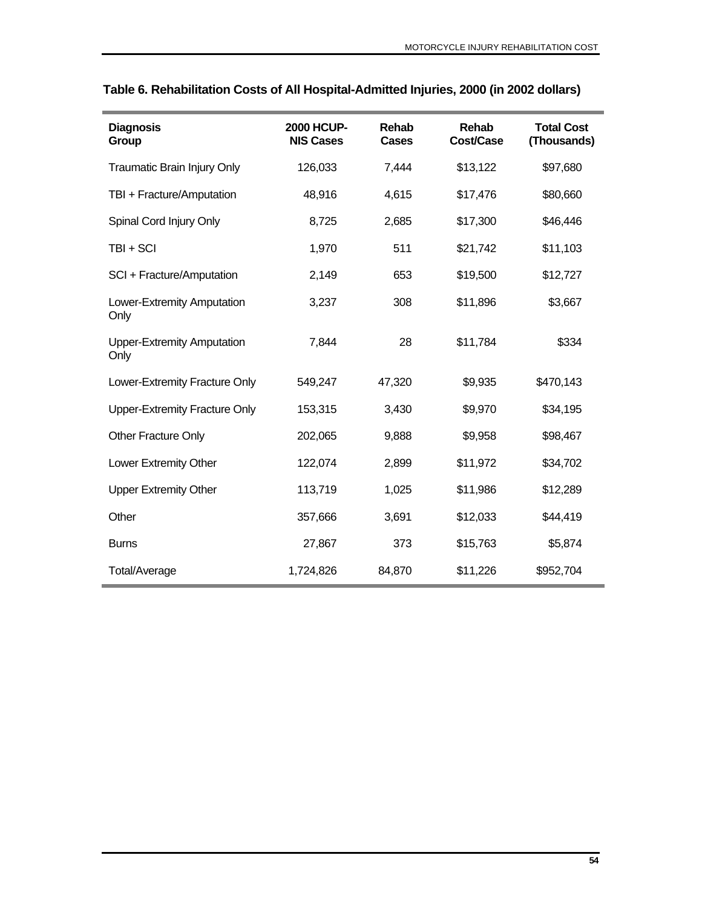| <b>Diagnosis</b><br>Group                 | <b>2000 HCUP-</b><br><b>NIS Cases</b> | <b>Rehab</b><br><b>Cases</b> | Rehab<br>Cost/Case | <b>Total Cost</b><br>(Thousands) |
|-------------------------------------------|---------------------------------------|------------------------------|--------------------|----------------------------------|
| Traumatic Brain Injury Only               | 126,033                               | 7,444                        | \$13,122           | \$97,680                         |
| TBI + Fracture/Amputation                 | 48,916                                | 4,615                        | \$17,476           | \$80,660                         |
| Spinal Cord Injury Only                   | 8,725                                 | 2,685                        | \$17,300           | \$46,446                         |
| TBI + SCI                                 | 1,970                                 | 511                          | \$21,742           | \$11,103                         |
| SCI + Fracture/Amputation                 | 2,149                                 | 653                          | \$19,500           | \$12,727                         |
| Lower-Extremity Amputation<br>Only        | 3,237                                 | 308                          | \$11,896           | \$3,667                          |
| <b>Upper-Extremity Amputation</b><br>Only | 7,844                                 | 28                           | \$11,784           | \$334                            |
| Lower-Extremity Fracture Only             | 549,247                               | 47,320                       | \$9,935            | \$470,143                        |
| <b>Upper-Extremity Fracture Only</b>      | 153,315                               | 3,430                        | \$9,970            | \$34,195                         |
| <b>Other Fracture Only</b>                | 202,065                               | 9,888                        | \$9,958            | \$98,467                         |
| Lower Extremity Other                     | 122,074                               | 2,899                        | \$11,972           | \$34,702                         |
| <b>Upper Extremity Other</b>              | 113,719                               | 1,025                        | \$11,986           | \$12,289                         |
| Other                                     | 357,666                               | 3,691                        | \$12,033           | \$44,419                         |
| <b>Burns</b>                              | 27,867                                | 373                          | \$15,763           | \$5,874                          |
| Total/Average                             | 1,724,826                             | 84,870                       | \$11,226           | \$952,704                        |

## **Table 6. Rehabilitation Costs of All Hospital-Admitted Injuries, 2000 (in 2002 dollars)**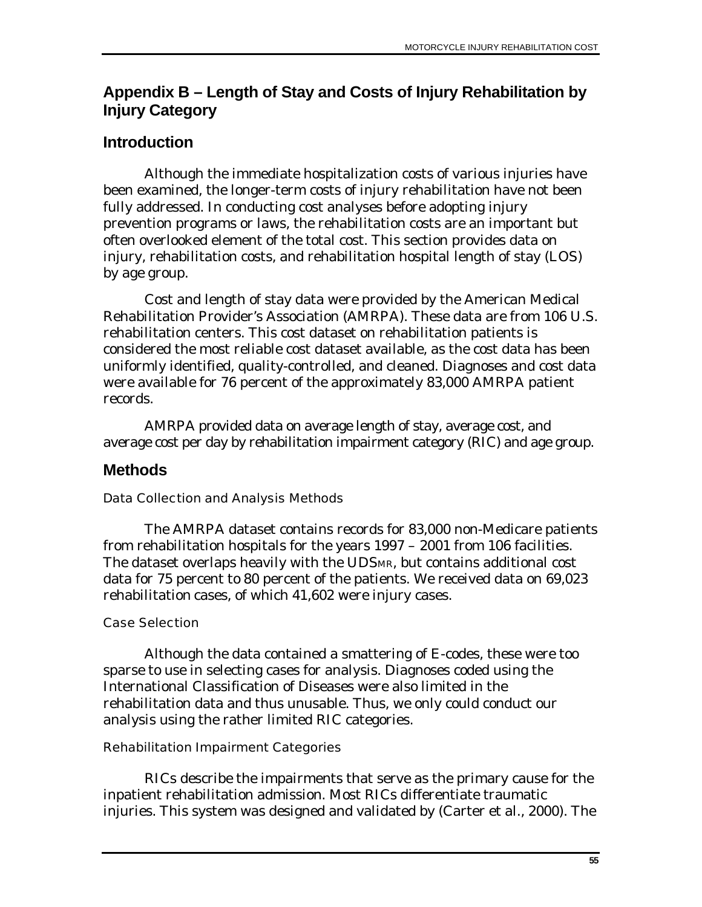# **Appendix B – Length of Stay and Costs of Injury Rehabilitation by Injury Category**

# **Introduction**

Although the immediate hospitalization costs of various injuries have been examined, the longer-term costs of injury rehabilitation have not been fully addressed. In conducting cost analyses before adopting injury prevention programs or laws, the rehabilitation costs are an important but often overlooked element of the total cost. This section provides data on injury, rehabilitation costs, and rehabilitation hospital length of stay (LOS) by age group.

Cost and length of stay data were provided by the American Medical Rehabilitation Provider's Association (AMRPA). These data are from 106 U.S. rehabilitation centers. This cost dataset on rehabilitation patients is considered the most reliable cost dataset available, as the cost data has been uniformly identified, quality-controlled, and cleaned. Diagnoses and cost data were available for 76 percent of the approximately 83,000 AMRPA patient records.

AMRPA provided data on average length of stay, average cost, and average cost per day by rehabilitation impairment category (RIC) and age group.

# **Methods**

## Data Collection and Analysis Methods

The AMRPA dataset contains records for 83,000 non-Medicare patients from rehabilitation hospitals for the years 1997 – 2001 from 106 facilities. The dataset overlaps heavily with the UDSMR, but contains additional cost data for 75 percent to 80 percent of the patients. We received data on 69,023 rehabilitation cases, of which 41,602 were injury cases.

## Case Selection

Although the data contained a smattering of E-codes, these were too sparse to use in selecting cases for analysis. Diagnoses coded using the International Classification of Diseases were also limited in the rehabilitation data and thus unusable. Thus, we only could conduct our analysis using the rather limited RIC categories.

## Rehabilitation Impairment Categories

RICs describe the impairments that serve as the primary cause for the inpatient rehabilitation admission. Most RICs differentiate traumatic injuries. This system was designed and validated by (Carter et al., 2000). The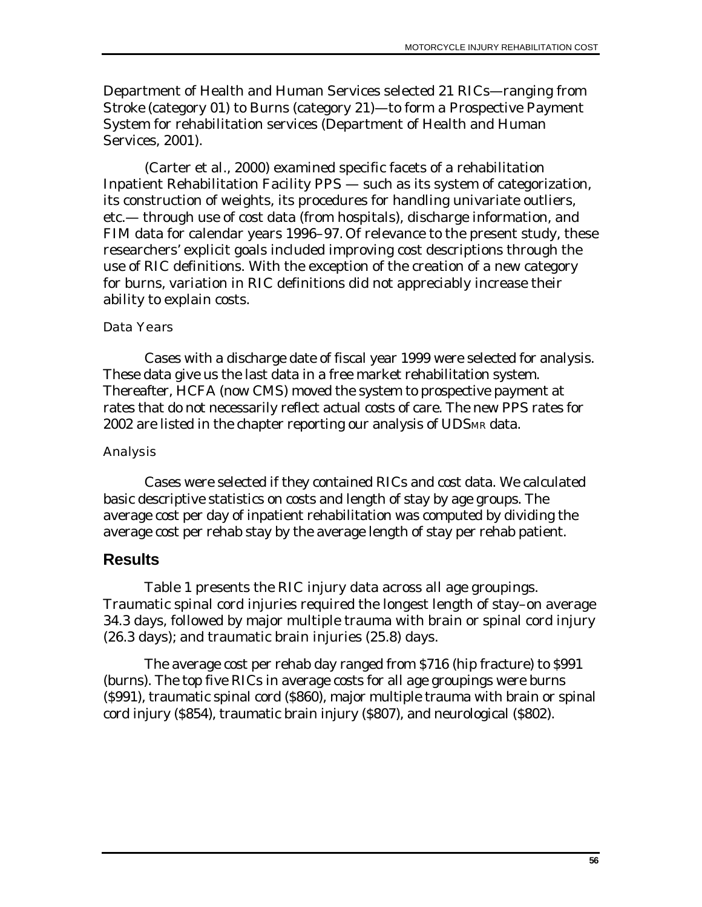Department of Health and Human Services selected 21 RICs—ranging from *Stroke* (category 01) to *Burns* (category 21)—to form a Prospective Payment System for rehabilitation services (Department of Health and Human Services, 2001).

(Carter et al., 2000) examined specific facets of a rehabilitation Inpatient Rehabilitation Facility PPS — such as its system of categorization, its construction of weights, its procedures for handling univariate outliers, etc.— through use of cost data (from hospitals), discharge information, and FIM data for calendar years 1996–97. Of relevance to the present study, these researchers' explicit goals included improving cost descriptions through the use of RIC definitions. With the exception of the creation of a new category for burns, variation in RIC definitions did not appreciably increase their ability to explain costs.

### Data Years

Cases with a discharge date of fiscal year 1999 were selected for analysis. These data give us the last data in a free market rehabilitation system. Thereafter, HCFA (now CMS) moved the system to prospective payment at rates that do not necessarily reflect actual costs of care. The new PPS rates for 2002 are listed in the chapter reporting our analysis of UDSMR data.

### **Analysis**

Cases were selected if they contained RICs and cost data. We calculated basic descriptive statistics on costs and length of stay by age groups. The average cost per day of inpatient rehabilitation was computed by dividing the average cost per rehab stay by the average length of stay per rehab patient.

## **Results**

Table 1 presents the RIC injury data across all age groupings. Traumatic spinal cord injuries required the longest length of stay–on average 34.3 days, followed by major multiple trauma with brain or spinal cord injury (26.3 days); and traumatic brain injuries (25.8) days.

The average cost per rehab day ranged from \$716 (hip fracture) to \$991 (burns). The top five RICs in average costs for all age groupings were burns (\$991), traumatic spinal cord (\$860), major multiple trauma with brain or spinal cord injury (\$854), traumatic brain injury (\$807), and neurological (\$802).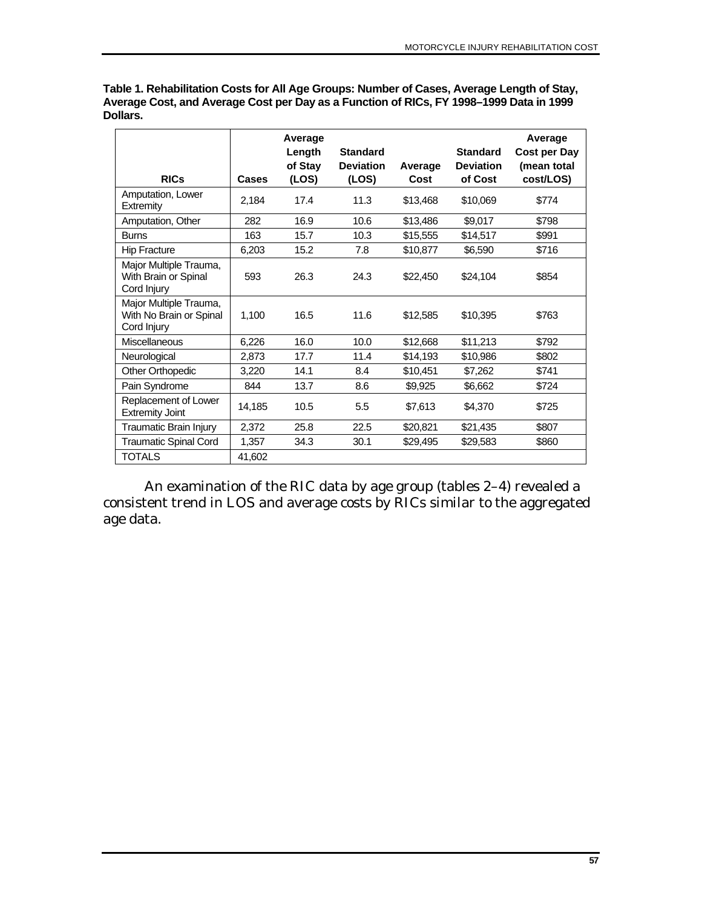|                                                                  |        | Average<br>Length<br>of Stay | <b>Standard</b><br><b>Deviation</b> | Average  | <b>Standard</b><br><b>Deviation</b> | Average<br>Cost per Day<br>(mean total |
|------------------------------------------------------------------|--------|------------------------------|-------------------------------------|----------|-------------------------------------|----------------------------------------|
| <b>RICs</b>                                                      | Cases  | (LOS)                        | (LOS)                               | Cost     | of Cost                             | cost/LOS)                              |
| Amputation, Lower<br>Extremity                                   | 2,184  | 17.4                         | 11.3                                | \$13,468 | \$10,069                            | \$774                                  |
| Amputation, Other                                                | 282    | 16.9                         | 10.6                                | \$13,486 | \$9,017                             | \$798                                  |
| <b>Burns</b>                                                     | 163    | 15.7                         | 10.3                                | \$15,555 | \$14,517                            | \$991                                  |
| <b>Hip Fracture</b>                                              | 6,203  | 15.2                         | 7.8                                 | \$10,877 | \$6,590                             | \$716                                  |
| Major Multiple Trauma,<br>With Brain or Spinal<br>Cord Injury    | 593    | 26.3                         | 24.3                                | \$22,450 | \$24,104                            | \$854                                  |
| Major Multiple Trauma,<br>With No Brain or Spinal<br>Cord Injury | 1,100  | 16.5                         | 11.6                                | \$12,585 | \$10,395                            | \$763                                  |
| <b>Miscellaneous</b>                                             | 6,226  | 16.0                         | 10.0                                | \$12,668 | \$11,213                            | \$792                                  |
| Neurological                                                     | 2,873  | 17.7                         | 11.4                                | \$14,193 | \$10,986                            | \$802                                  |
| Other Orthopedic                                                 | 3,220  | 14.1                         | 8.4                                 | \$10,451 | \$7,262                             | \$741                                  |
| Pain Syndrome                                                    | 844    | 13.7                         | 8.6                                 | \$9,925  | \$6,662                             | \$724                                  |
| Replacement of Lower<br><b>Extremity Joint</b>                   | 14,185 | 10.5                         | 5.5                                 | \$7,613  | \$4,370                             | \$725                                  |
| Traumatic Brain Injury                                           | 2,372  | 25.8                         | 22.5                                | \$20,821 | \$21,435                            | \$807                                  |
| <b>Traumatic Spinal Cord</b>                                     | 1,357  | 34.3                         | 30.1                                | \$29,495 | \$29,583                            | \$860                                  |
| <b>TOTALS</b>                                                    | 41,602 |                              |                                     |          |                                     |                                        |

**Table 1. Rehabilitation Costs for All Age Groups: Number of Cases, Average Length of Stay, Average Cost, and Average Cost per Day as a Function of RICs, FY 1998–1999 Data in 1999 Dollars.** 

An examination of the RIC data by age group (tables 2–4) revealed a consistent trend in LOS and average costs by RICs similar to the aggregated age data.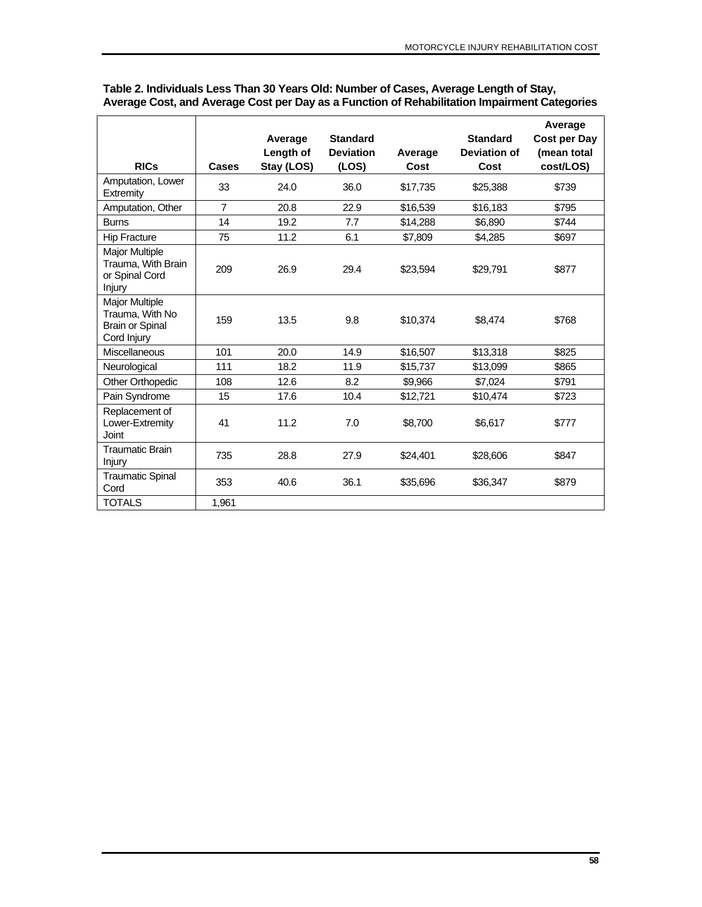|                                                                                   |                | Average    | <b>Standard</b>  |          | <b>Standard</b> | Average<br>Cost per Day |
|-----------------------------------------------------------------------------------|----------------|------------|------------------|----------|-----------------|-------------------------|
|                                                                                   |                | Length of  | <b>Deviation</b> | Average  | Deviation of    | (mean total             |
| <b>RICs</b>                                                                       | Cases          | Stay (LOS) | (LOS)            | Cost     | Cost            | cost/LOS)               |
| Amputation, Lower<br>Extremity                                                    | 33             | 24.0       | 36.0             | \$17,735 | \$25,388        | \$739                   |
| Amputation, Other                                                                 | $\overline{7}$ | 20.8       | 22.9             | \$16,539 | \$16,183        | \$795                   |
| <b>Burns</b>                                                                      | 14             | 19.2       | 7.7              | \$14,288 | \$6,890         | \$744                   |
| <b>Hip Fracture</b>                                                               | 75             | 11.2       | 6.1              | \$7,809  | \$4,285         | \$697                   |
| <b>Major Multiple</b><br>Trauma, With Brain<br>or Spinal Cord<br>Injury           | 209            | 26.9       | 29.4             | \$23,594 | \$29,791        | \$877                   |
| <b>Major Multiple</b><br>Trauma, With No<br><b>Brain or Spinal</b><br>Cord Injury | 159            | 13.5       | 9.8              | \$10,374 | \$8,474         | \$768                   |
| Miscellaneous                                                                     | 101            | 20.0       | 14.9             | \$16,507 | \$13,318        | \$825                   |
| Neurological                                                                      | 111            | 18.2       | 11.9             | \$15,737 | \$13,099        | \$865                   |
| <b>Other Orthopedic</b>                                                           | 108            | 12.6       | 8.2              | \$9,966  | \$7,024         | \$791                   |
| Pain Syndrome                                                                     | 15             | 17.6       | 10.4             | \$12,721 | \$10,474        | \$723                   |
| Replacement of<br>Lower-Extremity<br>Joint                                        | 41             | 11.2       | 7.0              | \$8,700  | \$6.617         | \$777                   |
| <b>Traumatic Brain</b><br><b>Injury</b>                                           | 735            | 28.8       | 27.9             | \$24,401 | \$28,606        | \$847                   |
| <b>Traumatic Spinal</b><br>Cord                                                   | 353            | 40.6       | 36.1             | \$35,696 | \$36,347        | \$879                   |
| <b>TOTALS</b>                                                                     | 1,961          |            |                  |          |                 |                         |

#### **Table 2. Individuals Less Than 30 Years Old: Number of Cases, Average Length of Stay, Average Cost, and Average Cost per Day as a Function of Rehabilitation Impairment Categories**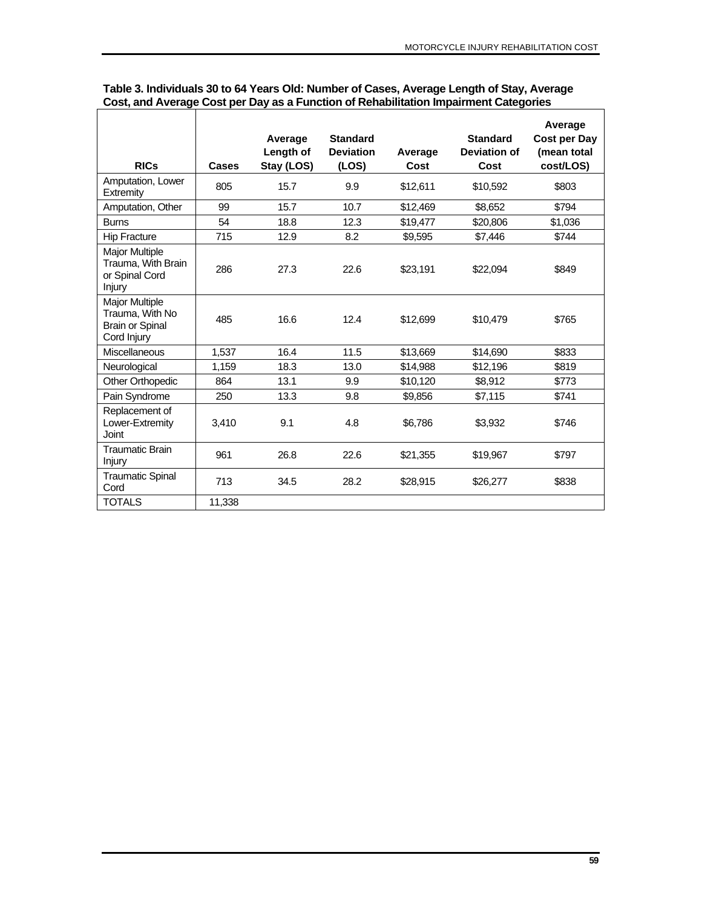| <b>RICs</b>                                                                       | Cases  | Average<br>Length of<br>Stay (LOS) | <b>Standard</b><br><b>Deviation</b><br>(LOS) | Average<br>Cost | <b>Standard</b><br><b>Deviation of</b><br>Cost | Average<br>Cost per Day<br>(mean total<br>cost/LOS) |
|-----------------------------------------------------------------------------------|--------|------------------------------------|----------------------------------------------|-----------------|------------------------------------------------|-----------------------------------------------------|
| Amputation, Lower<br>Extremity                                                    | 805    | 15.7                               | 9.9                                          | \$12,611        | \$10,592                                       | \$803                                               |
| Amputation, Other                                                                 | 99     | 15.7                               | 10.7                                         | \$12,469        | \$8,652                                        | \$794                                               |
| <b>Burns</b>                                                                      | 54     | 18.8                               | 12.3                                         | \$19,477        | \$20,806                                       | \$1,036                                             |
| <b>Hip Fracture</b>                                                               | 715    | 12.9                               | 8.2                                          | \$9,595         | \$7,446                                        | \$744                                               |
| <b>Major Multiple</b><br>Trauma, With Brain<br>or Spinal Cord<br>Injury           | 286    | 27.3                               | 22.6                                         | \$23,191        | \$22,094                                       | \$849                                               |
| <b>Major Multiple</b><br>Trauma, With No<br><b>Brain or Spinal</b><br>Cord Injury | 485    | 16.6                               | 12.4                                         | \$12,699        | \$10,479                                       | \$765                                               |
| Miscellaneous                                                                     | 1,537  | 16.4                               | 11.5                                         | \$13,669        | \$14,690                                       | \$833                                               |
| Neurological                                                                      | 1,159  | 18.3                               | 13.0                                         | \$14,988        | \$12,196                                       | \$819                                               |
| <b>Other Orthopedic</b>                                                           | 864    | 13.1                               | 9.9                                          | \$10,120        | \$8,912                                        | \$773                                               |
| Pain Syndrome                                                                     | 250    | 13.3                               | 9.8                                          | \$9,856         | \$7,115                                        | \$741                                               |
| Replacement of<br>Lower-Extremity<br>Joint                                        | 3,410  | 9.1                                | 4.8                                          | \$6,786         | \$3,932                                        | \$746                                               |
| <b>Traumatic Brain</b><br><b>Injury</b>                                           | 961    | 26.8                               | 22.6                                         | \$21,355        | \$19,967                                       | \$797                                               |
| <b>Traumatic Spinal</b><br>Cord                                                   | 713    | 34.5                               | 28.2                                         | \$28,915        | \$26,277                                       | \$838                                               |
| <b>TOTALS</b>                                                                     | 11,338 |                                    |                                              |                 |                                                |                                                     |

#### **Table 3. Individuals 30 to 64 Years Old: Number of Cases, Average Length of Stay, Average Cost, and Average Cost per Day as a Function of Rehabilitation Impairment Categories**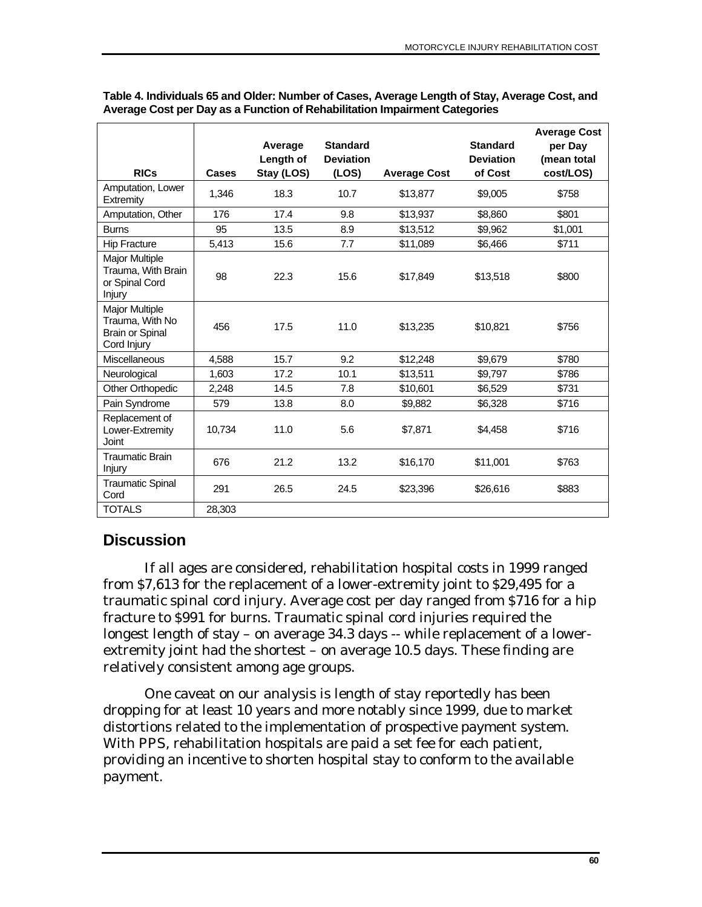|                                                                                   |              | Average                 | <b>Standard</b>           |                     | <b>Standard</b>             | <b>Average Cost</b><br>per Day |
|-----------------------------------------------------------------------------------|--------------|-------------------------|---------------------------|---------------------|-----------------------------|--------------------------------|
| <b>RICs</b>                                                                       | <b>Cases</b> | Length of<br>Stay (LOS) | <b>Deviation</b><br>(LOS) | <b>Average Cost</b> | <b>Deviation</b><br>of Cost | (mean total<br>cost/LOS)       |
| Amputation, Lower<br>Extremity                                                    | 1,346        | 18.3                    | 10.7                      | \$13,877            | \$9,005                     | \$758                          |
| Amputation, Other                                                                 | 176          | 17.4                    | 9.8                       | \$13,937            | \$8,860                     | \$801                          |
| <b>Burns</b>                                                                      | 95           | 13.5                    | 8.9                       | \$13,512            | \$9,962                     | \$1,001                        |
| <b>Hip Fracture</b>                                                               | 5,413        | 15.6                    | 7.7                       | \$11,089            | \$6,466                     | \$711                          |
| <b>Major Multiple</b><br>Trauma, With Brain<br>or Spinal Cord<br>Injury           | 98           | 22.3                    | 15.6                      | \$17,849            | \$13,518                    | \$800                          |
| <b>Major Multiple</b><br>Trauma, With No<br><b>Brain or Spinal</b><br>Cord Injury | 456          | 17.5                    | 11.0                      | \$13,235            | \$10,821                    | \$756                          |
| <b>Miscellaneous</b>                                                              | 4,588        | 15.7                    | 9.2                       | \$12,248            | \$9,679                     | \$780                          |
| Neurological                                                                      | 1.603        | 17.2                    | 10.1                      | \$13,511            | \$9,797                     | \$786                          |
| Other Orthopedic                                                                  | 2,248        | 14.5                    | 7.8                       | \$10,601            | \$6,529                     | \$731                          |
| Pain Syndrome                                                                     | 579          | 13.8                    | 8.0                       | \$9,882             | \$6,328                     | \$716                          |
| Replacement of<br>Lower-Extremity<br>Joint                                        | 10,734       | 11.0                    | 5.6                       | \$7,871             | \$4,458                     | \$716                          |
| <b>Traumatic Brain</b><br>Injury                                                  | 676          | 21.2                    | 13.2                      | \$16,170            | \$11,001                    | \$763                          |
| <b>Traumatic Spinal</b><br>Cord                                                   | 291          | 26.5                    | 24.5                      | \$23,396            | \$26,616                    | \$883                          |
| <b>TOTALS</b>                                                                     | 28,303       |                         |                           |                     |                             |                                |

**Table 4. Individuals 65 and Older: Number of Cases, Average Length of Stay, Average Cost, and Average Cost per Day as a Function of Rehabilitation Impairment Categories** 

# **Discussion**

If all ages are considered, rehabilitation hospital costs in 1999 ranged from \$7,613 for the replacement of a lower-extremity joint to \$29,495 for a traumatic spinal cord injury. Average cost per day ranged from \$716 for a hip fracture to \$991 for burns. Traumatic spinal cord injuries required the longest length of stay – on average 34.3 days -- while replacement of a lowerextremity joint had the shortest – on average 10.5 days. These finding are relatively consistent among age groups.

One caveat on our analysis is length of stay reportedly has been dropping for at least 10 years and more notably since 1999, due to market distortions related to the implementation of prospective payment system. With PPS, rehabilitation hospitals are paid a set fee for each patient, providing an incentive to shorten hospital stay to conform to the available payment.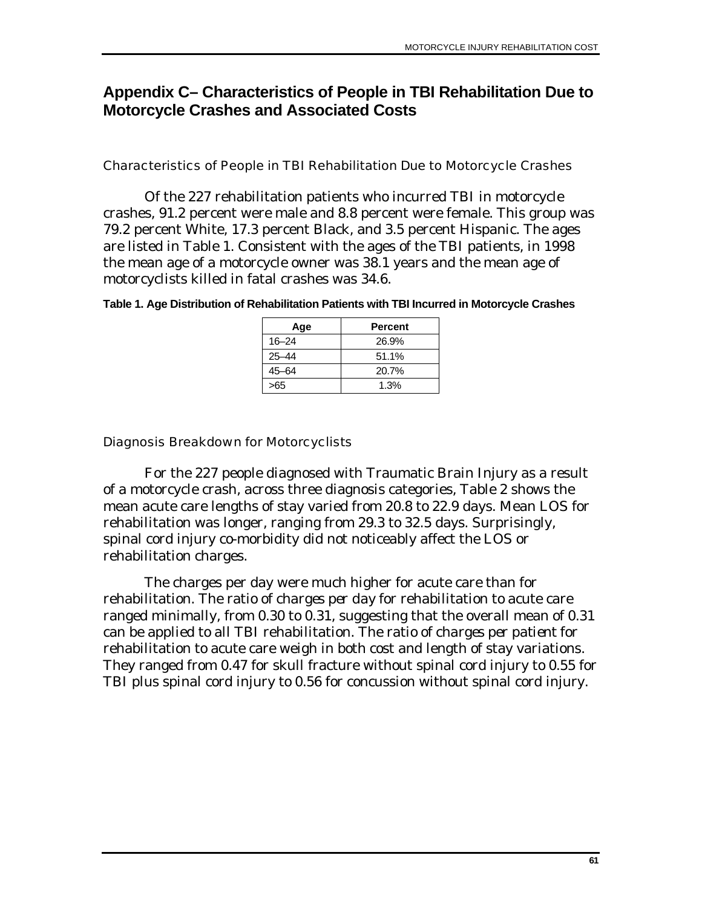# **Appendix C– Characteristics of People in TBI Rehabilitation Due to Motorcycle Crashes and Associated Costs**

### Characteristics of People in TBI Rehabilitation Due to Motorcycle Crashes

Of the 227 rehabilitation patients who incurred TBI in motorcycle crashes, 91.2 percent were male and 8.8 percent were female. This group was 79.2 percent White, 17.3 percent Black, and 3.5 percent Hispanic. The ages are listed in Table 1. Consistent with the ages of the TBI patients, in 1998 the mean age of a motorcycle owner was 38.1 years and the mean age of motorcyclists killed in fatal crashes was 34.6.

| Table 1. Age Distribution of Rehabilitation Patients with TBI Incurred in Motorcycle Crashes |
|----------------------------------------------------------------------------------------------|
|----------------------------------------------------------------------------------------------|

| Age       | <b>Percent</b> |
|-----------|----------------|
| $16 - 24$ | 26.9%          |
| $25 - 44$ | 51.1%          |
| 45-64     | 20.7%          |
| >65       | 1.3%           |

#### Diagnosis Breakdown for Motorcyclists

For the 227 people diagnosed with Traumatic Brain Injury as a result of a motorcycle crash, across three diagnosis categories, Table 2 shows the mean acute care lengths of stay varied from 20.8 to 22.9 days. Mean LOS for rehabilitation was longer, ranging from 29.3 to 32.5 days. Surprisingly, spinal cord injury co-morbidity did not noticeably affect the LOS or rehabilitation charges.

The charges per day were much higher for acute care than for rehabilitation. The ratio of *charges per day* for rehabilitation to acute care ranged minimally, from 0.30 to 0.31, suggesting that the overall mean of 0.31 can be applied to all TBI rehabilitation. The ratio of *charges per patient* for rehabilitation to acute care weigh in both cost and length of stay variations. They ranged from 0.47 for skull fracture without spinal cord injury to 0.55 for TBI plus spinal cord injury to 0.56 for concussion without spinal cord injury.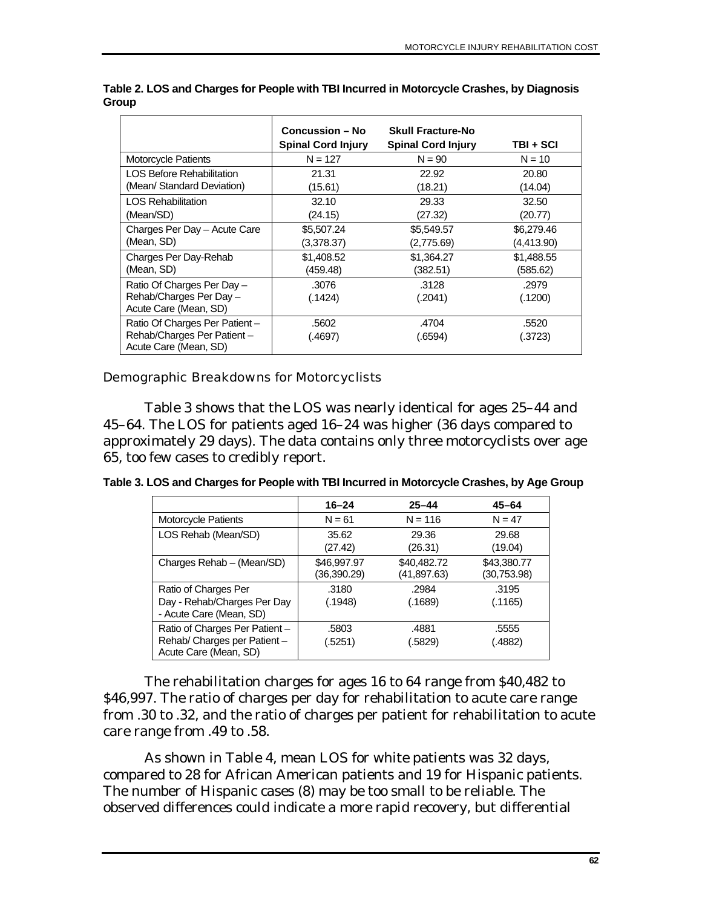|                                                                                        | <b>Concussion – No</b><br><b>Spinal Cord Injury</b> | <b>Skull Fracture-No</b><br><b>Spinal Cord Injury</b> | TBI + SCI        |
|----------------------------------------------------------------------------------------|-----------------------------------------------------|-------------------------------------------------------|------------------|
| Motorcycle Patients                                                                    | $N = 127$                                           | $N = 90$                                              | $N = 10$         |
| <b>LOS Before Rehabilitation</b>                                                       | 21.31                                               | 22.92                                                 | 20.80            |
| (Mean/ Standard Deviation)                                                             | (15.61)                                             | (18.21)                                               | (14.04)          |
| <b>LOS Rehabilitation</b>                                                              | 32.10                                               | 29.33                                                 | 32.50            |
| (Mean/SD)                                                                              | (24.15)                                             | (27.32)                                               | (20.77)          |
| Charges Per Day - Acute Care                                                           | \$5,507.24                                          | \$5,549.57                                            | \$6,279.46       |
| (Mean, SD)                                                                             | (3,378.37)                                          | (2,775.69)                                            | (4,413.90)       |
| Charges Per Day-Rehab                                                                  | \$1,408.52                                          | \$1,364.27                                            | \$1,488.55       |
| (Mean, SD)                                                                             | (459.48)                                            | (382.51)                                              | (585.62)         |
| Ratio Of Charges Per Day -<br>Rehab/Charges Per Day -<br>Acute Care (Mean, SD)         | .3076<br>(.1424)                                    | .3128<br>(.2041)                                      | .2979<br>(.1200) |
| Ratio Of Charges Per Patient -<br>Rehab/Charges Per Patient -<br>Acute Care (Mean, SD) | .5602<br>(.4697)                                    | .4704<br>(.6594)                                      | .5520<br>.3723)  |

**Table 2. LOS and Charges for People with TBI Incurred in Motorcycle Crashes, by Diagnosis Group** 

### Demographic Breakdowns for Motorcyclists

Table 3 shows that the LOS was nearly identical for ages 25–44 and 45–64. The LOS for patients aged 16–24 was higher (36 days compared to approximately 29 days). The data contains only three motorcyclists over age 65, too few cases to credibly report.

**Table 3. LOS and Charges for People with TBI Incurred in Motorcycle Crashes, by Age Group** 

|                                                                                         | $16 - 24$                  | $25 - 44$                   | $45 - 64$                   |
|-----------------------------------------------------------------------------------------|----------------------------|-----------------------------|-----------------------------|
| Motorcycle Patients                                                                     | $N = 61$                   | $N = 116$                   | $N = 47$                    |
| LOS Rehab (Mean/SD)                                                                     | 35.62                      | 29.36                       | 29.68                       |
|                                                                                         | (27.42)                    | (26.31)                     | (19.04)                     |
| Charges Rehab - (Mean/SD)                                                               | \$46,997.97<br>(36,390.29) | \$40,482.72<br>(41, 897.63) | \$43,380.77<br>(30, 753.98) |
| Ratio of Charges Per                                                                    | .3180                      | .2984                       | .3195                       |
| Day - Rehab/Charges Per Day<br>- Acute Care (Mean, SD)                                  | (.1948)                    | (.1689)                     | (.1165)                     |
| Ratio of Charges Per Patient -<br>Rehab/ Charges per Patient -<br>Acute Care (Mean, SD) | .5803<br>(.5251)           | .4881<br>(.5829)            | .5555<br>(4882).            |

The rehabilitation charges for ages 16 to 64 range from \$40,482 to \$46,997. The ratio of charges per day for rehabilitation to acute care range from .30 to .32, and the ratio of charges per patient for rehabilitation to acute care range from .49 to .58.

As shown in Table 4, mean LOS for white patients was 32 days, compared to 28 for African American patients and 19 for Hispanic patients. The number of Hispanic cases (8) may be too small to be reliable. The observed differences could indicate a more rapid recovery, but differential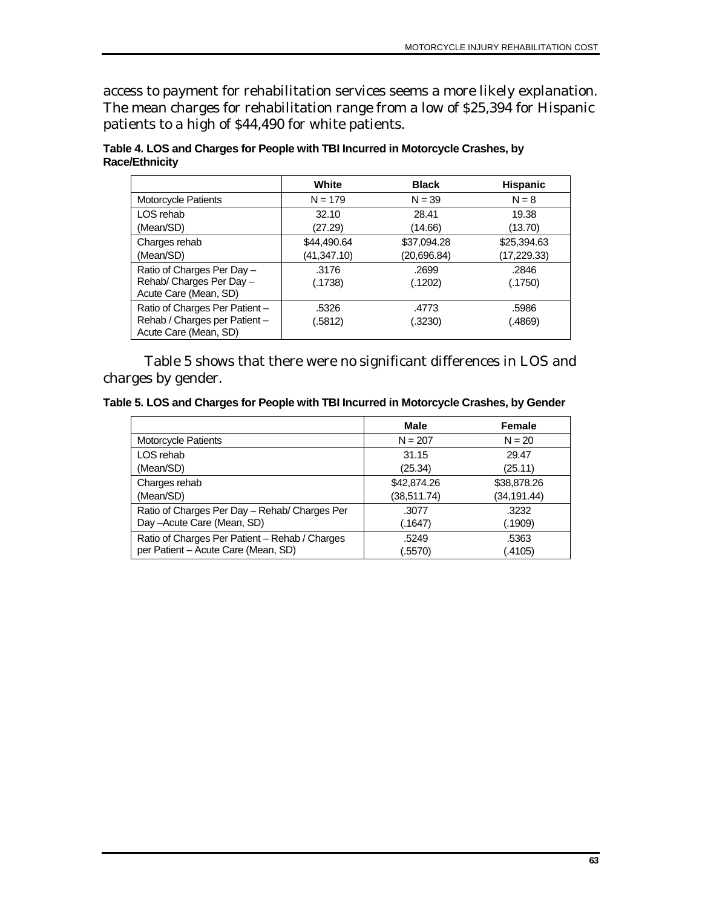access to payment for rehabilitation services seems a more likely explanation. The mean charges for rehabilitation range from a low of \$25,394 for Hispanic patients to a high of \$44,490 for white patients.

|                                | White       | <b>Black</b> | <b>Hispanic</b> |
|--------------------------------|-------------|--------------|-----------------|
| Motorcycle Patients            | $N = 179$   | $N = 39$     | $N = 8$         |
| LOS rehab                      | 32.10       | 28.41        | 19.38           |
| (Mean/SD)                      | (27.29)     | (14.66)      | (13.70)         |
| Charges rehab                  | \$44,490.64 | \$37,094.28  | \$25,394.63     |
| (Mean/SD)                      | (41,347.10) | (20,696.84)  | (17,229.33)     |
| Ratio of Charges Per Day -     | .3176       | .2699        | .2846           |
| Rehab/ Charges Per Day -       | (.1738)     | (.1202)      | (.1750)         |
| Acute Care (Mean, SD)          |             |              |                 |
| Ratio of Charges Per Patient - | .5326       | .4773        | .5986           |
| Rehab / Charges per Patient-   | (.5812)     | (.3230)      | (.4869)         |
| Acute Care (Mean, SD)          |             |              |                 |

#### **Table 4. LOS and Charges for People with TBI Incurred in Motorcycle Crashes, by Race/Ethnicity**

Table 5 shows that there were no significant differences in LOS and charges by gender.

**Table 5. LOS and Charges for People with TBI Incurred in Motorcycle Crashes, by Gender** 

|                                                | <b>Male</b>  | Female       |
|------------------------------------------------|--------------|--------------|
| Motorcycle Patients                            | $N = 207$    | $N = 20$     |
| LOS rehab                                      | 31.15        | 29.47        |
| (Mean/SD)                                      | (25.34)      | (25.11)      |
| Charges rehab                                  | \$42,874.26  | \$38,878.26  |
| (Mean/SD)                                      | (38, 511.74) | (34, 191.44) |
| Ratio of Charges Per Day - Rehab/ Charges Per  | .3077        | .3232        |
| Day-Acute Care (Mean, SD)                      | (.1647)      | (.1909)      |
| Ratio of Charges Per Patient - Rehab / Charges | .5249        | .5363        |
| per Patient - Acute Care (Mean, SD)            | (.5570)      | (.4105)      |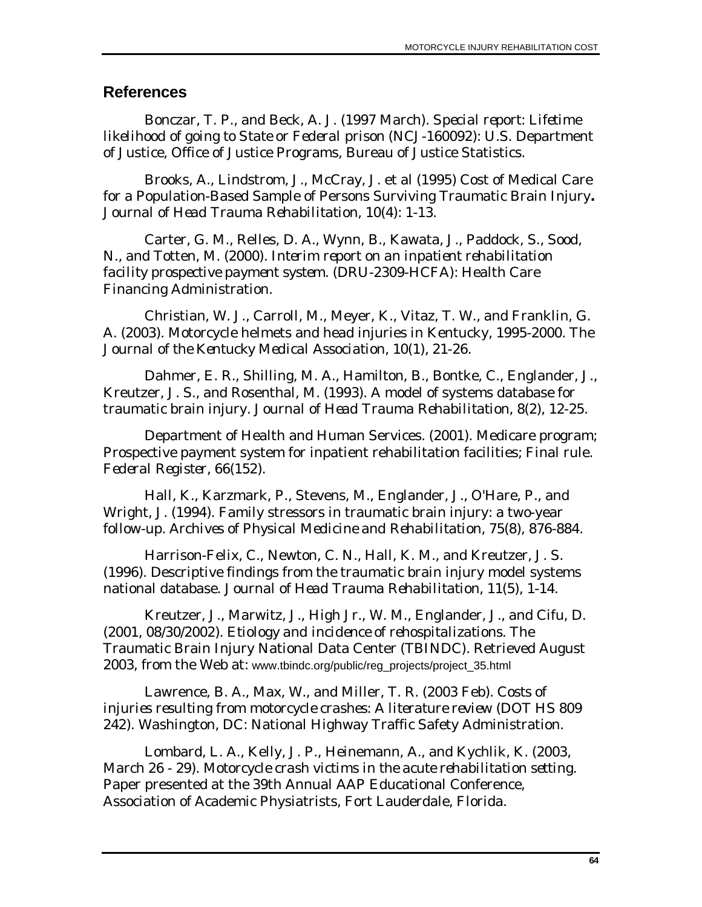## **References**

Bonczar, T. P., and Beck, A. J. (1997 March). *Special report: Lifetime likelihood of going to State or Federal prison* (NCJ-160092): U.S. Department of Justice, Office of Justice Programs, Bureau of Justice Statistics.

Brooks, A., Lindstrom, J., McCray, J. et al (1995) Cost of Medical Care for a Population-Based Sample of Persons Surviving Traumatic Brain Injury**.**  *Journal of Head Trauma Rehabilitation,* 10(4): 1-13.

Carter, G. M., Relles, D. A., Wynn, B., Kawata, J., Paddock, S., Sood, N., and Totten, M. (2000). *Interim report on an inpatient rehabilitation facility prospective payment system.* (DRU-2309-HCFA): Health Care Financing Administration.

Christian, W. J., Carroll, M., Meyer, K., Vitaz, T. W., and Franklin, G. A. (2003). Motorcycle helmets and head injuries in Kentucky, 1995-2000. *The Journal of the Kentucky Medical Association, 10*(1), 21-26.

Dahmer, E. R., Shilling, M. A., Hamilton, B., Bontke, C., Englander, J., Kreutzer, J. S., and Rosenthal, M. (1993). A model of systems database for traumatic brain injury. *Journal of Head Trauma Rehabilitation, 8*(2), 12-25.

Department of Health and Human Services. (2001). Medicare program; Prospective payment system for inpatient rehabilitation facilities; Final rule. *Federal Register, 66*(152).

Hall, K., Karzmark, P., Stevens, M., Englander, J., O'Hare, P., and Wright, J. (1994). Family stressors in traumatic brain injury: a two-year follow-up. *Archives of Physical Medicine and Rehabilitation, 75*(8), 876-884.

Harrison-Felix, C., Newton, C. N., Hall, K. M., and Kreutzer, J. S. (1996). Descriptive findings from the traumatic brain injury model systems national database. *Journal of Head Trauma Rehabilitation, 11*(5), 1-14.

Kreutzer, J., Marwitz, J., High Jr., W. M., Englander, J., and Cifu, D. (2001, 08/30/2002). *Etiology and incidence of rehospitalizations*. The Traumatic Brain Injury National Data Center (TBINDC). Retrieved August 2003, from the Web at: www.tbindc.org/public/reg\_projects/project\_35.html

Lawrence, B. A., Max, W., and Miller, T. R. (2003 Feb). *Costs of injuries resulting from motorcycle crashes: A literature review* (DOT HS 809 242). Washington, DC: National Highway Traffic Safety Administration.

Lombard, L. A., Kelly, J. P., Heinemann, A., and Kychlik, K. (2003, March 26 - 29). *Motorcycle crash victims in the acute rehabilitation setting.* Paper presented at the 39th Annual AAP Educational Conference, Association of Academic Physiatrists, Fort Lauderdale, Florida.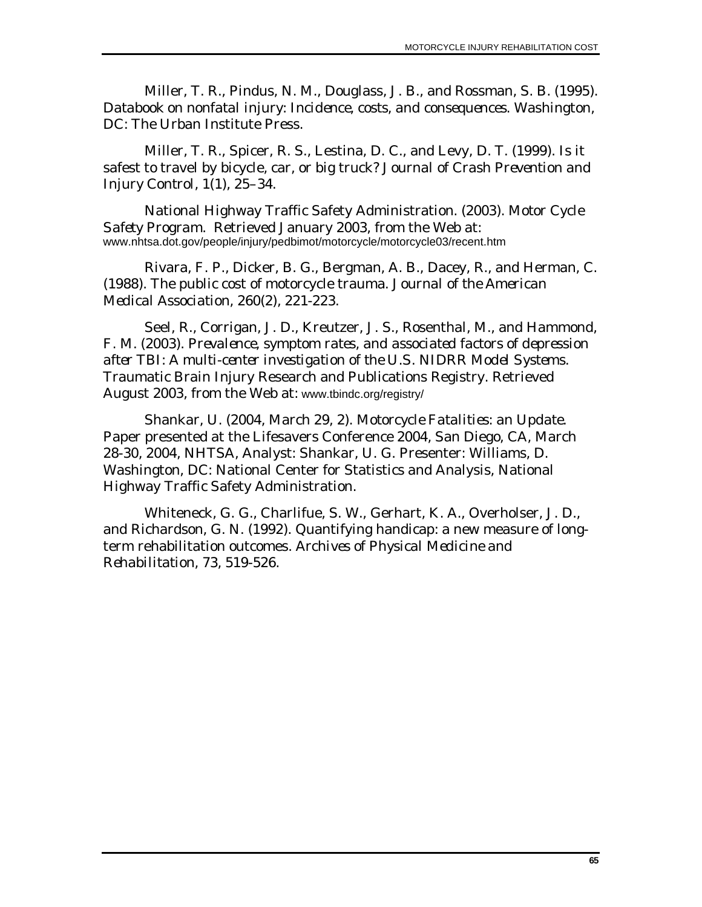Miller, T. R., Pindus, N. M., Douglass, J. B., and Rossman, S. B. (1995). *Databook on nonfatal injury: Incidence, costs, and consequences*. Washington, DC: The Urban Institute Press.

Miller, T. R., Spicer, R. S., Lestina, D. C., and Levy, D. T. (1999). Is it safest to travel by bicycle, car, or big truck? *Journal of Crash Prevention and Injury Control, 1*(1), 25–34.

National Highway Traffic Safety Administration. (2003). *Motor Cycle Safety Program*. Retrieved January 2003, from the Web at: www.nhtsa.dot.gov/people/injury/pedbimot/motorcycle/motorcycle03/recent.htm

Rivara, F. P., Dicker, B. G., Bergman, A. B., Dacey, R., and Herman, C. (1988). The public cost of motorcycle trauma. *Journal of the American Medical Association, 260*(2), 221-223.

Seel, R., Corrigan, J. D., Kreutzer, J. S., Rosenthal, M., and Hammond, F. M. (2003). *Prevalence, symptom rates, and associated factors of depression after TBI: A multi-center investigation of the U.S. NIDRR Model Systems*. Traumatic Brain Injury Research and Publications Registry. Retrieved August 2003, from the Web at: [www.tbindc.org/registry/](http://www.tbindc.org/registry/)

Shankar, U. (2004, March 29, 2). *Motorcycle Fatalities: an Update.* Paper presented at the Lifesavers Conference 2004, San Diego, CA, March 28-30, 2004, NHTSA, Analyst: Shankar, U. G. Presenter: Williams, D. Washington, DC: National Center for Statistics and Analysis, National Highway Traffic Safety Administration.

Whiteneck, G. G., Charlifue, S. W., Gerhart, K. A., Overholser, J. D., and Richardson, G. N. (1992). Quantifying handicap: a new measure of longterm rehabilitation outcomes. *Archives of Physical Medicine and Rehabilitation, 73*, 519-526.